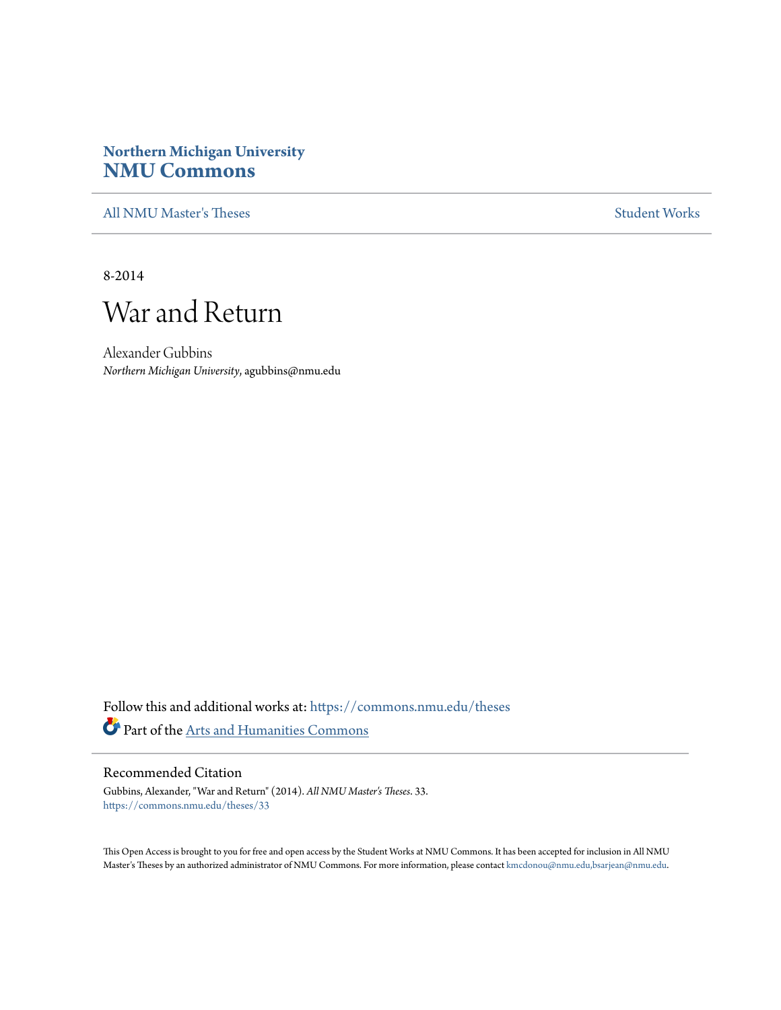# **Northern Michigan University [NMU Commons](https://commons.nmu.edu?utm_source=commons.nmu.edu%2Ftheses%2F33&utm_medium=PDF&utm_campaign=PDFCoverPages)**

[All NMU Master's Theses](https://commons.nmu.edu/theses?utm_source=commons.nmu.edu%2Ftheses%2F33&utm_medium=PDF&utm_campaign=PDFCoverPages) [Student Works](https://commons.nmu.edu/student_works?utm_source=commons.nmu.edu%2Ftheses%2F33&utm_medium=PDF&utm_campaign=PDFCoverPages)

8-2014

# War and Return

Alexander Gubbins *Northern Michigan University*, agubbins@nmu.edu

Follow this and additional works at: [https://commons.nmu.edu/theses](https://commons.nmu.edu/theses?utm_source=commons.nmu.edu%2Ftheses%2F33&utm_medium=PDF&utm_campaign=PDFCoverPages) Part of the [Arts and Humanities Commons](http://network.bepress.com/hgg/discipline/438?utm_source=commons.nmu.edu%2Ftheses%2F33&utm_medium=PDF&utm_campaign=PDFCoverPages)

#### Recommended Citation

Gubbins, Alexander, "War and Return" (2014). *All NMU Master's Theses*. 33. [https://commons.nmu.edu/theses/33](https://commons.nmu.edu/theses/33?utm_source=commons.nmu.edu%2Ftheses%2F33&utm_medium=PDF&utm_campaign=PDFCoverPages)

This Open Access is brought to you for free and open access by the Student Works at NMU Commons. It has been accepted for inclusion in All NMU Master's Theses by an authorized administrator of NMU Commons. For more information, please contact [kmcdonou@nmu.edu,bsarjean@nmu.edu.](mailto:kmcdonou@nmu.edu,bsarjean@nmu.edu)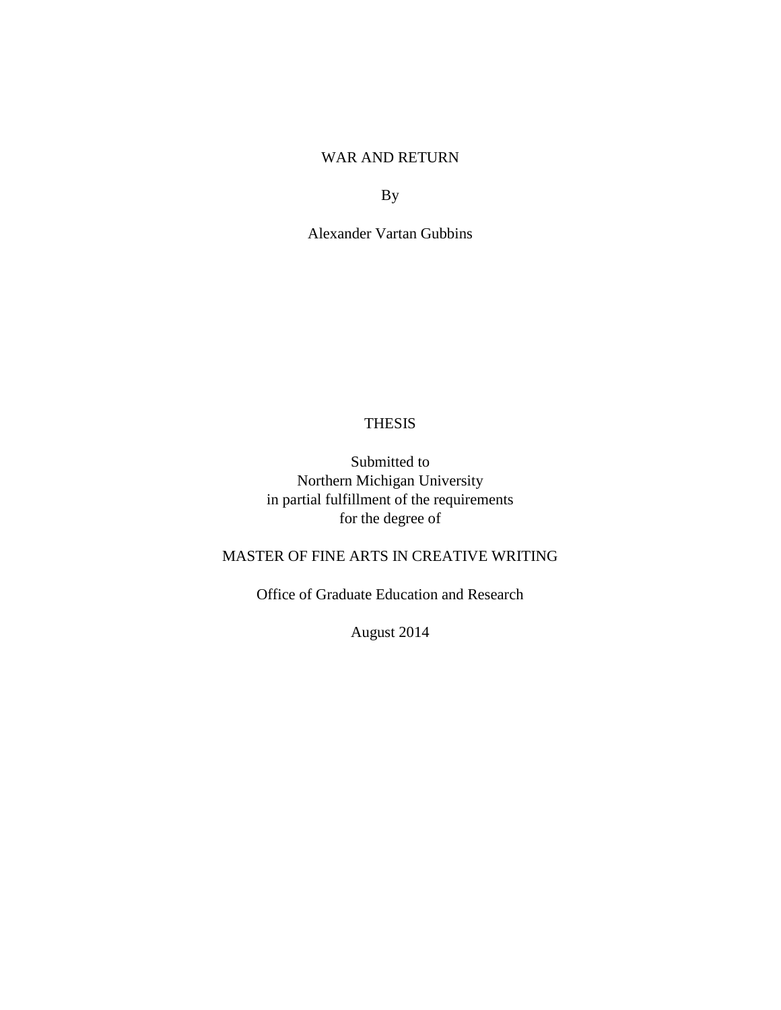# WAR AND RETURN

By

Alexander Vartan Gubbins

# **THESIS**

Submitted to Northern Michigan University in partial fulfillment of the requirements for the degree of

# MASTER OF FINE ARTS IN CREATIVE WRITING

Office of Graduate Education and Research

August 2014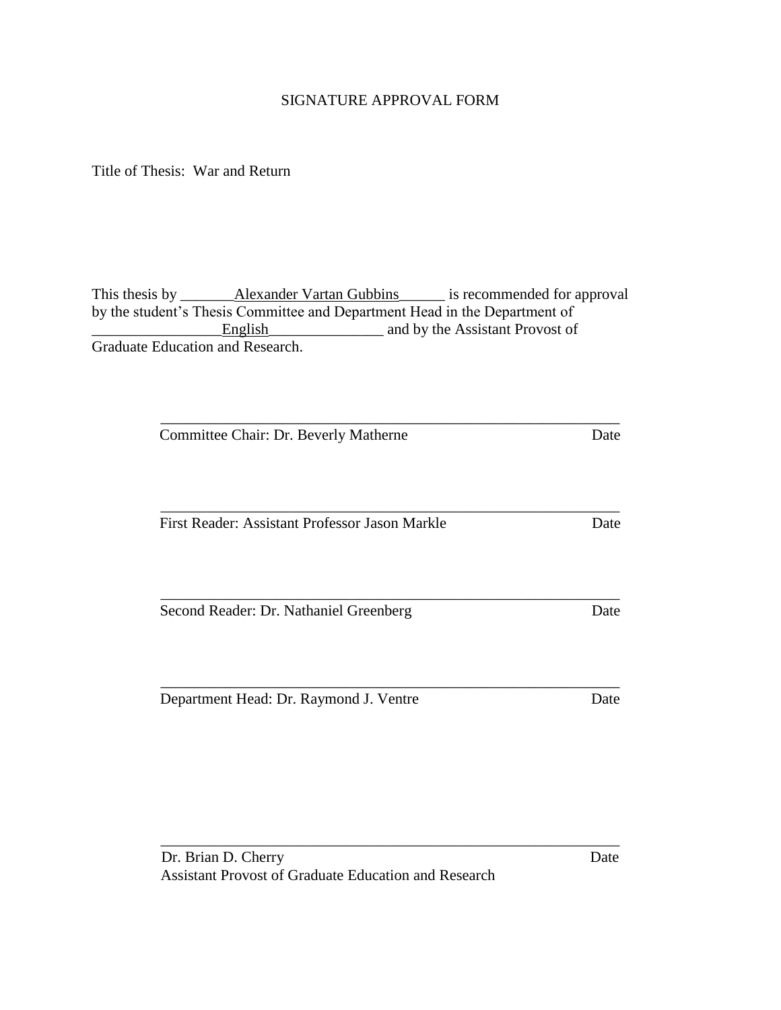# SIGNATURE APPROVAL FORM

Title of Thesis: War and Return

This thesis by \_\_\_\_\_\_\_\_Alexander Vartan Gubbins\_\_\_\_\_\_\_ is recommended for approval by the student's Thesis Committee and Department Head in the Department of **English** and by the Assistant Provost of Graduate Education and Research.

\_\_\_\_\_\_\_\_\_\_\_\_\_\_\_\_\_\_\_\_\_\_\_\_\_\_\_\_\_\_\_\_\_\_\_\_\_\_\_\_\_\_\_\_\_\_\_\_\_\_\_\_\_\_\_\_\_\_\_\_

\_\_\_\_\_\_\_\_\_\_\_\_\_\_\_\_\_\_\_\_\_\_\_\_\_\_\_\_\_\_\_\_\_\_\_\_\_\_\_\_\_\_\_\_\_\_\_\_\_\_\_\_\_\_\_\_\_\_\_\_

\_\_\_\_\_\_\_\_\_\_\_\_\_\_\_\_\_\_\_\_\_\_\_\_\_\_\_\_\_\_\_\_\_\_\_\_\_\_\_\_\_\_\_\_\_\_\_\_\_\_\_\_\_\_\_\_\_\_\_\_

\_\_\_\_\_\_\_\_\_\_\_\_\_\_\_\_\_\_\_\_\_\_\_\_\_\_\_\_\_\_\_\_\_\_\_\_\_\_\_\_\_\_\_\_\_\_\_\_\_\_\_\_\_\_\_\_\_\_\_\_

Committee Chair: Dr. Beverly Matherne Date

First Reader: Assistant Professor Jason Markle Date

Second Reader: Dr. Nathaniel Greenberg Date

Department Head: Dr. Raymond J. Ventre Date

\_\_\_\_\_\_\_\_\_\_\_\_\_\_\_\_\_\_\_\_\_\_\_\_\_\_\_\_\_\_\_\_\_\_\_\_\_\_\_\_\_\_\_\_\_\_\_\_\_\_\_\_\_\_\_\_\_\_\_\_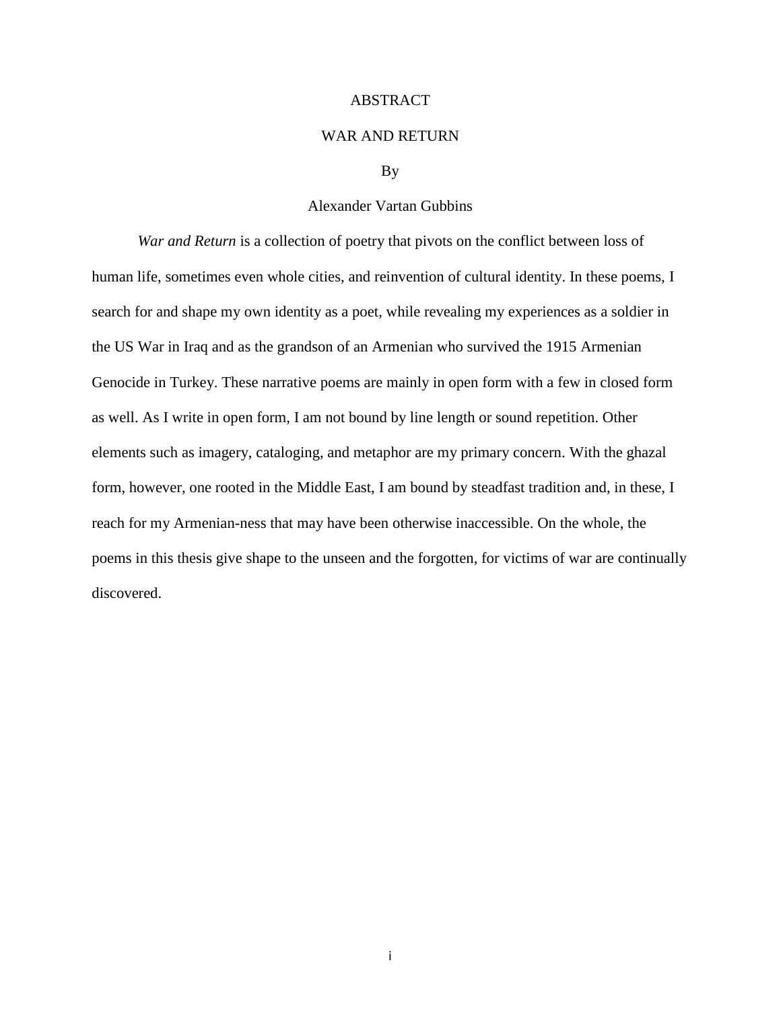#### ABSTRACT

#### WAR AND RETURN

#### By

#### Alexander Vartan Gubbins

*War and Return* is a collection of poetry that pivots on the conflict between loss of human life, sometimes even whole cities, and reinvention of cultural identity. In these poems, I search for and shape my own identity as a poet, while revealing my experiences as a soldier in the US War in Iraq and as the grandson of an Armenian who survived the 1915 Armenian Genocide in Turkey. These narrative poems are mainly in open form with a few in closed form as well. As I write in open form, I am not bound by line length or sound repetition. Other elements such as imagery, cataloging, and metaphor are my primary concern. With the ghazal form, however, one rooted in the Middle East, I am bound by steadfast tradition and, in these, I reach for my Armenian-ness that may have been otherwise inaccessible. On the whole, the poems in this thesis give shape to the unseen and the forgotten, for victims of war are continually discovered.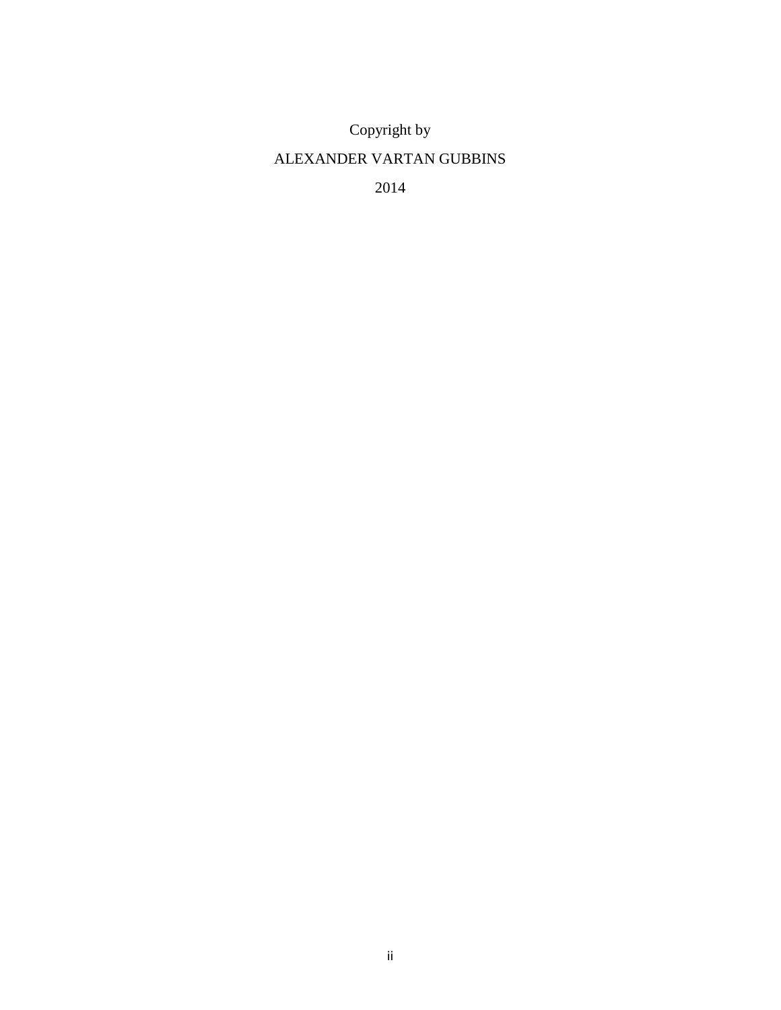Copyright by

# ALEXANDER VARTAN GUBBINS

2014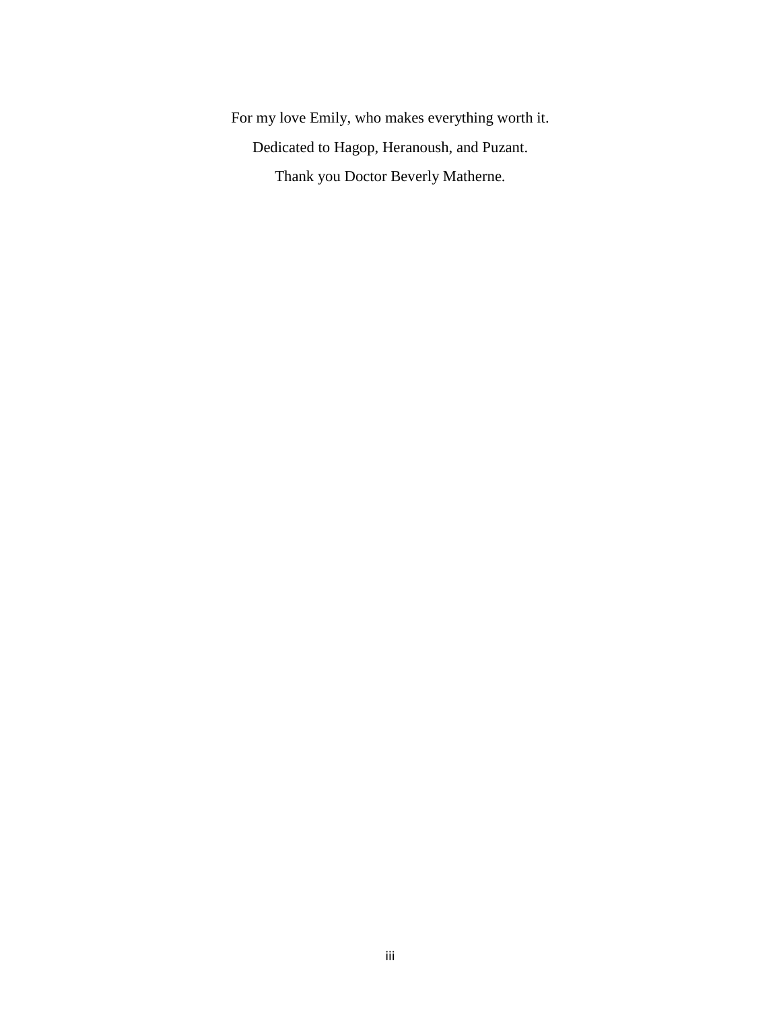For my love Emily, who makes everything worth it. Dedicated to Hagop, Heranoush, and Puzant. Thank you Doctor Beverly Matherne.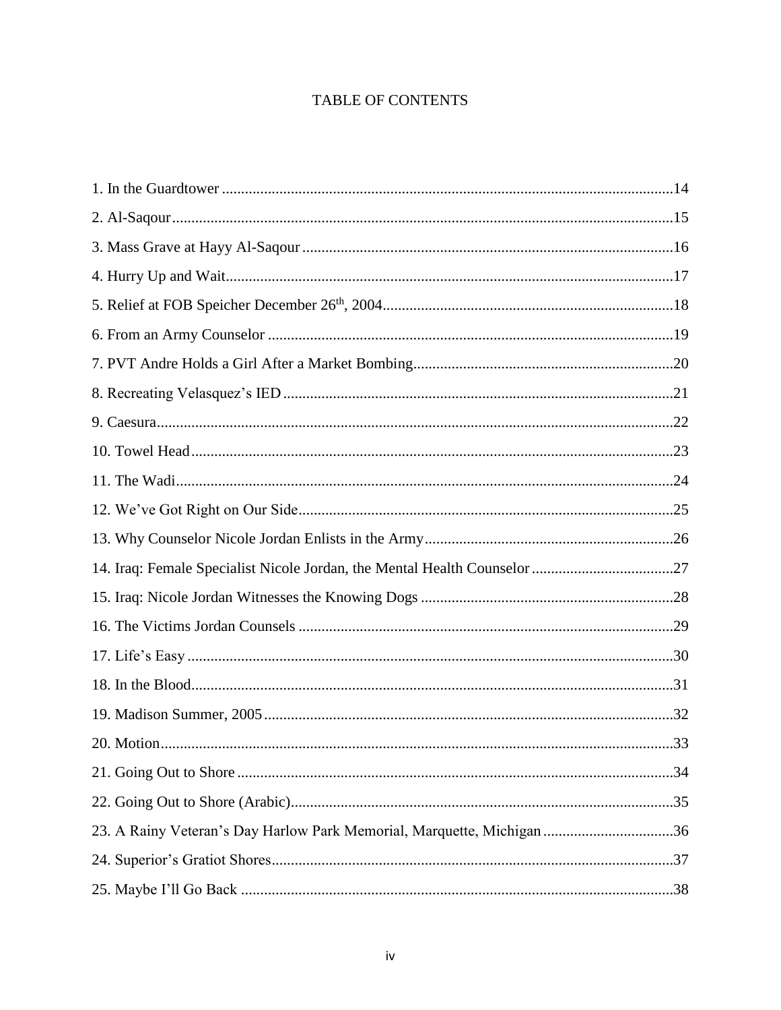# **TABLE OF CONTENTS**

| 23. A Rainy Veteran's Day Harlow Park Memorial, Marquette, Michigan 36 |  |
|------------------------------------------------------------------------|--|
|                                                                        |  |
|                                                                        |  |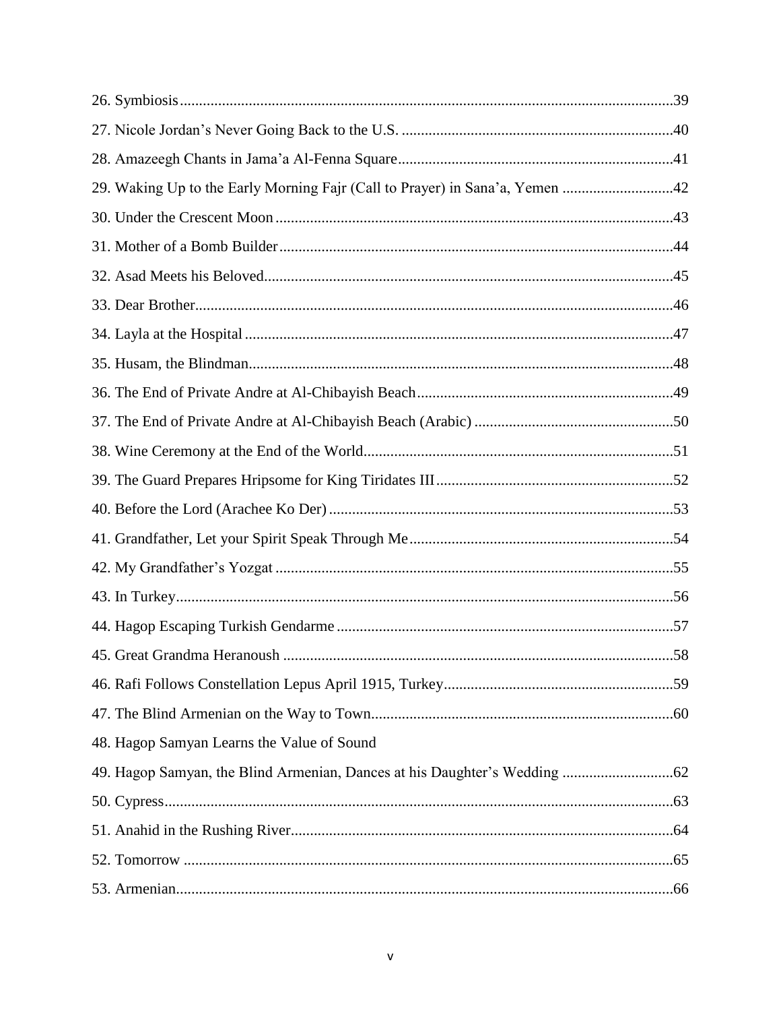| 29. Waking Up to the Early Morning Fajr (Call to Prayer) in Sana'a, Yemen 42 |     |
|------------------------------------------------------------------------------|-----|
|                                                                              |     |
|                                                                              |     |
|                                                                              |     |
|                                                                              |     |
|                                                                              |     |
|                                                                              |     |
|                                                                              |     |
|                                                                              |     |
|                                                                              |     |
|                                                                              |     |
|                                                                              |     |
|                                                                              |     |
|                                                                              |     |
|                                                                              |     |
|                                                                              |     |
|                                                                              | .58 |
|                                                                              |     |
|                                                                              |     |
| 48. Hagop Samyan Learns the Value of Sound                                   |     |
|                                                                              |     |
|                                                                              |     |
|                                                                              |     |
|                                                                              |     |
|                                                                              |     |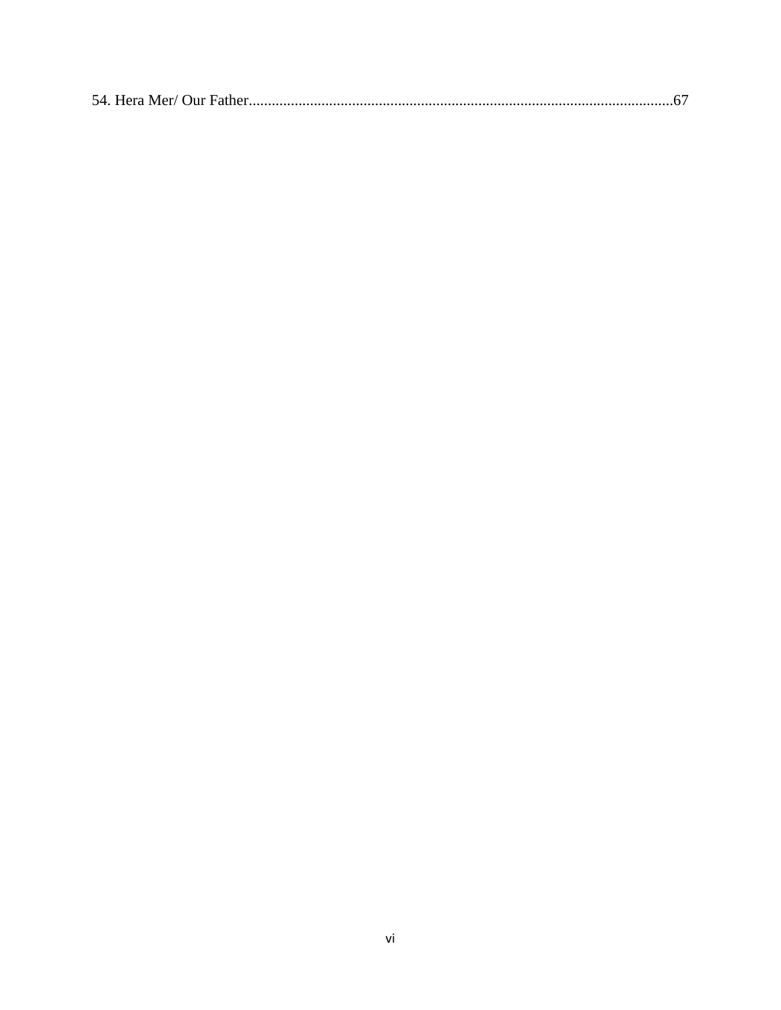|--|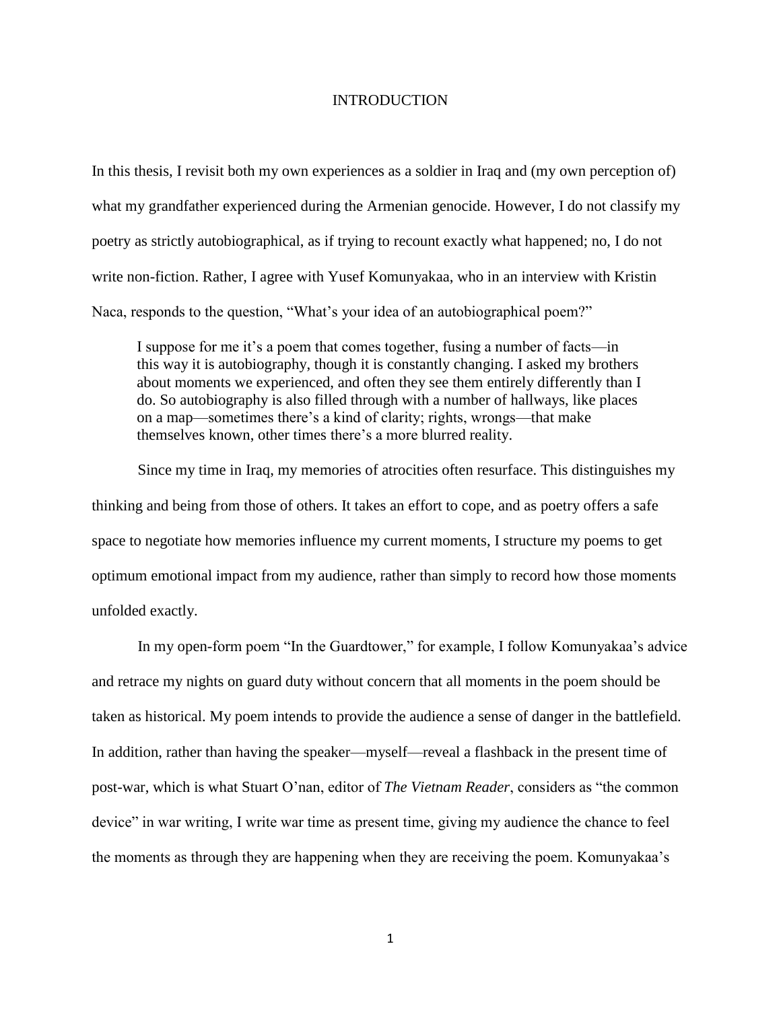#### **INTRODUCTION**

In this thesis, I revisit both my own experiences as a soldier in Iraq and (my own perception of) what my grandfather experienced during the Armenian genocide. However, I do not classify my poetry as strictly autobiographical, as if trying to recount exactly what happened; no, I do not write non-fiction. Rather, I agree with Yusef Komunyakaa, who in an interview with Kristin Naca, responds to the question, "What's your idea of an autobiographical poem?"

I suppose for me it's a poem that comes together, fusing a number of facts—in this way it is autobiography, though it is constantly changing. I asked my brothers about moments we experienced, and often they see them entirely differently than I do. So autobiography is also filled through with a number of hallways, like places on a map—sometimes there's a kind of clarity; rights, wrongs—that make themselves known, other times there's a more blurred reality.

Since my time in Iraq, my memories of atrocities often resurface. This distinguishes my thinking and being from those of others. It takes an effort to cope, and as poetry offers a safe space to negotiate how memories influence my current moments, I structure my poems to get optimum emotional impact from my audience, rather than simply to record how those moments unfolded exactly.

In my open-form poem "In the Guardtower," for example, I follow Komunyakaa's advice and retrace my nights on guard duty without concern that all moments in the poem should be taken as historical. My poem intends to provide the audience a sense of danger in the battlefield. In addition, rather than having the speaker—myself—reveal a flashback in the present time of post-war, which is what Stuart O'nan, editor of *The Vietnam Reader*, considers as "the common device" in war writing, I write war time as present time, giving my audience the chance to feel the moments as through they are happening when they are receiving the poem. Komunyakaa's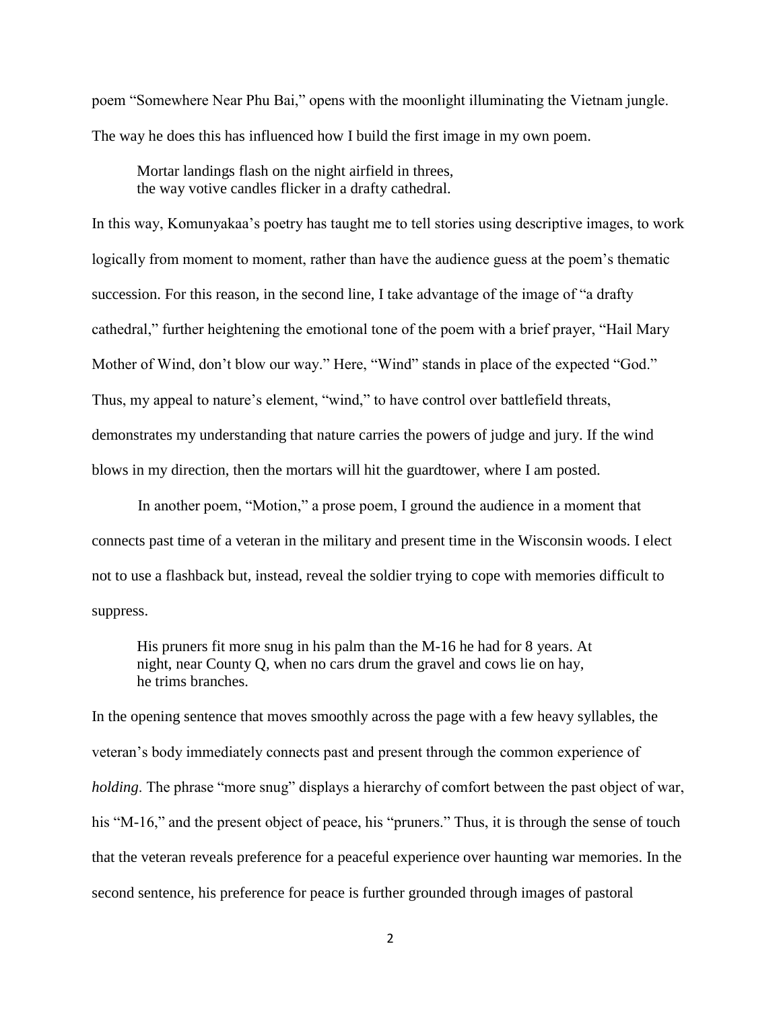poem "Somewhere Near Phu Bai," opens with the moonlight illuminating the Vietnam jungle. The way he does this has influenced how I build the first image in my own poem.

Mortar landings flash on the night airfield in threes, the way votive candles flicker in a drafty cathedral.

In this way, Komunyakaa's poetry has taught me to tell stories using descriptive images, to work logically from moment to moment, rather than have the audience guess at the poem's thematic succession. For this reason, in the second line, I take advantage of the image of "a drafty cathedral," further heightening the emotional tone of the poem with a brief prayer, "Hail Mary Mother of Wind, don't blow our way." Here, "Wind" stands in place of the expected "God." Thus, my appeal to nature's element, "wind," to have control over battlefield threats, demonstrates my understanding that nature carries the powers of judge and jury. If the wind blows in my direction, then the mortars will hit the guardtower, where I am posted.

In another poem, "Motion," a prose poem, I ground the audience in a moment that connects past time of a veteran in the military and present time in the Wisconsin woods. I elect not to use a flashback but, instead, reveal the soldier trying to cope with memories difficult to suppress.

His pruners fit more snug in his palm than the M-16 he had for 8 years. At night, near County Q, when no cars drum the gravel and cows lie on hay, he trims branches.

In the opening sentence that moves smoothly across the page with a few heavy syllables, the veteran's body immediately connects past and present through the common experience of *holding*. The phrase "more snug" displays a hierarchy of comfort between the past object of war, his "M-16," and the present object of peace, his "pruners." Thus, it is through the sense of touch that the veteran reveals preference for a peaceful experience over haunting war memories. In the second sentence, his preference for peace is further grounded through images of pastoral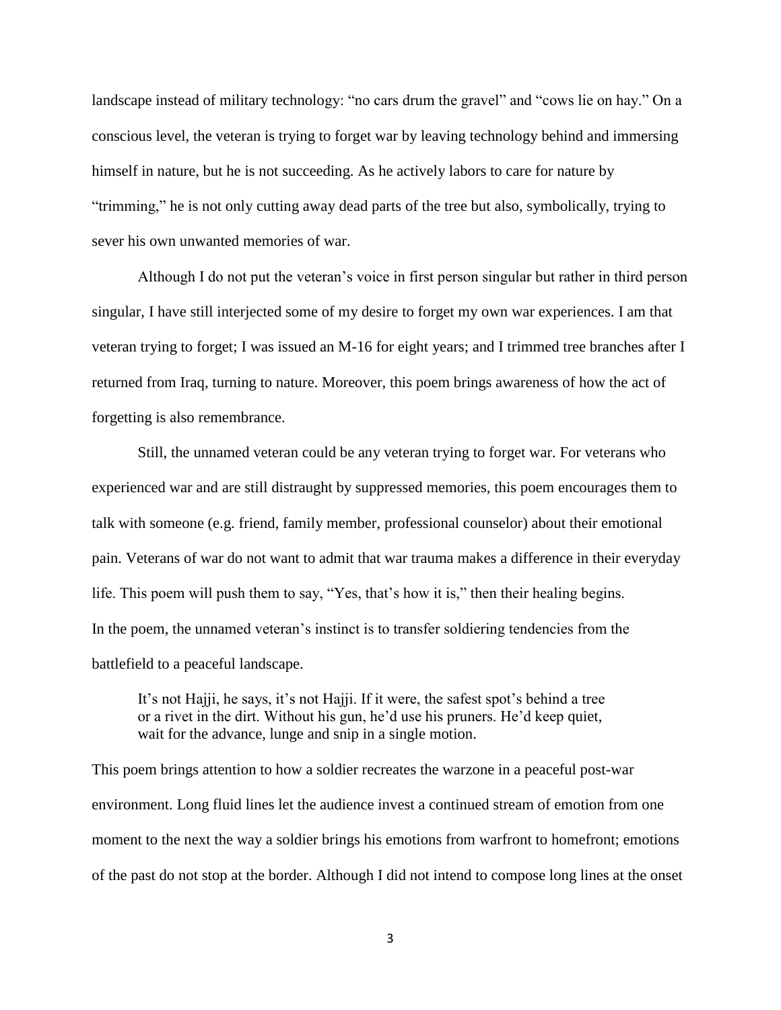landscape instead of military technology: "no cars drum the gravel" and "cows lie on hay." On a conscious level, the veteran is trying to forget war by leaving technology behind and immersing himself in nature, but he is not succeeding. As he actively labors to care for nature by "trimming," he is not only cutting away dead parts of the tree but also, symbolically, trying to sever his own unwanted memories of war.

Although I do not put the veteran's voice in first person singular but rather in third person singular, I have still interjected some of my desire to forget my own war experiences. I am that veteran trying to forget; I was issued an M-16 for eight years; and I trimmed tree branches after I returned from Iraq, turning to nature. Moreover, this poem brings awareness of how the act of forgetting is also remembrance.

Still, the unnamed veteran could be any veteran trying to forget war. For veterans who experienced war and are still distraught by suppressed memories, this poem encourages them to talk with someone (e.g. friend, family member, professional counselor) about their emotional pain. Veterans of war do not want to admit that war trauma makes a difference in their everyday life. This poem will push them to say, "Yes, that's how it is," then their healing begins. In the poem, the unnamed veteran's instinct is to transfer soldiering tendencies from the battlefield to a peaceful landscape.

It's not Hajji, he says, it's not Hajji. If it were, the safest spot's behind a tree or a rivet in the dirt. Without his gun, he'd use his pruners. He'd keep quiet, wait for the advance, lunge and snip in a single motion.

This poem brings attention to how a soldier recreates the warzone in a peaceful post-war environment. Long fluid lines let the audience invest a continued stream of emotion from one moment to the next the way a soldier brings his emotions from warfront to homefront; emotions of the past do not stop at the border. Although I did not intend to compose long lines at the onset

3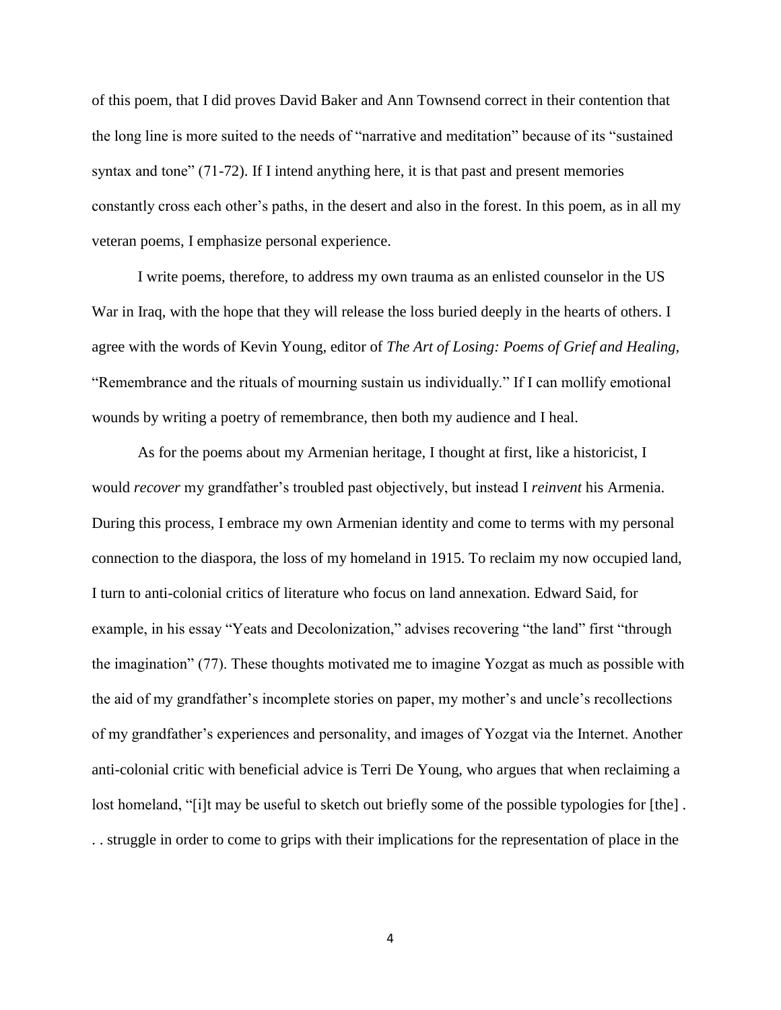of this poem, that I did proves David Baker and Ann Townsend correct in their contention that the long line is more suited to the needs of "narrative and meditation" because of its "sustained syntax and tone" (71-72). If I intend anything here, it is that past and present memories constantly cross each other's paths, in the desert and also in the forest. In this poem, as in all my veteran poems, I emphasize personal experience.

I write poems, therefore, to address my own trauma as an enlisted counselor in the US War in Iraq, with the hope that they will release the loss buried deeply in the hearts of others. I agree with the words of Kevin Young, editor of *The Art of Losing: Poems of Grief and Healing,* "Remembrance and the rituals of mourning sustain us individually." If I can mollify emotional wounds by writing a poetry of remembrance, then both my audience and I heal.

As for the poems about my Armenian heritage, I thought at first, like a historicist, I would *recover* my grandfather's troubled past objectively, but instead I *reinvent* his Armenia. During this process, I embrace my own Armenian identity and come to terms with my personal connection to the diaspora, the loss of my homeland in 1915. To reclaim my now occupied land, I turn to anti-colonial critics of literature who focus on land annexation. Edward Said, for example, in his essay "Yeats and Decolonization," advises recovering "the land" first "through the imagination" (77). These thoughts motivated me to imagine Yozgat as much as possible with the aid of my grandfather's incomplete stories on paper, my mother's and uncle's recollections of my grandfather's experiences and personality, and images of Yozgat via the Internet. Another anti-colonial critic with beneficial advice is Terri De Young, who argues that when reclaiming a lost homeland, "[i]t may be useful to sketch out briefly some of the possible typologies for [the]. . . struggle in order to come to grips with their implications for the representation of place in the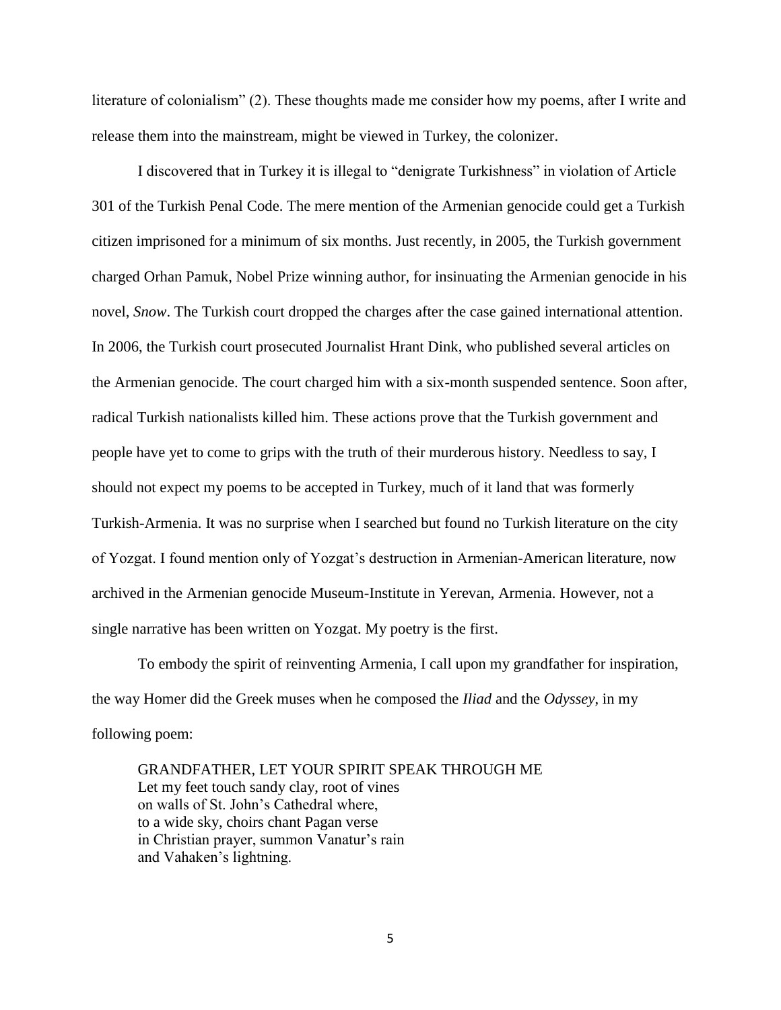literature of colonialism" (2). These thoughts made me consider how my poems, after I write and release them into the mainstream, might be viewed in Turkey, the colonizer.

I discovered that in Turkey it is illegal to "denigrate Turkishness" in violation of Article 301 of the Turkish Penal Code. The mere mention of the Armenian genocide could get a Turkish citizen imprisoned for a minimum of six months. Just recently, in 2005, the Turkish government charged Orhan Pamuk, Nobel Prize winning author, for insinuating the Armenian genocide in his novel, *Snow*. The Turkish court dropped the charges after the case gained international attention. In 2006, the Turkish court prosecuted Journalist Hrant Dink, who published several articles on the Armenian genocide. The court charged him with a six-month suspended sentence. Soon after, radical Turkish nationalists killed him. These actions prove that the Turkish government and people have yet to come to grips with the truth of their murderous history. Needless to say, I should not expect my poems to be accepted in Turkey, much of it land that was formerly Turkish-Armenia. It was no surprise when I searched but found no Turkish literature on the city of Yozgat. I found mention only of Yozgat's destruction in Armenian-American literature, now archived in the Armenian genocide Museum-Institute in Yerevan, Armenia. However, not a single narrative has been written on Yozgat. My poetry is the first.

To embody the spirit of reinventing Armenia, I call upon my grandfather for inspiration, the way Homer did the Greek muses when he composed the *Iliad* and the *Odyssey*, in my following poem:

GRANDFATHER, LET YOUR SPIRIT SPEAK THROUGH ME Let my feet touch sandy clay, root of vines on walls of St. John's Cathedral where, to a wide sky, choirs chant Pagan verse in Christian prayer, summon Vanatur's rain and Vahaken's lightning.

5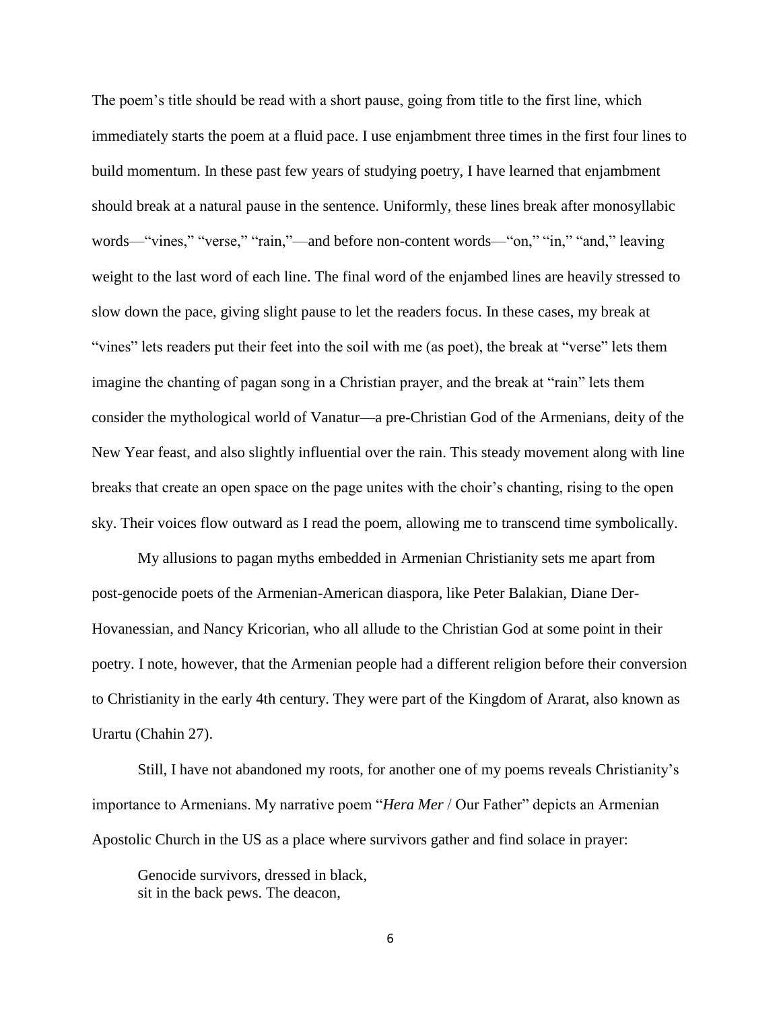The poem's title should be read with a short pause, going from title to the first line, which immediately starts the poem at a fluid pace. I use enjambment three times in the first four lines to build momentum. In these past few years of studying poetry, I have learned that enjambment should break at a natural pause in the sentence. Uniformly, these lines break after monosyllabic words—"vines," "verse," "rain,"—and before non-content words—"on," "in," "and," leaving weight to the last word of each line. The final word of the enjambed lines are heavily stressed to slow down the pace, giving slight pause to let the readers focus. In these cases, my break at "vines" lets readers put their feet into the soil with me (as poet), the break at "verse" lets them imagine the chanting of pagan song in a Christian prayer, and the break at "rain" lets them consider the mythological world of Vanatur—a pre-Christian God of the Armenians, deity of the New Year feast, and also slightly influential over the rain. This steady movement along with line breaks that create an open space on the page unites with the choir's chanting, rising to the open sky. Their voices flow outward as I read the poem, allowing me to transcend time symbolically.

My allusions to pagan myths embedded in Armenian Christianity sets me apart from post-genocide poets of the Armenian-American diaspora, like Peter Balakian, Diane Der-Hovanessian, and Nancy Kricorian, who all allude to the Christian God at some point in their poetry. I note, however, that the Armenian people had a different religion before their conversion to Christianity in the early 4th century. They were part of the Kingdom of Ararat, also known as Urartu (Chahin 27).

Still, I have not abandoned my roots, for another one of my poems reveals Christianity's importance to Armenians. My narrative poem "*Hera Mer* / Our Father" depicts an Armenian Apostolic Church in the US as a place where survivors gather and find solace in prayer:

Genocide survivors, dressed in black, sit in the back pews. The deacon,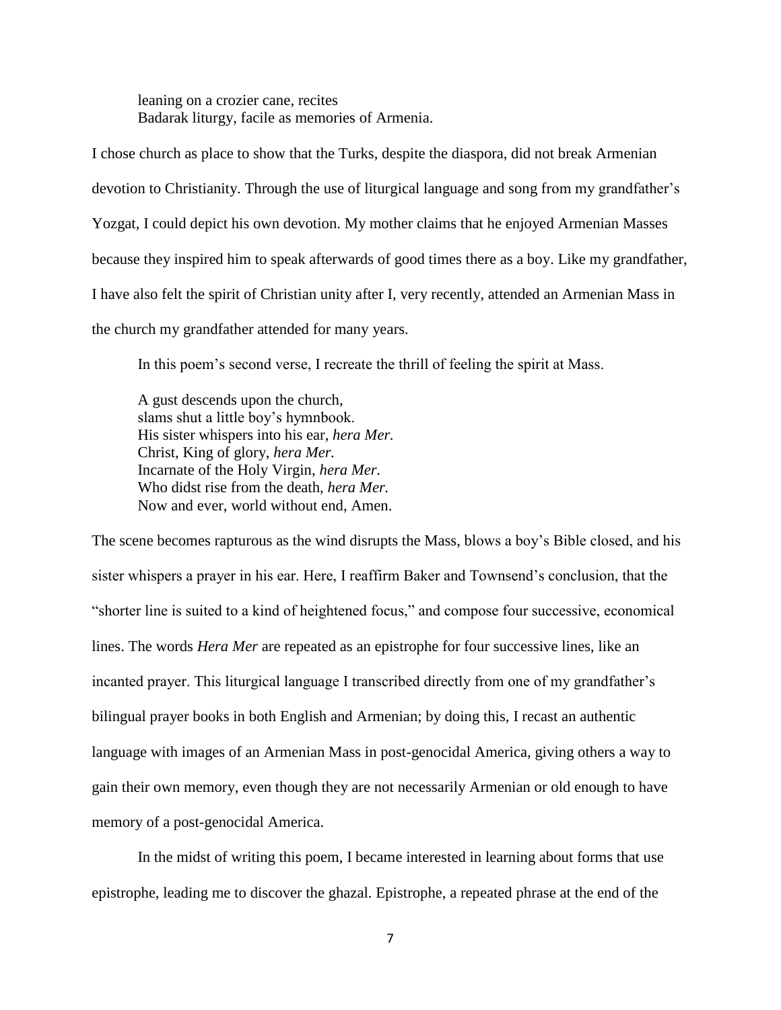leaning on a crozier cane, recites Badarak liturgy, facile as memories of Armenia.

I chose church as place to show that the Turks, despite the diaspora, did not break Armenian devotion to Christianity. Through the use of liturgical language and song from my grandfather's Yozgat, I could depict his own devotion. My mother claims that he enjoyed Armenian Masses because they inspired him to speak afterwards of good times there as a boy. Like my grandfather, I have also felt the spirit of Christian unity after I, very recently, attended an Armenian Mass in the church my grandfather attended for many years.

In this poem's second verse, I recreate the thrill of feeling the spirit at Mass.

A gust descends upon the church, slams shut a little boy's hymnbook. His sister whispers into his ear, *hera Mer.* Christ, King of glory, *hera Mer.* Incarnate of the Holy Virgin, *hera Mer.* Who didst rise from the death, *hera Mer.* Now and ever, world without end, Amen.

The scene becomes rapturous as the wind disrupts the Mass, blows a boy's Bible closed, and his sister whispers a prayer in his ear. Here, I reaffirm Baker and Townsend's conclusion, that the "shorter line is suited to a kind of heightened focus," and compose four successive, economical lines. The words *Hera Mer* are repeated as an epistrophe for four successive lines, like an incanted prayer. This liturgical language I transcribed directly from one of my grandfather's bilingual prayer books in both English and Armenian; by doing this, I recast an authentic language with images of an Armenian Mass in post-genocidal America, giving others a way to gain their own memory, even though they are not necessarily Armenian or old enough to have memory of a post-genocidal America.

In the midst of writing this poem, I became interested in learning about forms that use epistrophe, leading me to discover the ghazal. Epistrophe, a repeated phrase at the end of the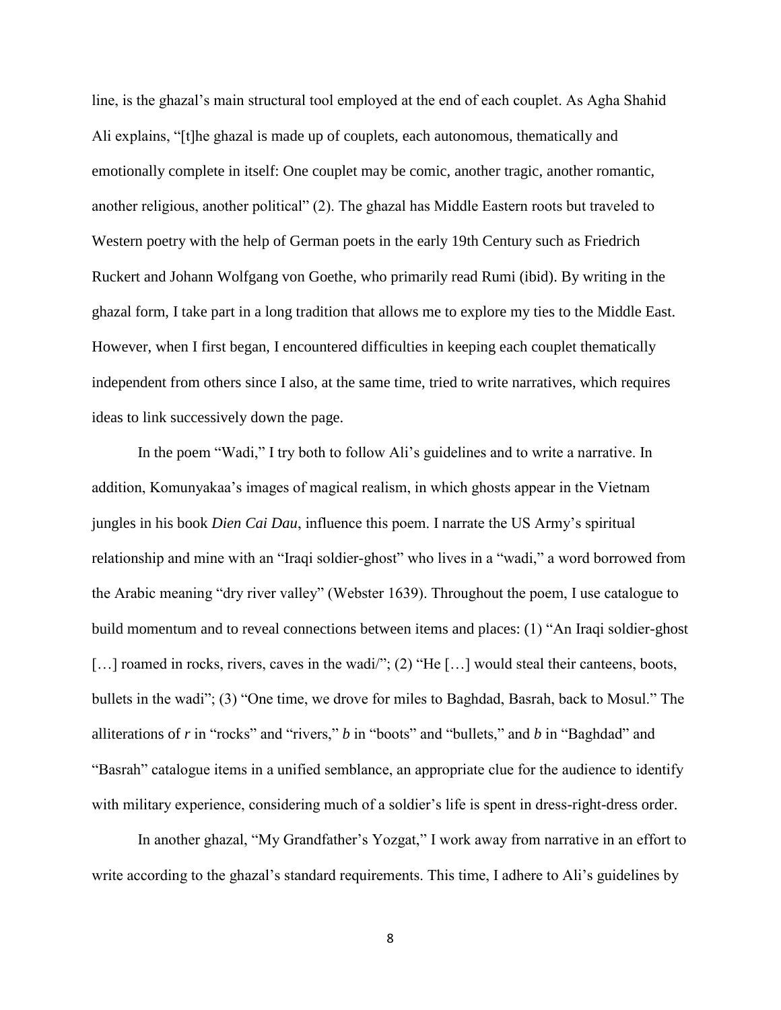line, is the ghazal's main structural tool employed at the end of each couplet. As Agha Shahid Ali explains, "[t]he ghazal is made up of couplets, each autonomous, thematically and emotionally complete in itself: One couplet may be comic, another tragic, another romantic, another religious, another political" (2). The ghazal has Middle Eastern roots but traveled to Western poetry with the help of German poets in the early 19th Century such as Friedrich Ruckert and Johann Wolfgang von Goethe, who primarily read Rumi (ibid). By writing in the ghazal form, I take part in a long tradition that allows me to explore my ties to the Middle East. However, when I first began, I encountered difficulties in keeping each couplet thematically independent from others since I also, at the same time, tried to write narratives, which requires ideas to link successively down the page.

In the poem "Wadi," I try both to follow Ali's guidelines and to write a narrative. In addition, Komunyakaa's images of magical realism, in which ghosts appear in the Vietnam jungles in his book *Dien Cai Dau*, influence this poem. I narrate the US Army's spiritual relationship and mine with an "Iraqi soldier-ghost" who lives in a "wadi," a word borrowed from the Arabic meaning "dry river valley" (Webster 1639). Throughout the poem, I use catalogue to build momentum and to reveal connections between items and places: (1) "An Iraqi soldier-ghost [...] roamed in rocks, rivers, caves in the wadi/"; (2) "He [...] would steal their canteens, boots, bullets in the wadi"; (3) "One time, we drove for miles to Baghdad, Basrah, back to Mosul." The alliterations of *r* in "rocks" and "rivers," *b* in "boots" and "bullets," and *b* in "Baghdad" and "Basrah" catalogue items in a unified semblance, an appropriate clue for the audience to identify with military experience, considering much of a soldier's life is spent in dress-right-dress order.

In another ghazal, "My Grandfather's Yozgat," I work away from narrative in an effort to write according to the ghazal's standard requirements. This time, I adhere to Ali's guidelines by

8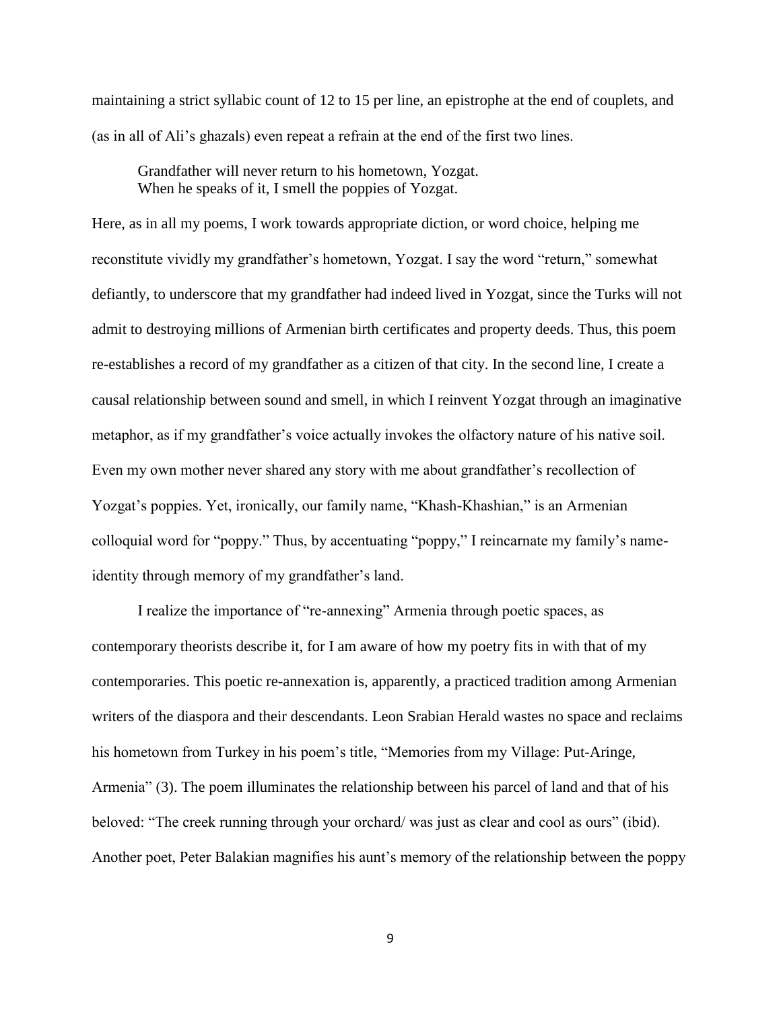maintaining a strict syllabic count of 12 to 15 per line, an epistrophe at the end of couplets, and (as in all of Ali's ghazals) even repeat a refrain at the end of the first two lines.

Grandfather will never return to his hometown, Yozgat. When he speaks of it, I smell the poppies of Yozgat.

Here, as in all my poems, I work towards appropriate diction, or word choice, helping me reconstitute vividly my grandfather's hometown, Yozgat. I say the word "return," somewhat defiantly, to underscore that my grandfather had indeed lived in Yozgat, since the Turks will not admit to destroying millions of Armenian birth certificates and property deeds. Thus, this poem re-establishes a record of my grandfather as a citizen of that city. In the second line, I create a causal relationship between sound and smell, in which I reinvent Yozgat through an imaginative metaphor, as if my grandfather's voice actually invokes the olfactory nature of his native soil. Even my own mother never shared any story with me about grandfather's recollection of Yozgat's poppies. Yet, ironically, our family name, "Khash-Khashian," is an Armenian colloquial word for "poppy." Thus, by accentuating "poppy," I reincarnate my family's nameidentity through memory of my grandfather's land.

I realize the importance of "re-annexing" Armenia through poetic spaces, as contemporary theorists describe it, for I am aware of how my poetry fits in with that of my contemporaries. This poetic re-annexation is, apparently, a practiced tradition among Armenian writers of the diaspora and their descendants. Leon Srabian Herald wastes no space and reclaims his hometown from Turkey in his poem's title, "Memories from my Village: Put-Aringe, Armenia" (3). The poem illuminates the relationship between his parcel of land and that of his beloved: "The creek running through your orchard/ was just as clear and cool as ours" (ibid). Another poet, Peter Balakian magnifies his aunt's memory of the relationship between the poppy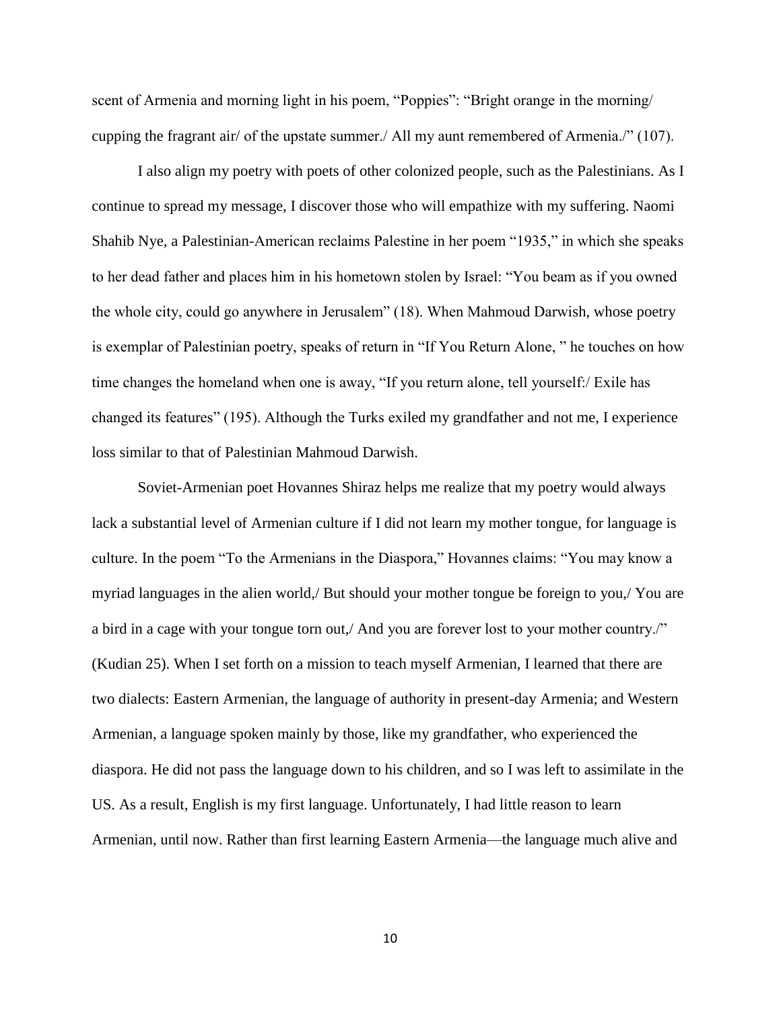scent of Armenia and morning light in his poem, "Poppies": "Bright orange in the morning/ cupping the fragrant air/ of the upstate summer./ All my aunt remembered of Armenia./" (107).

I also align my poetry with poets of other colonized people, such as the Palestinians. As I continue to spread my message, I discover those who will empathize with my suffering. Naomi Shahib Nye, a Palestinian-American reclaims Palestine in her poem "1935," in which she speaks to her dead father and places him in his hometown stolen by Israel: "You beam as if you owned the whole city, could go anywhere in Jerusalem" (18). When Mahmoud Darwish, whose poetry is exemplar of Palestinian poetry, speaks of return in "If You Return Alone, " he touches on how time changes the homeland when one is away, "If you return alone, tell yourself:/ Exile has changed its features" (195). Although the Turks exiled my grandfather and not me, I experience loss similar to that of Palestinian Mahmoud Darwish.

Soviet-Armenian poet Hovannes Shiraz helps me realize that my poetry would always lack a substantial level of Armenian culture if I did not learn my mother tongue, for language is culture. In the poem "To the Armenians in the Diaspora," Hovannes claims: "You may know a myriad languages in the alien world,/ But should your mother tongue be foreign to you,/ You are a bird in a cage with your tongue torn out,/ And you are forever lost to your mother country./" (Kudian 25). When I set forth on a mission to teach myself Armenian, I learned that there are two dialects: Eastern Armenian, the language of authority in present-day Armenia; and Western Armenian, a language spoken mainly by those, like my grandfather, who experienced the diaspora. He did not pass the language down to his children, and so I was left to assimilate in the US. As a result, English is my first language. Unfortunately, I had little reason to learn Armenian, until now. Rather than first learning Eastern Armenia—the language much alive and

10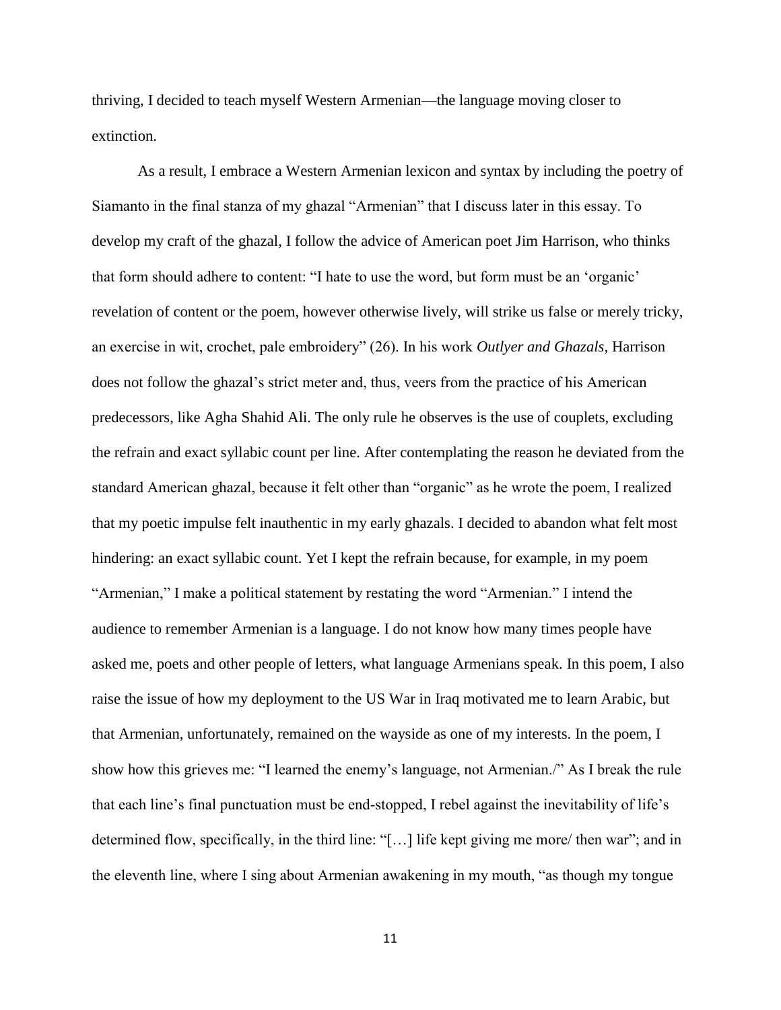thriving, I decided to teach myself Western Armenian—the language moving closer to extinction.

As a result, I embrace a Western Armenian lexicon and syntax by including the poetry of Siamanto in the final stanza of my ghazal "Armenian" that I discuss later in this essay. To develop my craft of the ghazal, I follow the advice of American poet Jim Harrison, who thinks that form should adhere to content: "I hate to use the word, but form must be an 'organic' revelation of content or the poem, however otherwise lively, will strike us false or merely tricky, an exercise in wit, crochet, pale embroidery" (26). In his work *Outlyer and Ghazals*, Harrison does not follow the ghazal's strict meter and, thus, veers from the practice of his American predecessors, like Agha Shahid Ali. The only rule he observes is the use of couplets, excluding the refrain and exact syllabic count per line. After contemplating the reason he deviated from the standard American ghazal, because it felt other than "organic" as he wrote the poem, I realized that my poetic impulse felt inauthentic in my early ghazals. I decided to abandon what felt most hindering: an exact syllabic count. Yet I kept the refrain because, for example, in my poem "Armenian," I make a political statement by restating the word "Armenian." I intend the audience to remember Armenian is a language. I do not know how many times people have asked me, poets and other people of letters, what language Armenians speak. In this poem, I also raise the issue of how my deployment to the US War in Iraq motivated me to learn Arabic, but that Armenian, unfortunately, remained on the wayside as one of my interests. In the poem, I show how this grieves me: "I learned the enemy's language, not Armenian./" As I break the rule that each line's final punctuation must be end-stopped, I rebel against the inevitability of life's determined flow, specifically, in the third line: "[…] life kept giving me more/ then war"; and in the eleventh line, where I sing about Armenian awakening in my mouth, "as though my tongue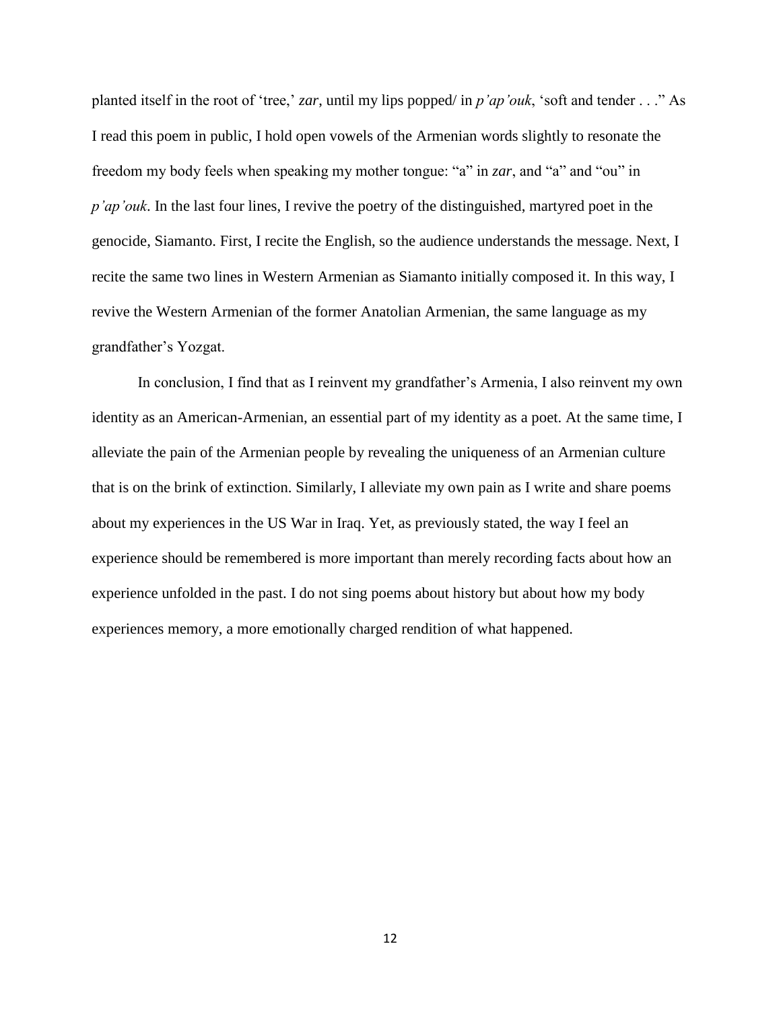planted itself in the root of 'tree,' *zar*, until my lips popped/ in *p'ap'ouk*, 'soft and tender . . ." As I read this poem in public, I hold open vowels of the Armenian words slightly to resonate the freedom my body feels when speaking my mother tongue: "a" in *zar*, and "a" and "ou" in *p'ap'ouk*. In the last four lines, I revive the poetry of the distinguished, martyred poet in the genocide, Siamanto. First, I recite the English, so the audience understands the message. Next, I recite the same two lines in Western Armenian as Siamanto initially composed it. In this way, I revive the Western Armenian of the former Anatolian Armenian, the same language as my grandfather's Yozgat.

In conclusion, I find that as I reinvent my grandfather's Armenia, I also reinvent my own identity as an American-Armenian, an essential part of my identity as a poet. At the same time, I alleviate the pain of the Armenian people by revealing the uniqueness of an Armenian culture that is on the brink of extinction. Similarly, I alleviate my own pain as I write and share poems about my experiences in the US War in Iraq. Yet, as previously stated, the way I feel an experience should be remembered is more important than merely recording facts about how an experience unfolded in the past. I do not sing poems about history but about how my body experiences memory, a more emotionally charged rendition of what happened.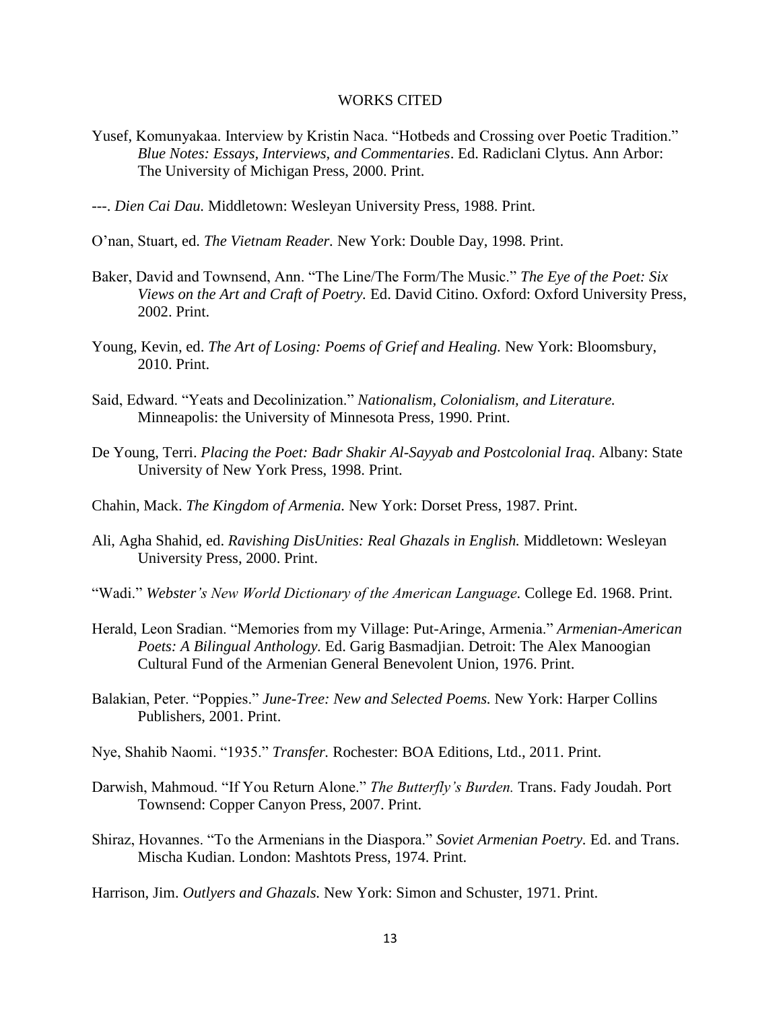#### WORKS CITED

- Yusef, Komunyakaa. Interview by Kristin Naca. "Hotbeds and Crossing over Poetic Tradition." *Blue Notes: Essays, Interviews, and Commentaries*. Ed. Radiclani Clytus. Ann Arbor: The University of Michigan Press, 2000. Print.
- ---. *Dien Cai Dau.* Middletown: Wesleyan University Press, 1988. Print.
- O'nan, Stuart, ed. *The Vietnam Reader.* New York: Double Day, 1998. Print.
- Baker, David and Townsend, Ann. "The Line/The Form/The Music." *The Eye of the Poet: Six Views on the Art and Craft of Poetry.* Ed. David Citino. Oxford: Oxford University Press, 2002. Print.
- Young, Kevin, ed. *The Art of Losing: Poems of Grief and Healing.* New York: Bloomsbury, 2010. Print.
- Said, Edward. "Yeats and Decolinization." *Nationalism, Colonialism, and Literature.*  Minneapolis: the University of Minnesota Press, 1990. Print.
- De Young, Terri. *Placing the Poet: Badr Shakir Al-Sayyab and Postcolonial Iraq*. Albany: State University of New York Press, 1998. Print.
- Chahin, Mack. *The Kingdom of Armenia.* New York: Dorset Press, 1987. Print.
- Ali, Agha Shahid, ed. *Ravishing DisUnities: Real Ghazals in English.* Middletown: Wesleyan University Press, 2000. Print.
- "Wadi." *Webster's New World Dictionary of the American Language.* College Ed. 1968. Print.
- Herald, Leon Sradian. "Memories from my Village: Put-Aringe, Armenia." *Armenian-American Poets: A Bilingual Anthology.* Ed. Garig Basmadjian. Detroit: The Alex Manoogian Cultural Fund of the Armenian General Benevolent Union, 1976. Print.
- Balakian, Peter. "Poppies." *June-Tree: New and Selected Poems.* New York: Harper Collins Publishers, 2001. Print.
- Nye, Shahib Naomi. "1935." *Transfer.* Rochester: BOA Editions, Ltd., 2011. Print.
- Darwish, Mahmoud. "If You Return Alone." *The Butterfly's Burden.* Trans. Fady Joudah. Port Townsend: Copper Canyon Press, 2007. Print.
- Shiraz, Hovannes. "To the Armenians in the Diaspora." *Soviet Armenian Poetry.* Ed. and Trans. Mischa Kudian. London: Mashtots Press, 1974. Print.

Harrison, Jim. *Outlyers and Ghazals.* New York: Simon and Schuster, 1971. Print.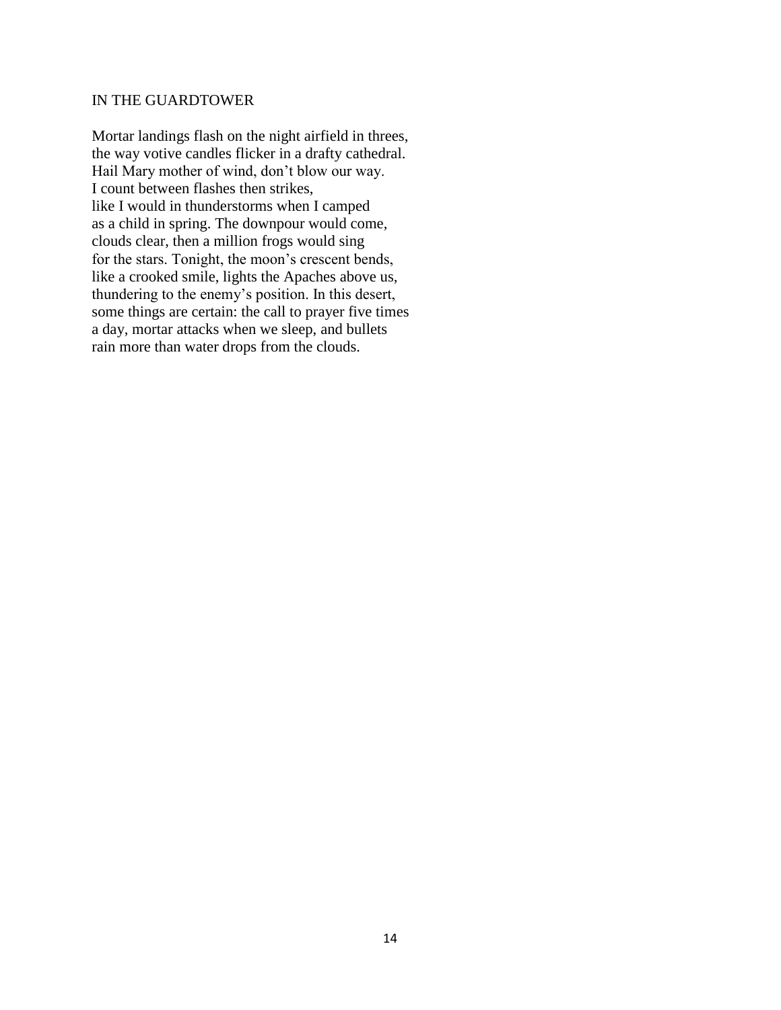#### IN THE GUARDTOWER

Mortar landings flash on the night airfield in threes, the way votive candles flicker in a drafty cathedral. Hail Mary mother of wind, don't blow our way. I count between flashes then strikes, like I would in thunderstorms when I camped as a child in spring. The downpour would come, clouds clear, then a million frogs would sing for the stars. Tonight, the moon's crescent bends, like a crooked smile, lights the Apaches above us, thundering to the enemy's position. In this desert, some things are certain: the call to prayer five times a day, mortar attacks when we sleep, and bullets rain more than water drops from the clouds.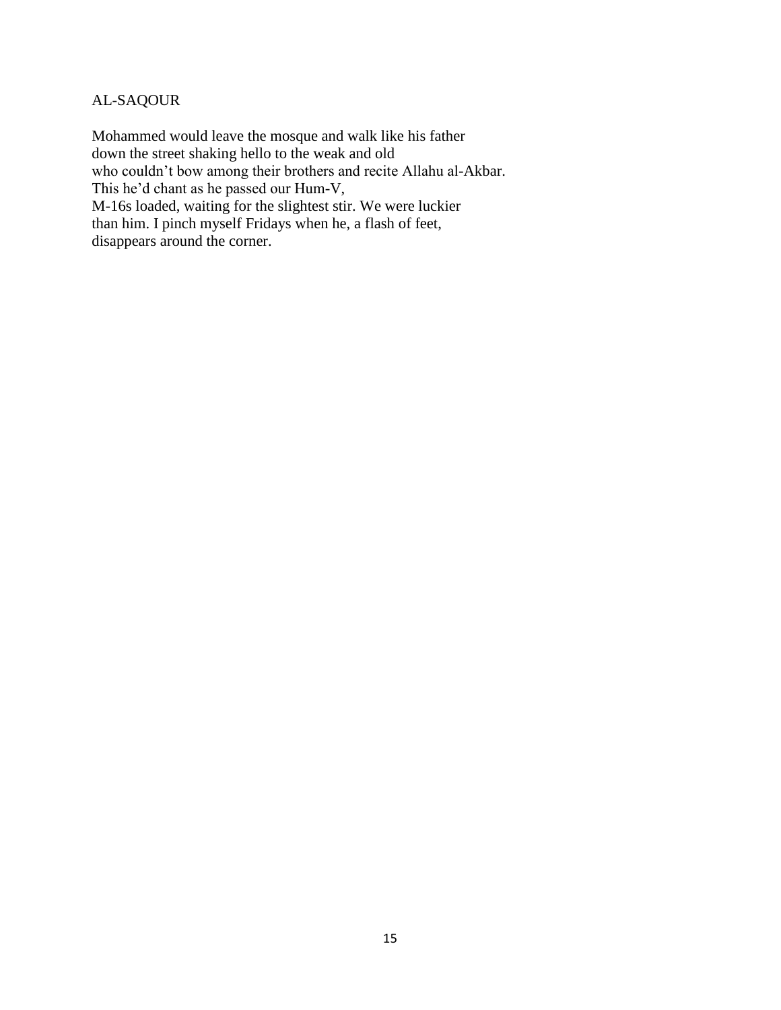# AL-SAQOUR

Mohammed would leave the mosque and walk like his father down the street shaking hello to the weak and old who couldn't bow among their brothers and recite Allahu al-Akbar. This he'd chant as he passed our Hum-V, M-16s loaded, waiting for the slightest stir. We were luckier than him. I pinch myself Fridays when he, a flash of feet, disappears around the corner.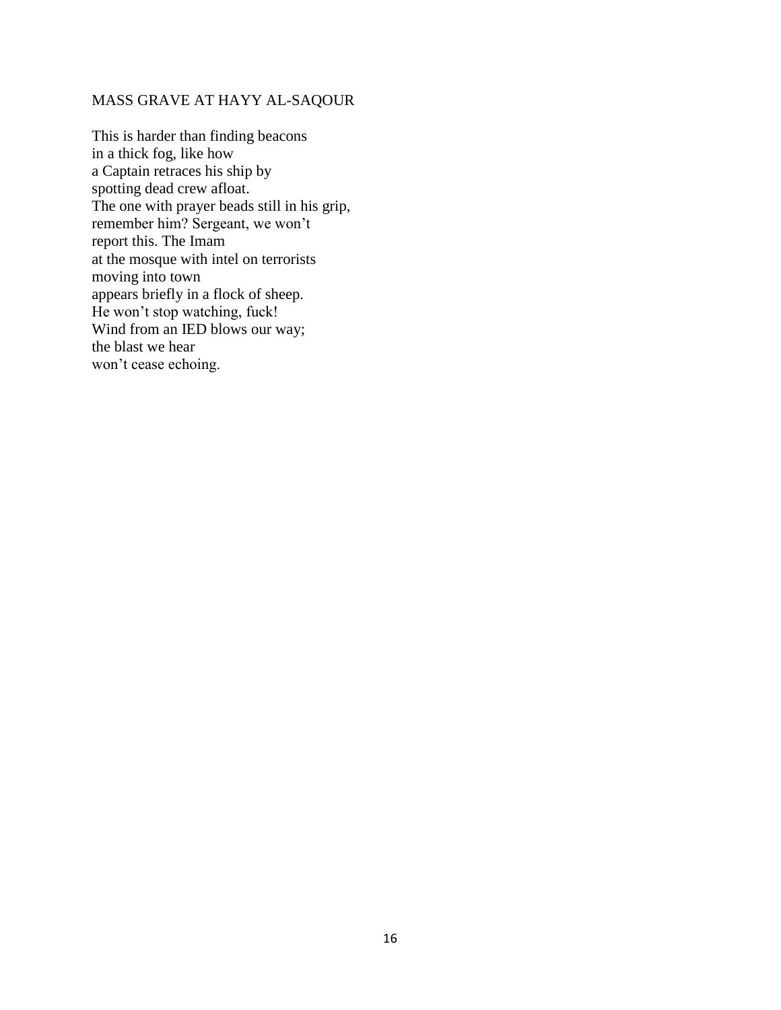# MASS GRAVE AT HAYY AL-SAQOUR

This is harder than finding beacons in a thick fog, like how a Captain retraces his ship by spotting dead crew afloat. The one with prayer beads still in his grip, remember him? Sergeant, we won't report this. The Imam at the mosque with intel on terrorists moving into town appears briefly in a flock of sheep. He won't stop watching, fuck! Wind from an IED blows our way; the blast we hear won't cease echoing.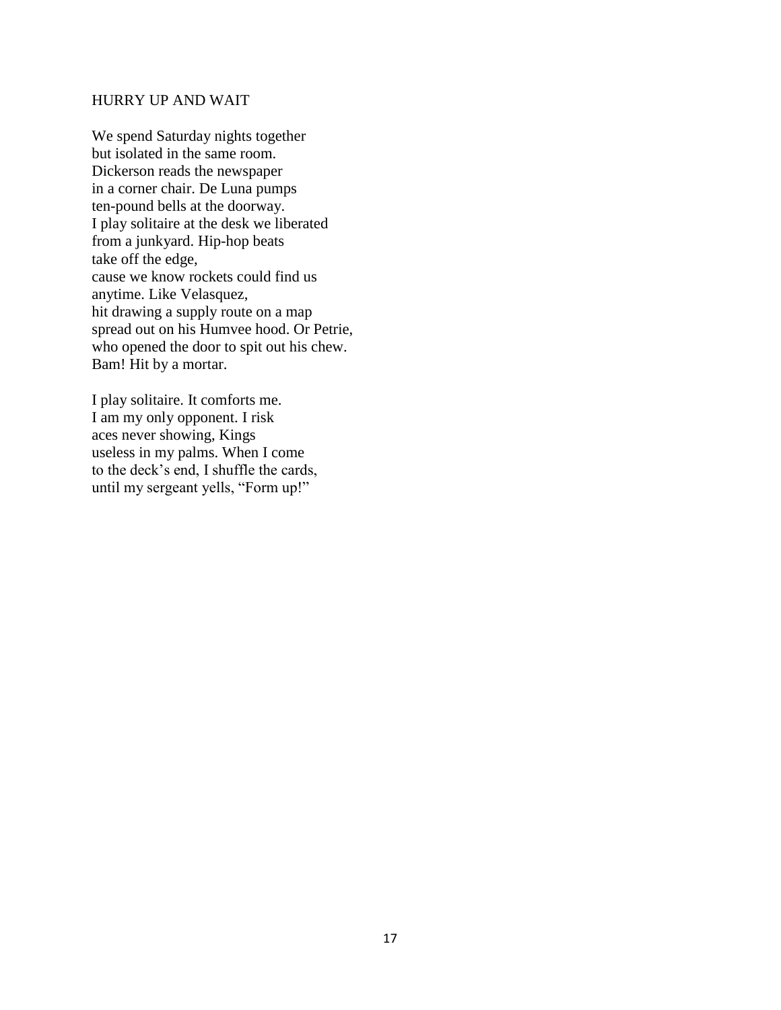#### HURRY UP AND WAIT

We spend Saturday nights together but isolated in the same room. Dickerson reads the newspaper in a corner chair. De Luna pumps ten-pound bells at the doorway. I play solitaire at the desk we liberated from a junkyard. Hip-hop beats take off the edge, cause we know rockets could find us anytime. Like Velasquez, hit drawing a supply route on a map spread out on his Humvee hood. Or Petrie, who opened the door to spit out his chew. Bam! Hit by a mortar.

I play solitaire. It comforts me. I am my only opponent. I risk aces never showing, Kings useless in my palms. When I come to the deck's end, I shuffle the cards, until my sergeant yells, "Form up!"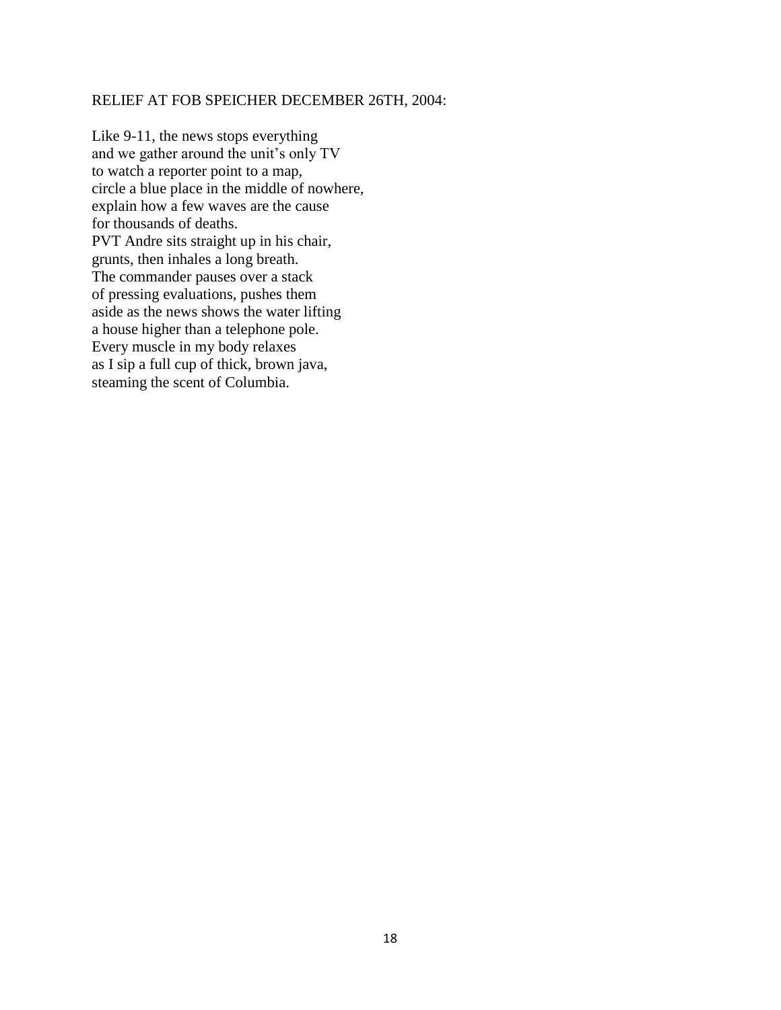#### RELIEF AT FOB SPEICHER DECEMBER 26TH, 2004:

Like 9-11, the news stops everything and we gather around the unit's only TV to watch a reporter point to a map, circle a blue place in the middle of nowhere, explain how a few waves are the cause for thousands of deaths. PVT Andre sits straight up in his chair, grunts, then inhales a long breath. The commander pauses over a stack of pressing evaluations, pushes them aside as the news shows the water lifting a house higher than a telephone pole. Every muscle in my body relaxes as I sip a full cup of thick, brown java, steaming the scent of Columbia.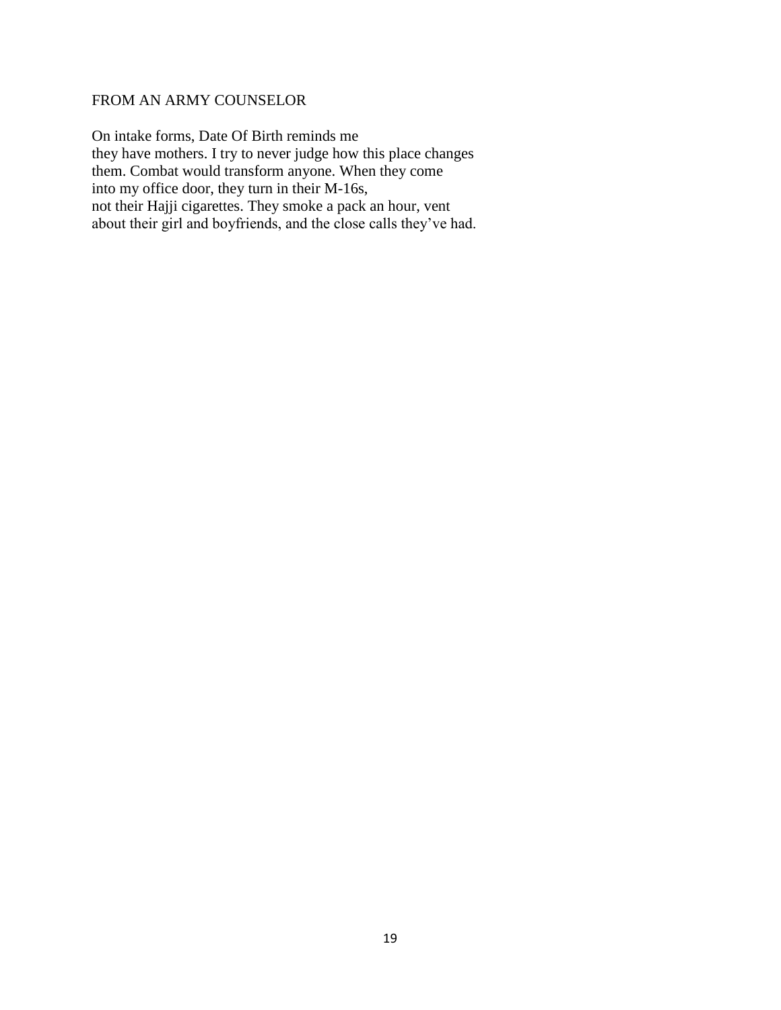# FROM AN ARMY COUNSELOR

On intake forms, Date Of Birth reminds me they have mothers. I try to never judge how this place changes them. Combat would transform anyone. When they come into my office door, they turn in their M-16s, not their Hajji cigarettes. They smoke a pack an hour, vent about their girl and boyfriends, and the close calls they've had.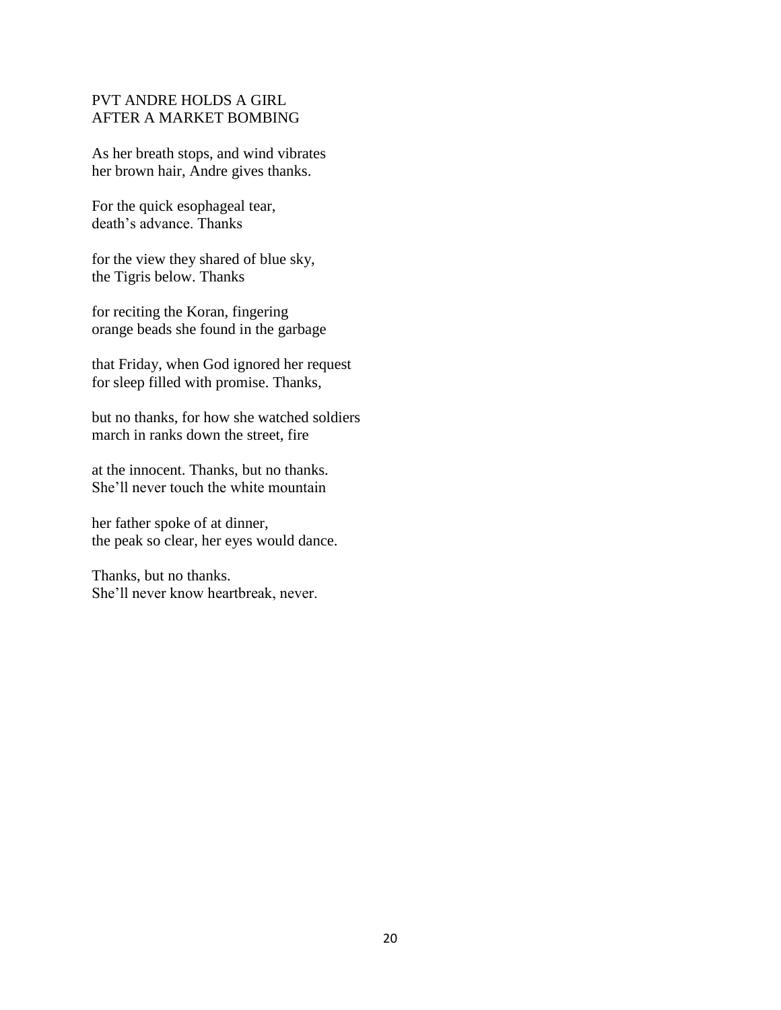# PVT ANDRE HOLDS A GIRL AFTER A MARKET BOMBING

As her breath stops, and wind vibrates her brown hair, Andre gives thanks.

For the quick esophageal tear, death's advance. Thanks

for the view they shared of blue sky, the Tigris below. Thanks

for reciting the Koran, fingering orange beads she found in the garbage

that Friday, when God ignored her request for sleep filled with promise. Thanks,

but no thanks, for how she watched soldiers march in ranks down the street, fire

at the innocent. Thanks, but no thanks. She'll never touch the white mountain

her father spoke of at dinner, the peak so clear, her eyes would dance.

Thanks, but no thanks. She'll never know heartbreak, never.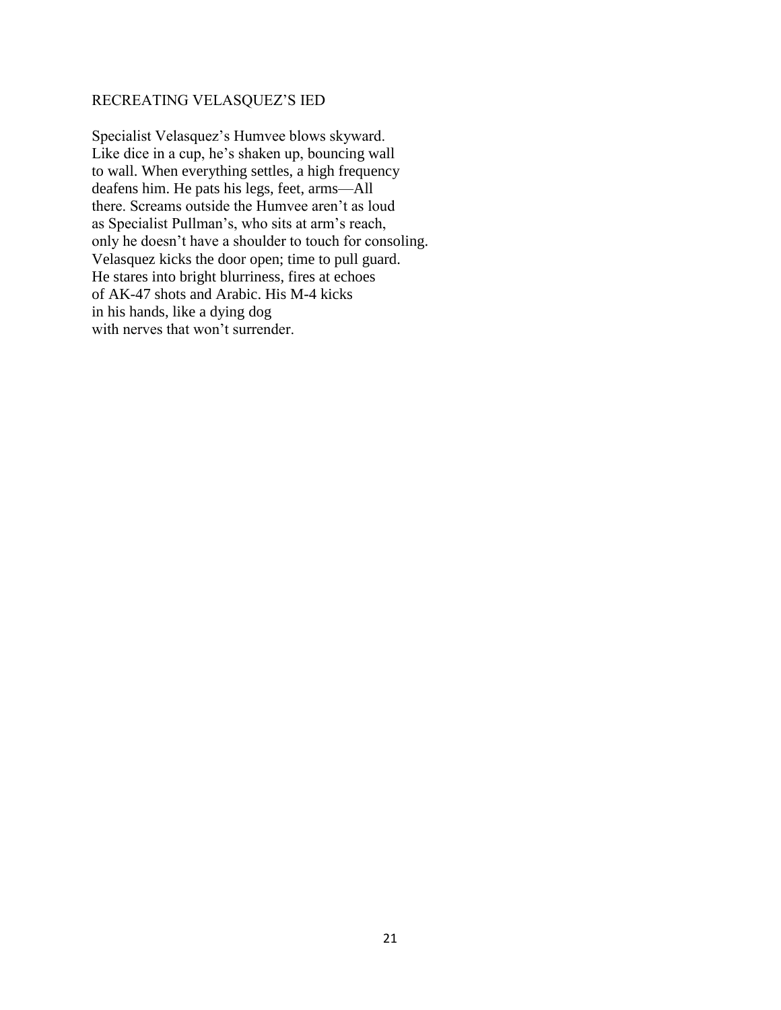# RECREATING VELASQUEZ'S IED

Specialist Velasquez's Humvee blows skyward. Like dice in a cup, he's shaken up, bouncing wall to wall. When everything settles, a high frequency deafens him. He pats his legs, feet, arms—All there. Screams outside the Humvee aren't as loud as Specialist Pullman's, who sits at arm's reach, only he doesn't have a shoulder to touch for consoling. Velasquez kicks the door open; time to pull guard. He stares into bright blurriness, fires at echoes of AK-47 shots and Arabic. His M-4 kicks in his hands, like a dying dog with nerves that won't surrender.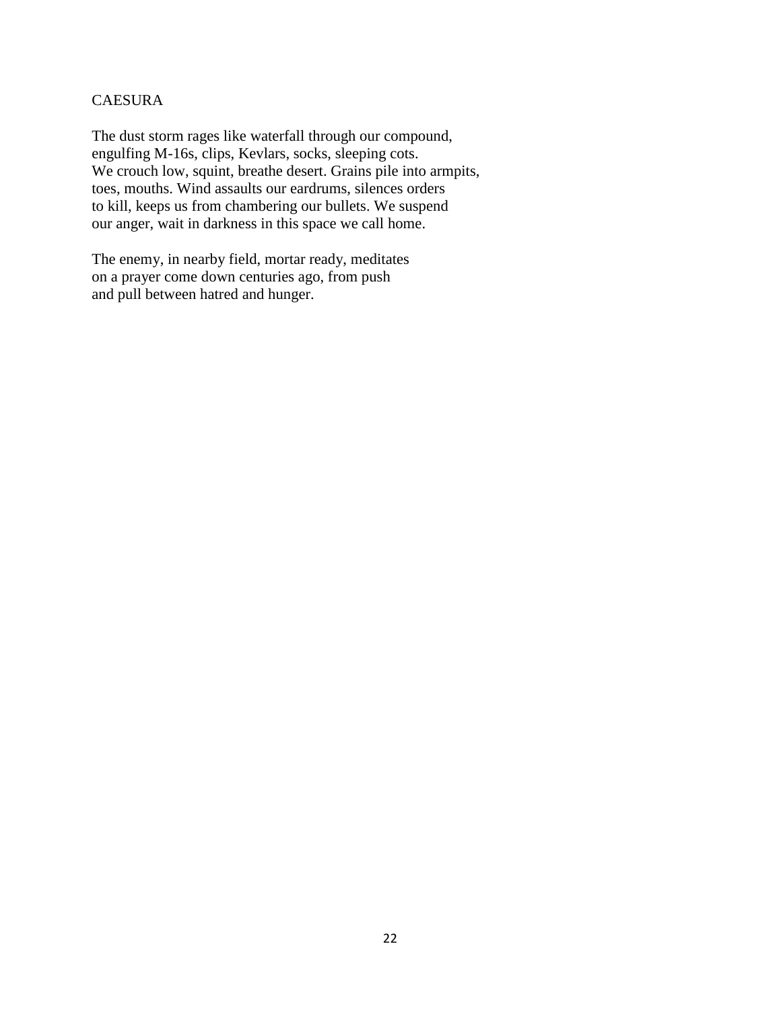# CAESURA

The dust storm rages like waterfall through our compound, engulfing M-16s, clips, Kevlars, socks, sleeping cots. We crouch low, squint, breathe desert. Grains pile into armpits, toes, mouths. Wind assaults our eardrums, silences orders to kill, keeps us from chambering our bullets. We suspend our anger, wait in darkness in this space we call home.

The enemy, in nearby field, mortar ready, meditates on a prayer come down centuries ago, from push and pull between hatred and hunger.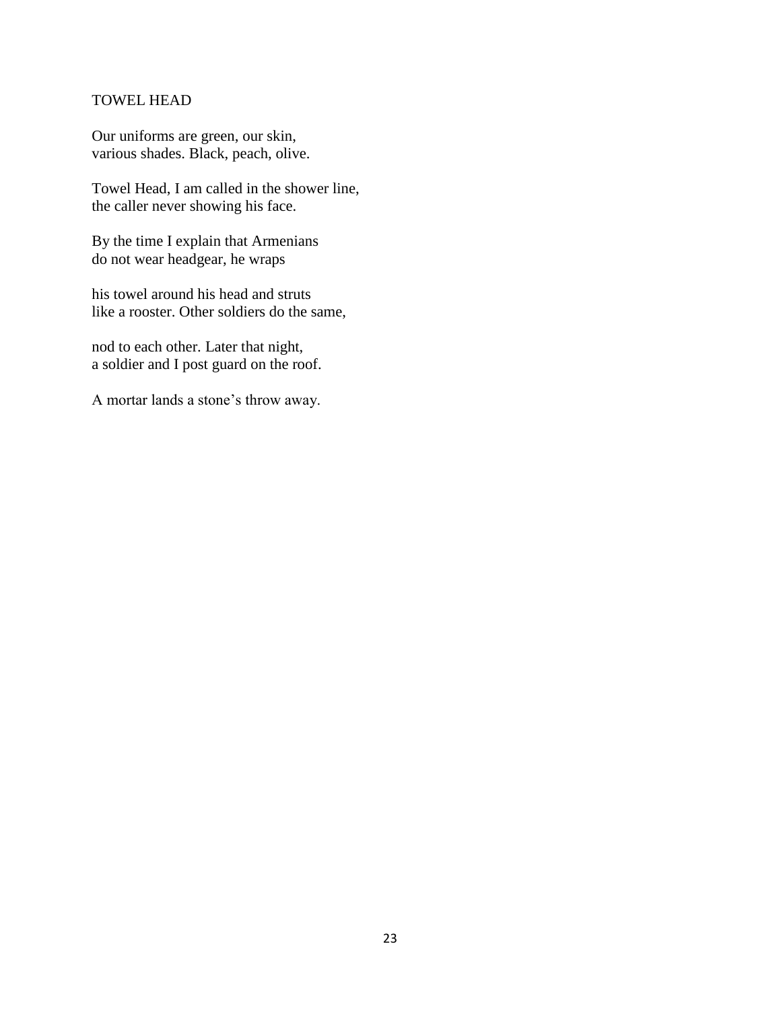## TOWEL HEAD

Our uniforms are green, our skin, various shades. Black, peach, olive.

Towel Head, I am called in the shower line, the caller never showing his face.

By the time I explain that Armenians do not wear headgear, he wraps

his towel around his head and struts like a rooster. Other soldiers do the same,

nod to each other. Later that night, a soldier and I post guard on the roof.

A mortar lands a stone's throw away.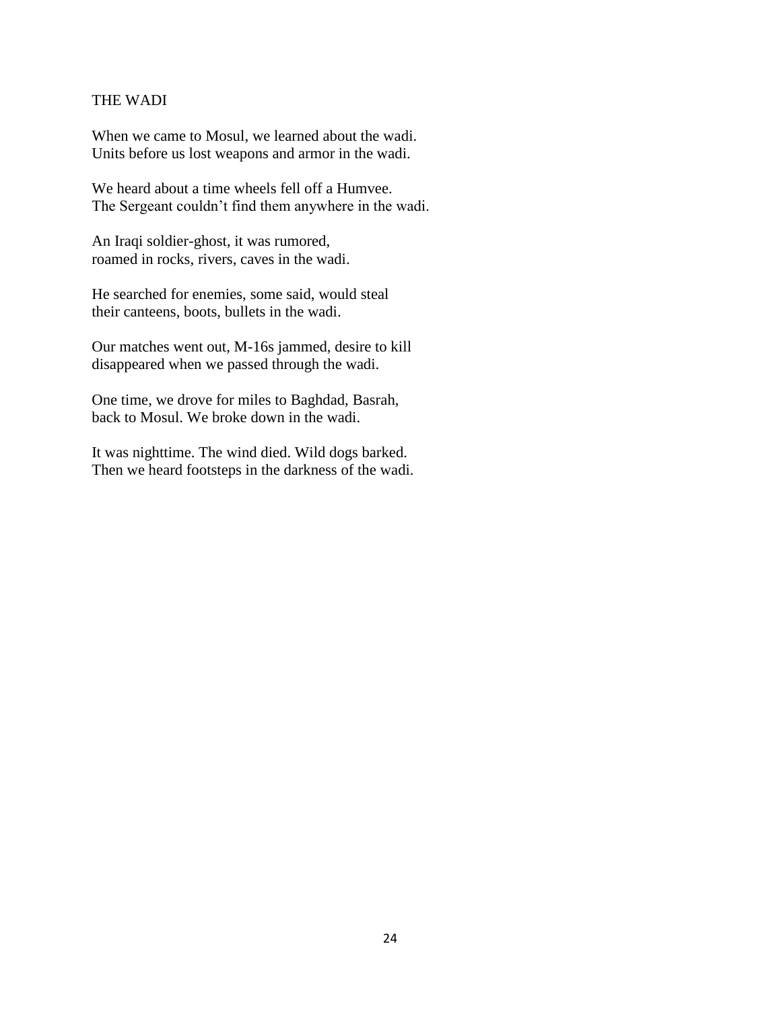#### THE WADI

When we came to Mosul, we learned about the wadi. Units before us lost weapons and armor in the wadi.

We heard about a time wheels fell off a Humvee. The Sergeant couldn't find them anywhere in the wadi.

An Iraqi soldier-ghost, it was rumored, roamed in rocks, rivers, caves in the wadi.

He searched for enemies, some said, would steal their canteens, boots, bullets in the wadi.

Our matches went out, M-16s jammed, desire to kill disappeared when we passed through the wadi.

One time, we drove for miles to Baghdad, Basrah, back to Mosul. We broke down in the wadi.

It was nighttime. The wind died. Wild dogs barked. Then we heard footsteps in the darkness of the wadi.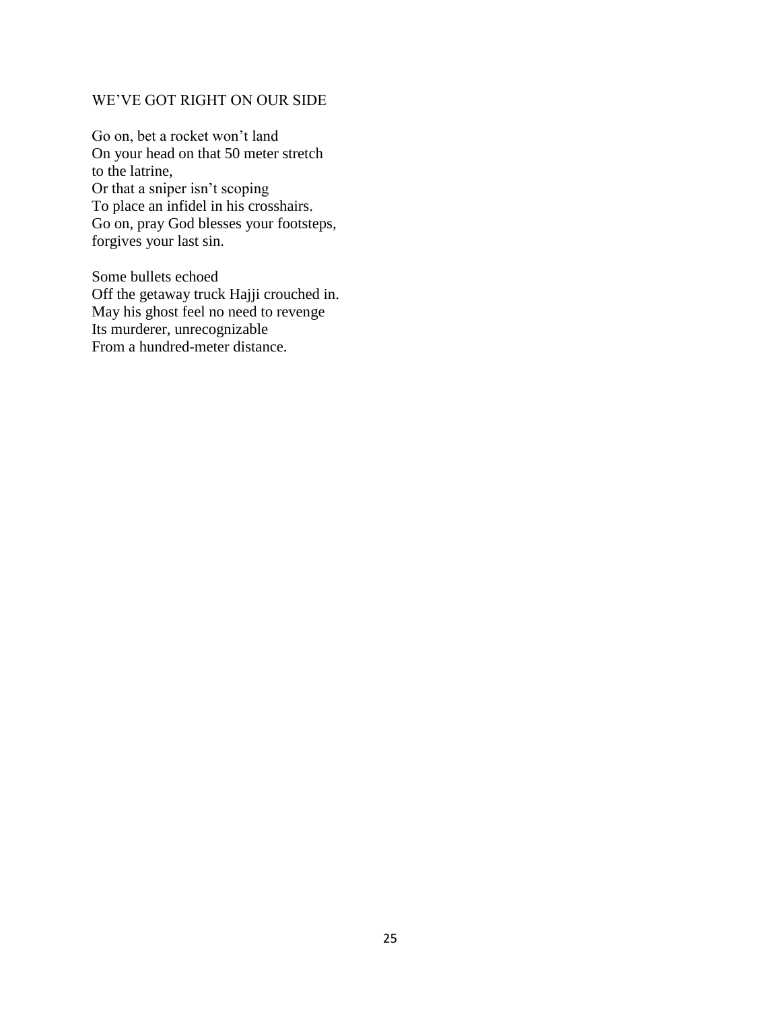## WE'VE GOT RIGHT ON OUR SIDE

Go on, bet a rocket won't land On your head on that 50 meter stretch to the latrine, Or that a sniper isn't scoping To place an infidel in his crosshairs. Go on, pray God blesses your footsteps, forgives your last sin.

Some bullets echoed Off the getaway truck Hajji crouched in. May his ghost feel no need to revenge Its murderer, unrecognizable From a hundred-meter distance.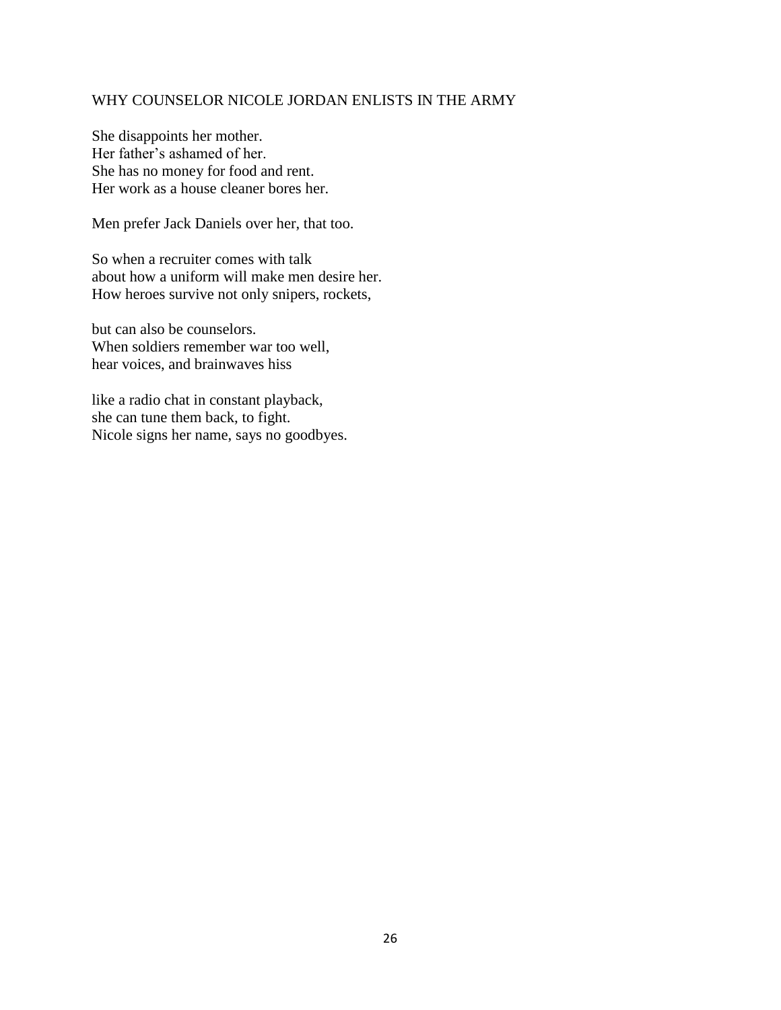## WHY COUNSELOR NICOLE JORDAN ENLISTS IN THE ARMY

She disappoints her mother. Her father's ashamed of her. She has no money for food and rent. Her work as a house cleaner bores her.

Men prefer Jack Daniels over her, that too.

So when a recruiter comes with talk about how a uniform will make men desire her. How heroes survive not only snipers, rockets,

but can also be counselors. When soldiers remember war too well, hear voices, and brainwaves hiss

like a radio chat in constant playback, she can tune them back, to fight. Nicole signs her name, says no goodbyes.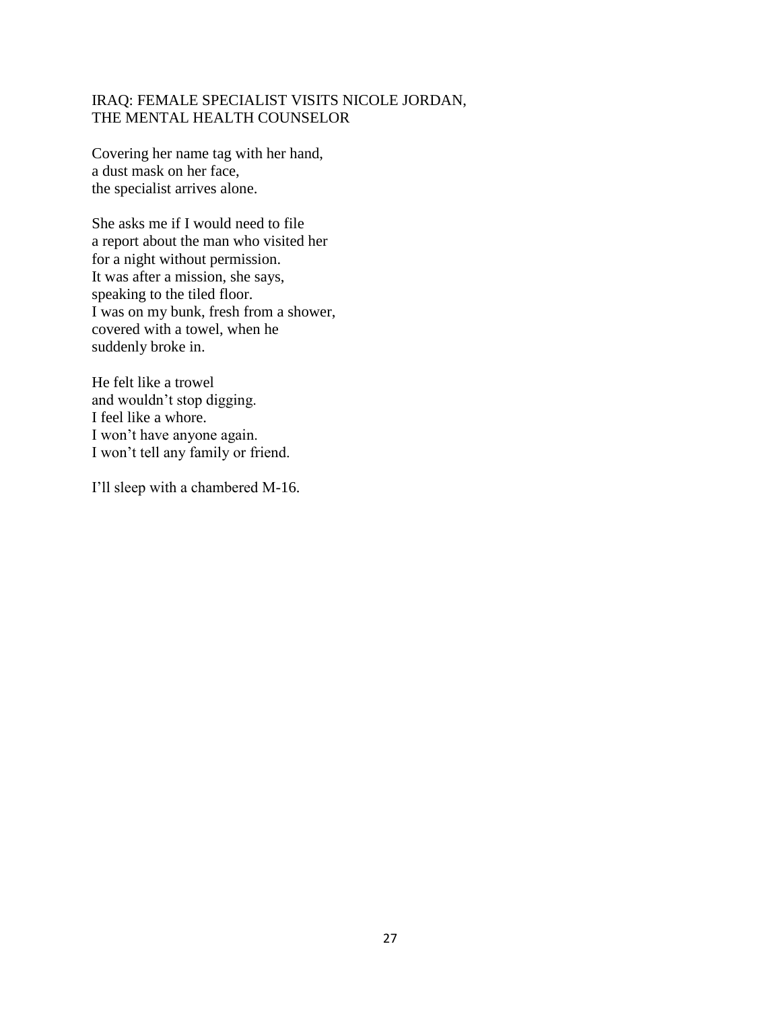# IRAQ: FEMALE SPECIALIST VISITS NICOLE JORDAN, THE MENTAL HEALTH COUNSELOR

Covering her name tag with her hand, a dust mask on her face, the specialist arrives alone.

She asks me if I would need to file a report about the man who visited her for a night without permission. It was after a mission, she says, speaking to the tiled floor. I was on my bunk, fresh from a shower, covered with a towel, when he suddenly broke in.

He felt like a trowel and wouldn't stop digging. I feel like a whore. I won't have anyone again. I won't tell any family or friend.

I'll sleep with a chambered M-16.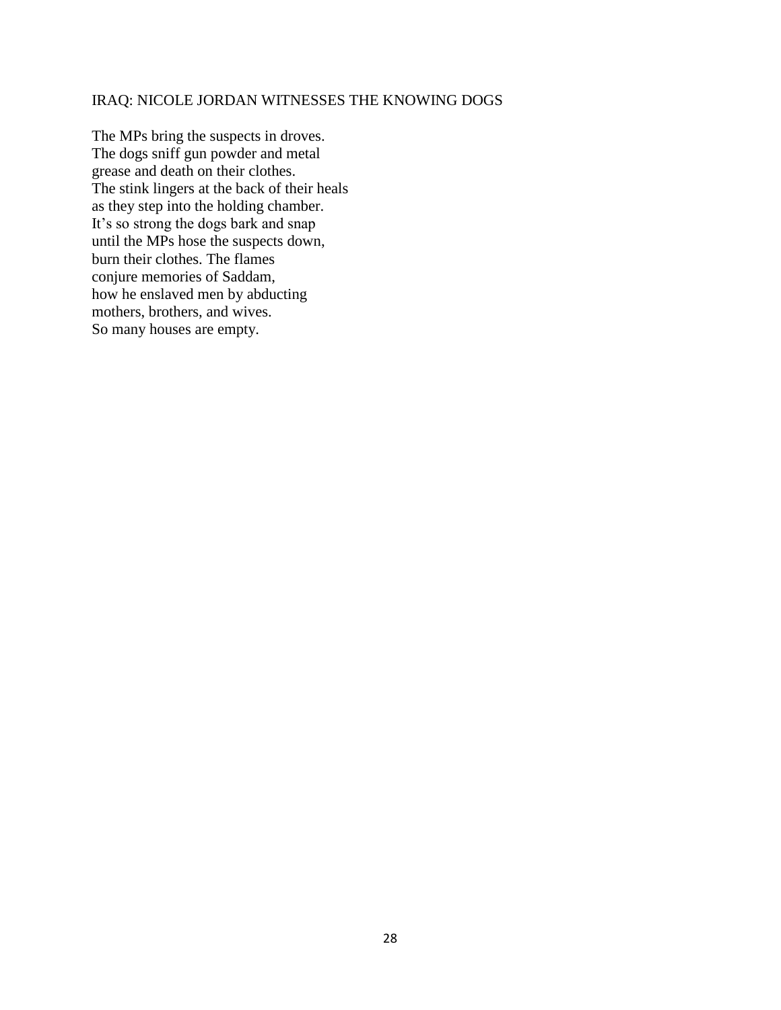# IRAQ: NICOLE JORDAN WITNESSES THE KNOWING DOGS

The MPs bring the suspects in droves. The dogs sniff gun powder and metal grease and death on their clothes. The stink lingers at the back of their heals as they step into the holding chamber. It's so strong the dogs bark and snap until the MPs hose the suspects down, burn their clothes. The flames conjure memories of Saddam, how he enslaved men by abducting mothers, brothers, and wives. So many houses are empty.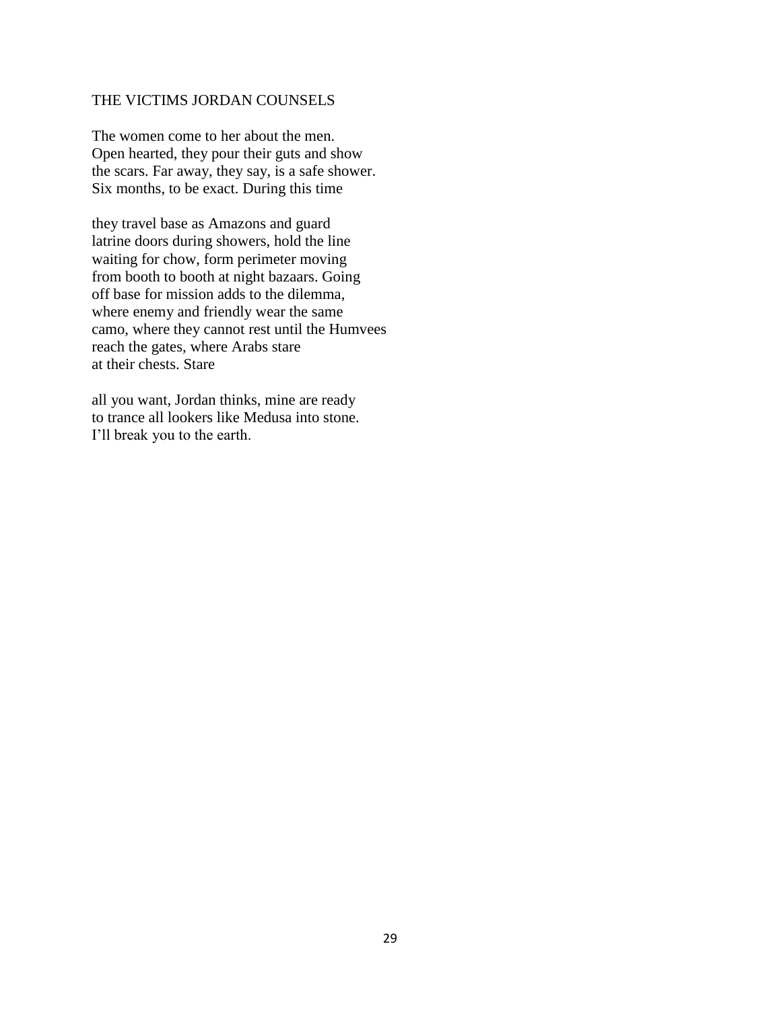### THE VICTIMS JORDAN COUNSELS

The women come to her about the men. Open hearted, they pour their guts and show the scars. Far away, they say, is a safe shower. Six months, to be exact. During this time

they travel base as Amazons and guard latrine doors during showers, hold the line waiting for chow, form perimeter moving from booth to booth at night bazaars. Going off base for mission adds to the dilemma, where enemy and friendly wear the same camo, where they cannot rest until the Humvees reach the gates, where Arabs stare at their chests. Stare

all you want, Jordan thinks, mine are ready to trance all lookers like Medusa into stone. I'll break you to the earth.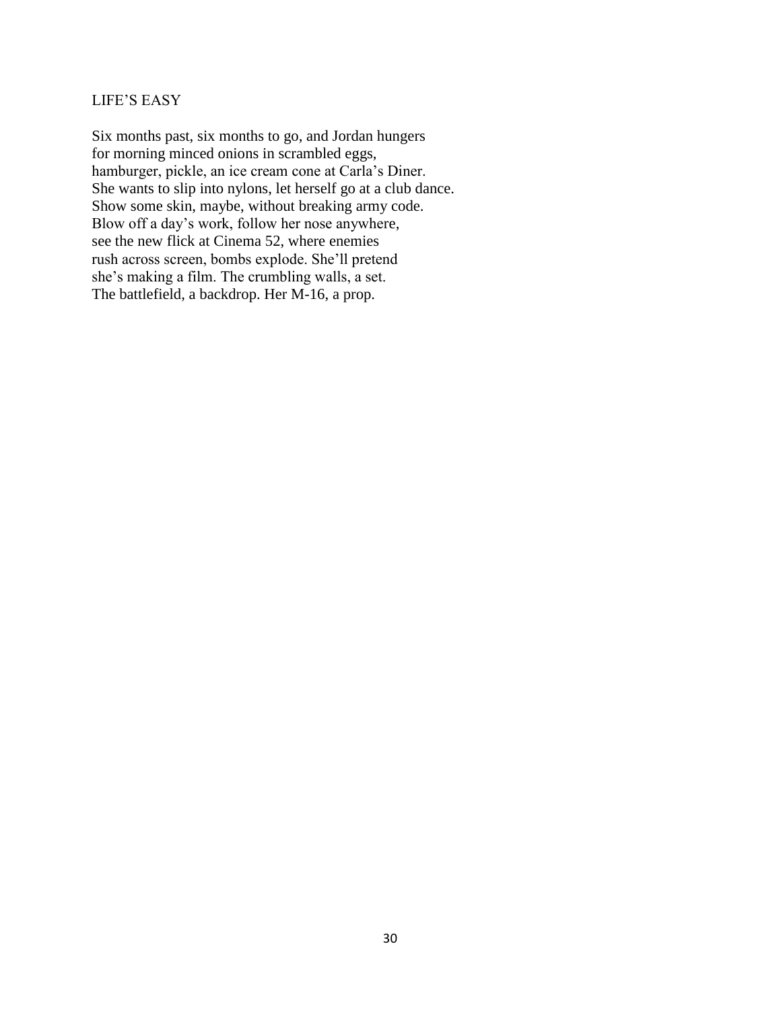# LIFE'S EASY

Six months past, six months to go, and Jordan hungers for morning minced onions in scrambled eggs, hamburger, pickle, an ice cream cone at Carla's Diner. She wants to slip into nylons, let herself go at a club dance. Show some skin, maybe, without breaking army code. Blow off a day's work, follow her nose anywhere, see the new flick at Cinema 52, where enemies rush across screen, bombs explode. She'll pretend she's making a film. The crumbling walls, a set. The battlefield, a backdrop. Her M-16, a prop.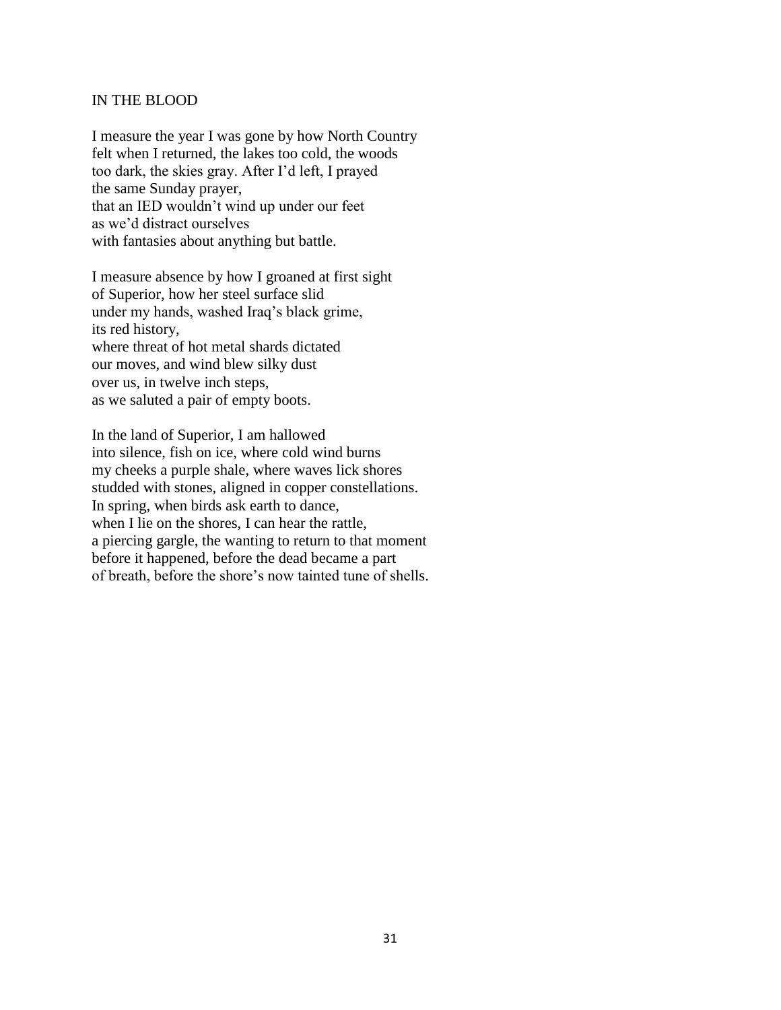### IN THE BLOOD

I measure the year I was gone by how North Country felt when I returned, the lakes too cold, the woods too dark, the skies gray. After I'd left, I prayed the same Sunday prayer, that an IED wouldn't wind up under our feet as we'd distract ourselves with fantasies about anything but battle.

I measure absence by how I groaned at first sight of Superior, how her steel surface slid under my hands, washed Iraq's black grime, its red history, where threat of hot metal shards dictated our moves, and wind blew silky dust over us, in twelve inch steps, as we saluted a pair of empty boots.

In the land of Superior, I am hallowed into silence, fish on ice, where cold wind burns my cheeks a purple shale, where waves lick shores studded with stones, aligned in copper constellations. In spring, when birds ask earth to dance, when I lie on the shores, I can hear the rattle, a piercing gargle, the wanting to return to that moment before it happened, before the dead became a part of breath, before the shore's now tainted tune of shells.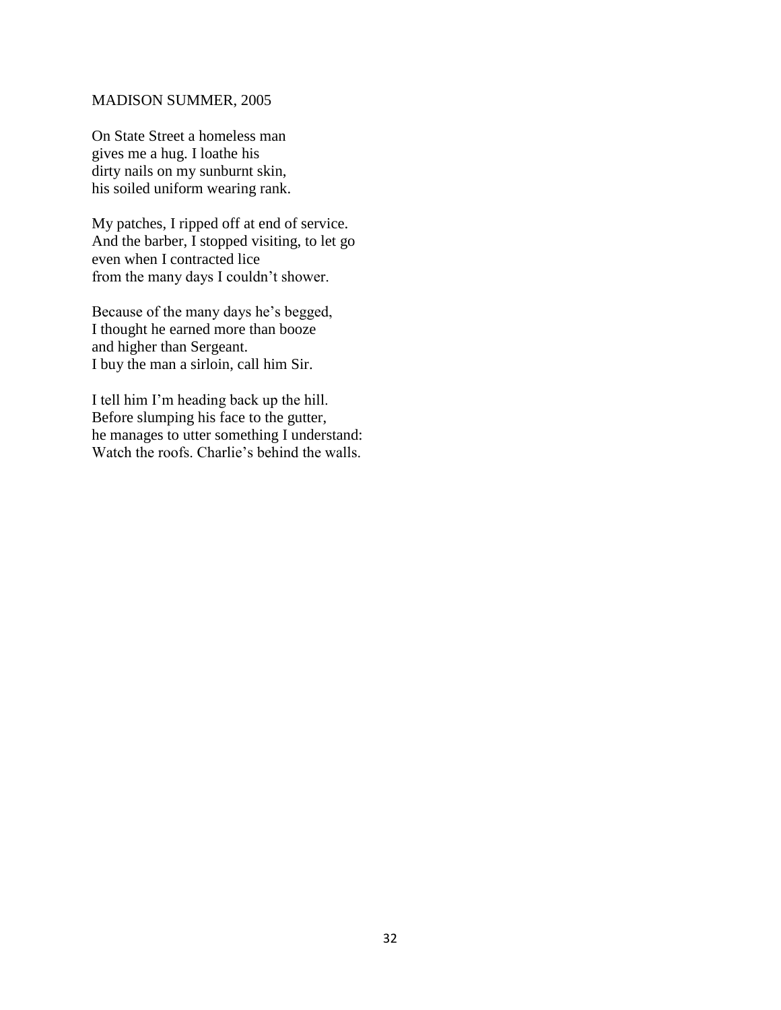#### MADISON SUMMER, 2005

On State Street a homeless man gives me a hug. I loathe his dirty nails on my sunburnt skin, his soiled uniform wearing rank.

My patches, I ripped off at end of service. And the barber, I stopped visiting, to let go even when I contracted lice from the many days I couldn't shower.

Because of the many days he's begged, I thought he earned more than booze and higher than Sergeant. I buy the man a sirloin, call him Sir.

I tell him I'm heading back up the hill. Before slumping his face to the gutter, he manages to utter something I understand: Watch the roofs. Charlie's behind the walls.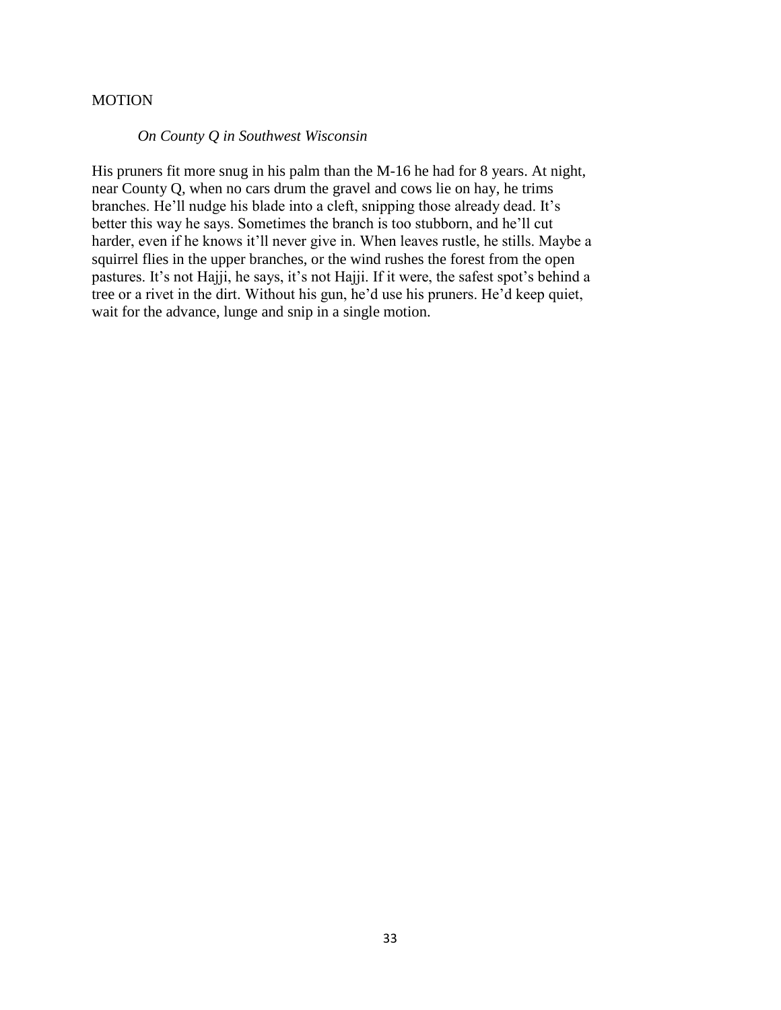### **MOTION**

### *On County Q in Southwest Wisconsin*

His pruners fit more snug in his palm than the M-16 he had for 8 years. At night, near County Q, when no cars drum the gravel and cows lie on hay, he trims branches. He'll nudge his blade into a cleft, snipping those already dead. It's better this way he says. Sometimes the branch is too stubborn, and he'll cut harder, even if he knows it'll never give in. When leaves rustle, he stills. Maybe a squirrel flies in the upper branches, or the wind rushes the forest from the open pastures. It's not Hajji, he says, it's not Hajji. If it were, the safest spot's behind a tree or a rivet in the dirt. Without his gun, he'd use his pruners. He'd keep quiet, wait for the advance, lunge and snip in a single motion.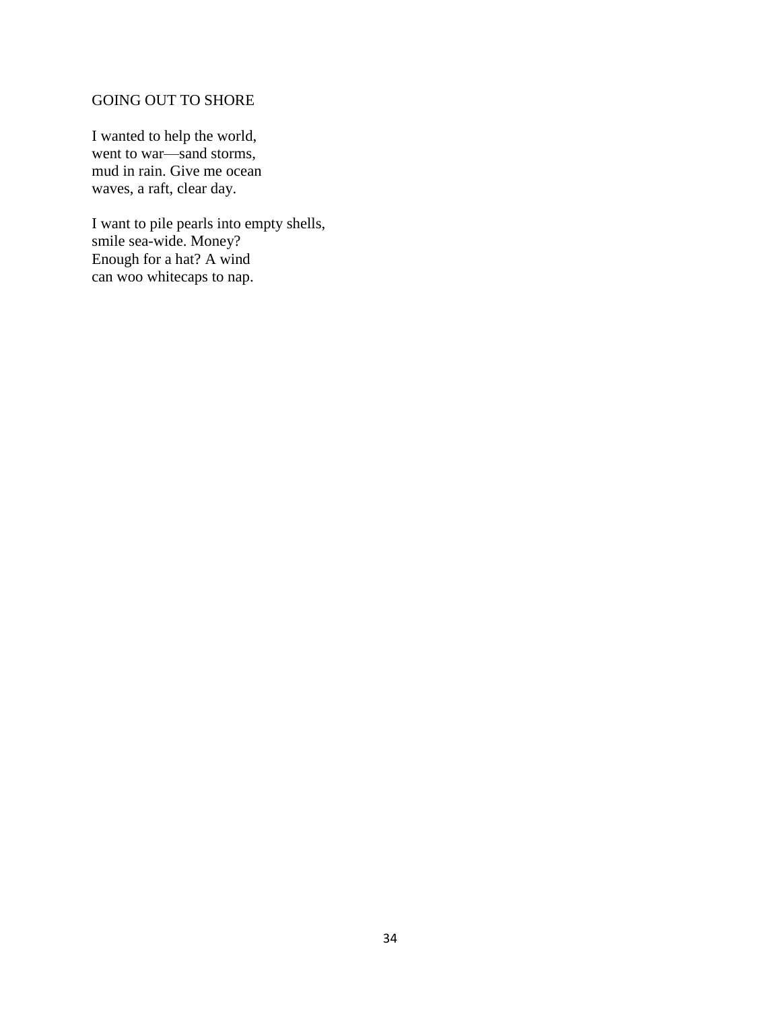# GOING OUT TO SHORE

I wanted to help the world, went to war—sand storms, mud in rain. Give me ocean waves, a raft, clear day.

I want to pile pearls into empty shells, smile sea-wide. Money? Enough for a hat? A wind can woo whitecaps to nap.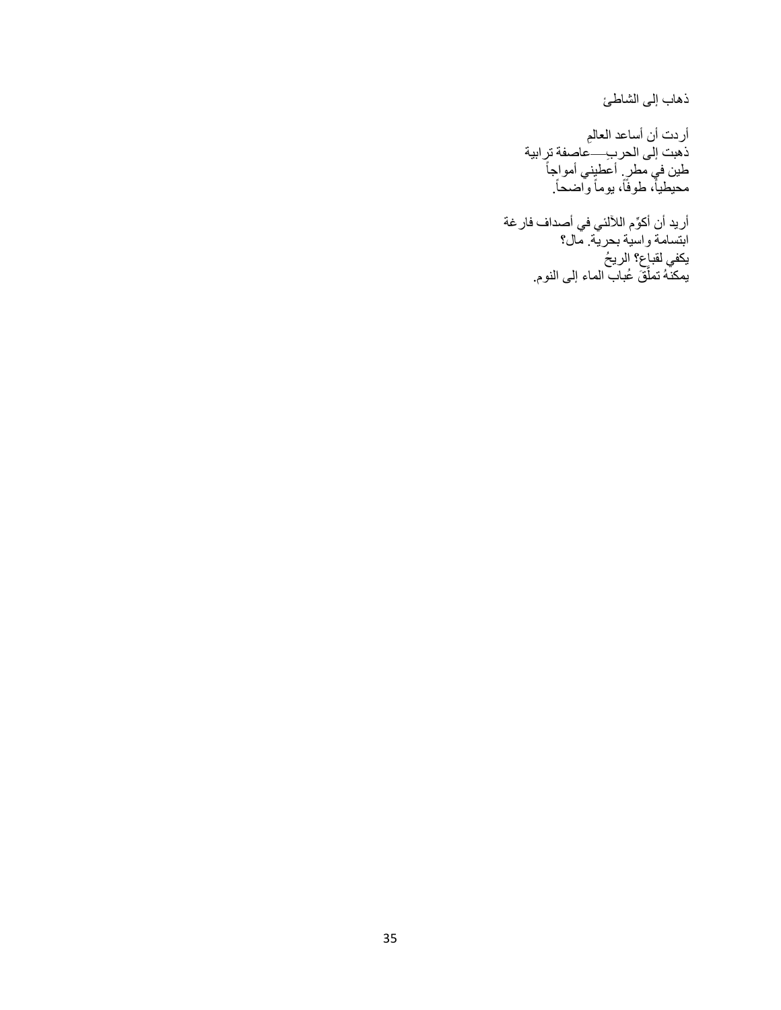ذهاب إلى الشاطئ

أردت أن أساعد العالمِ ذهبت إلى الحر ب—عاصفة ترابية ĺ طين في مطرٍ أعطيني أمواجاً محيطياً، طوفاً، يوماً واضحاً. ĺ

أريد أن أكِّوم الآللئي في أصداف فارغة ابتسامة واسية بحرية. مال؟ يكفي لقباع؟ الريح يمكنّهُ تملُّقَ عُباب الماء إلى النوم.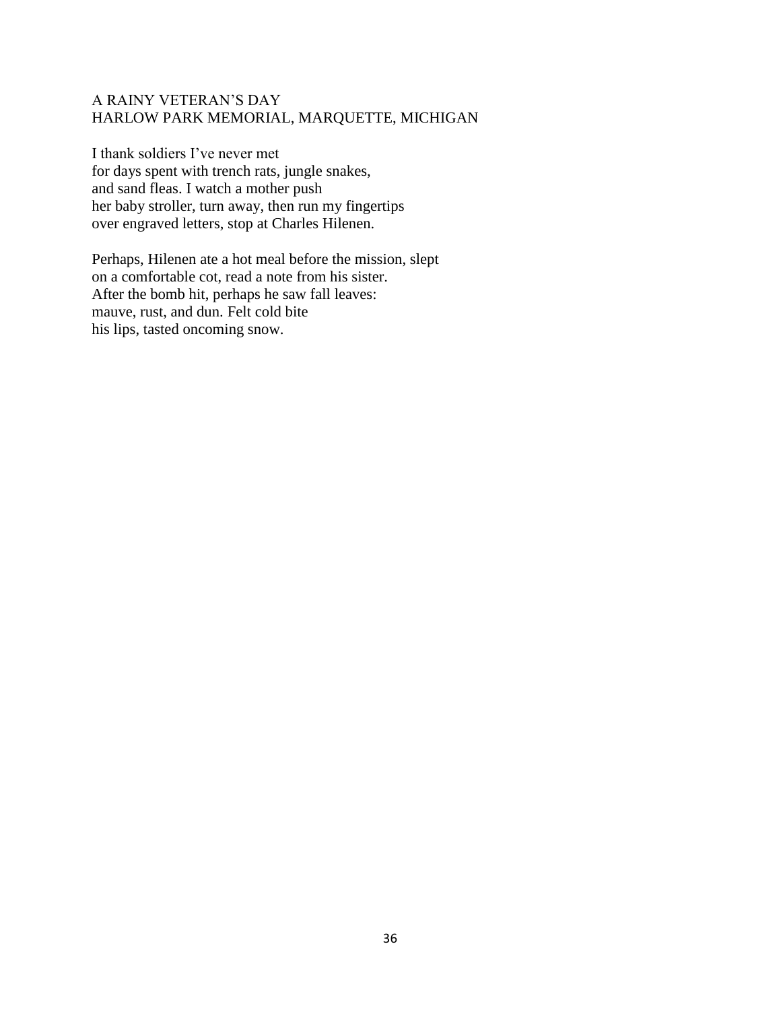# A RAINY VETERAN'S DAY HARLOW PARK MEMORIAL, MARQUETTE, MICHIGAN

I thank soldiers I've never met for days spent with trench rats, jungle snakes, and sand fleas. I watch a mother push her baby stroller, turn away, then run my fingertips over engraved letters, stop at Charles Hilenen.

Perhaps, Hilenen ate a hot meal before the mission, slept on a comfortable cot, read a note from his sister. After the bomb hit, perhaps he saw fall leaves: mauve, rust, and dun. Felt cold bite his lips, tasted oncoming snow.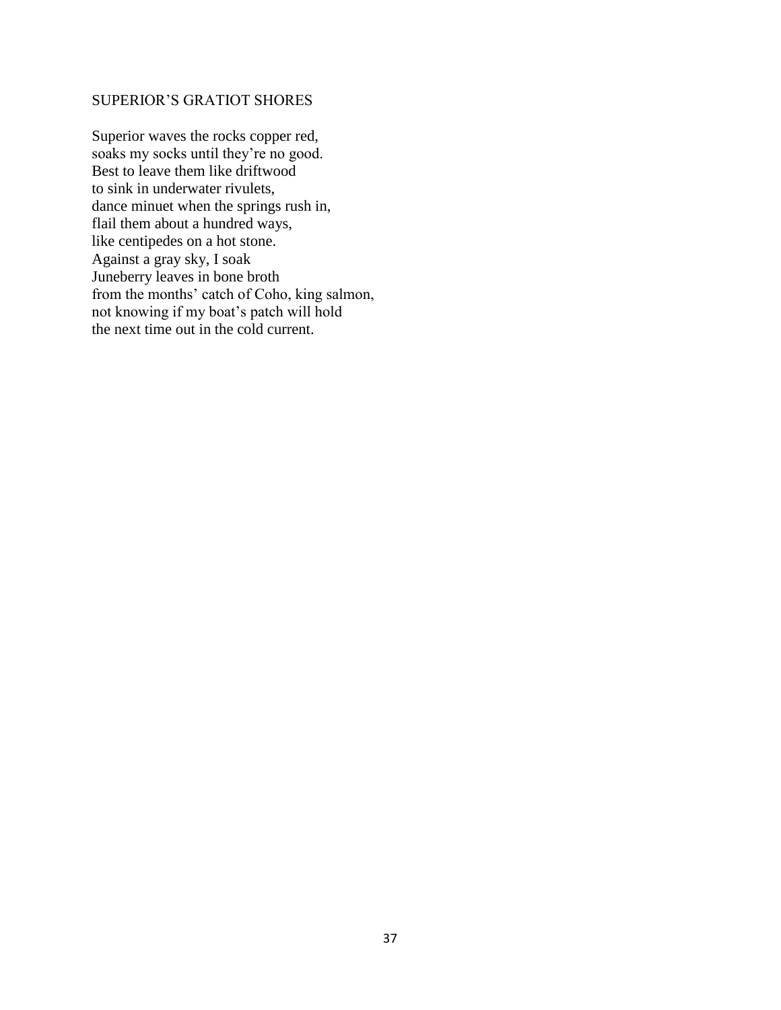# SUPERIOR'S GRATIOT SHORES

Superior waves the rocks copper red, soaks my socks until they're no good. Best to leave them like driftwood to sink in underwater rivulets, dance minuet when the springs rush in, flail them about a hundred ways, like centipedes on a hot stone. Against a gray sky, I soak Juneberry leaves in bone broth from the months' catch of Coho, king salmon, not knowing if my boat's patch will hold the next time out in the cold current.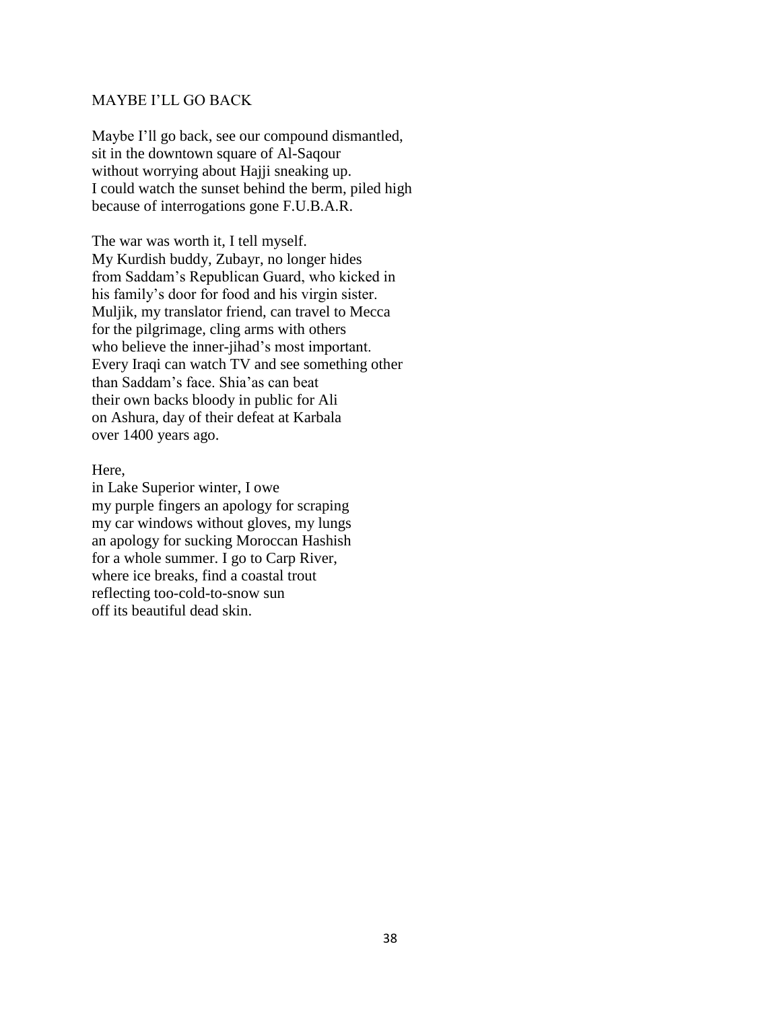# MAYBE I'LL GO BACK

Maybe I'll go back, see our compound dismantled, sit in the downtown square of Al-Saqour without worrying about Hajji sneaking up. I could watch the sunset behind the berm, piled high because of interrogations gone F.U.B.A.R.

The war was worth it, I tell myself. My Kurdish buddy, Zubayr, no longer hides from Saddam's Republican Guard, who kicked in his family's door for food and his virgin sister. Muljik, my translator friend, can travel to Mecca for the pilgrimage, cling arms with others who believe the inner-jihad's most important. Every Iraqi can watch TV and see something other than Saddam's face. Shia'as can beat their own backs bloody in public for Ali on Ashura, day of their defeat at Karbala over 1400 years ago.

#### Here,

in Lake Superior winter, I owe my purple fingers an apology for scraping my car windows without gloves, my lungs an apology for sucking Moroccan Hashish for a whole summer. I go to Carp River, where ice breaks, find a coastal trout reflecting too-cold-to-snow sun off its beautiful dead skin.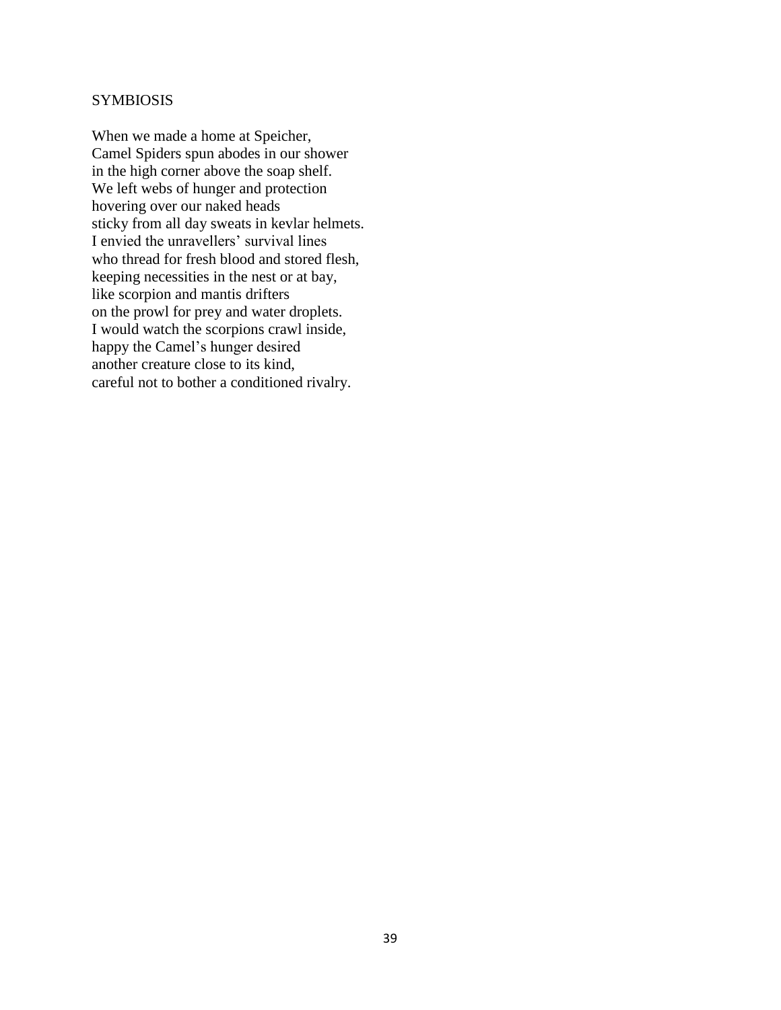## **SYMBIOSIS**

When we made a home at Speicher, Camel Spiders spun abodes in our shower in the high corner above the soap shelf. We left webs of hunger and protection hovering over our naked heads sticky from all day sweats in kevlar helmets. I envied the unravellers' survival lines who thread for fresh blood and stored flesh, keeping necessities in the nest or at bay, like scorpion and mantis drifters on the prowl for prey and water droplets. I would watch the scorpions crawl inside, happy the Camel's hunger desired another creature close to its kind, careful not to bother a conditioned rivalry.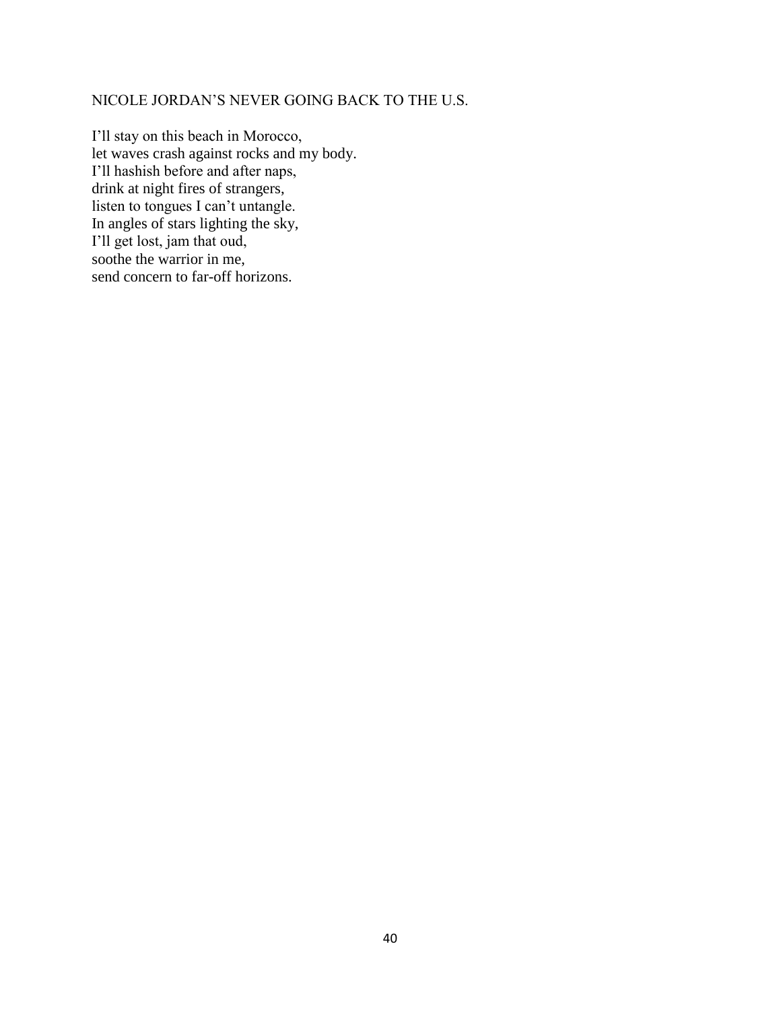# NICOLE JORDAN'S NEVER GOING BACK TO THE U.S.

I'll stay on this beach in Morocco, let waves crash against rocks and my body. I'll hashish before and after naps, drink at night fires of strangers, listen to tongues I can't untangle. In angles of stars lighting the sky, I'll get lost, jam that oud, soothe the warrior in me, send concern to far-off horizons.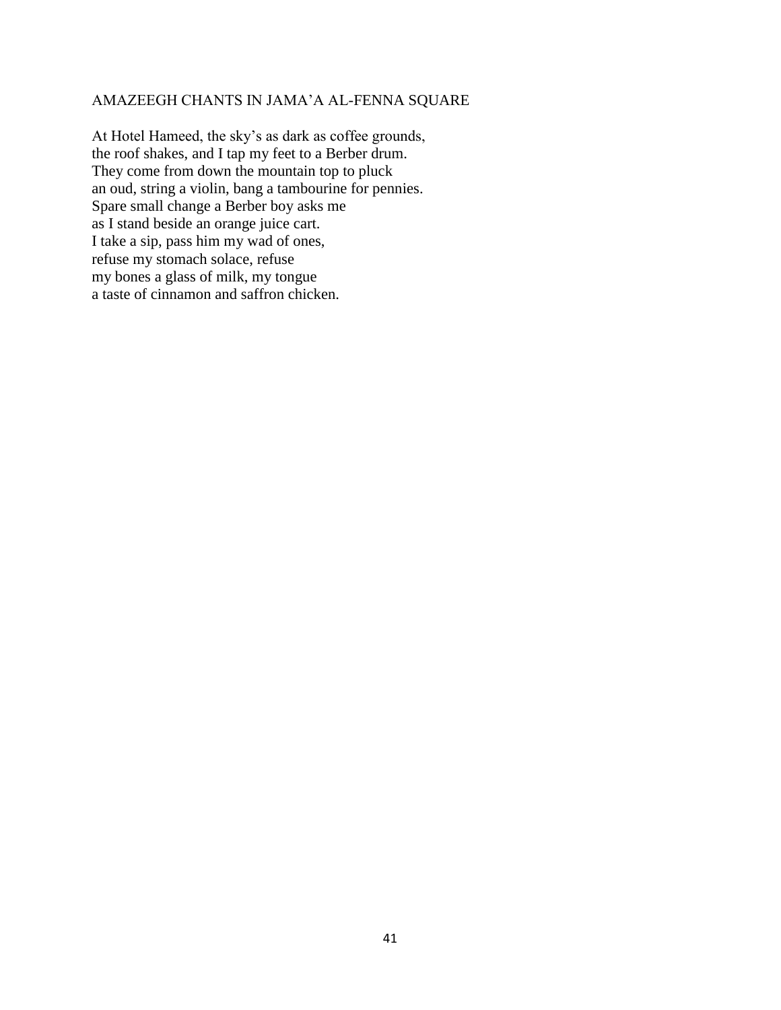### AMAZEEGH CHANTS IN JAMA'A AL-FENNA SQUARE

At Hotel Hameed, the sky's as dark as coffee grounds, the roof shakes, and I tap my feet to a Berber drum. They come from down the mountain top to pluck an oud, string a violin, bang a tambourine for pennies. Spare small change a Berber boy asks me as I stand beside an orange juice cart. I take a sip, pass him my wad of ones, refuse my stomach solace, refuse my bones a glass of milk, my tongue a taste of cinnamon and saffron chicken.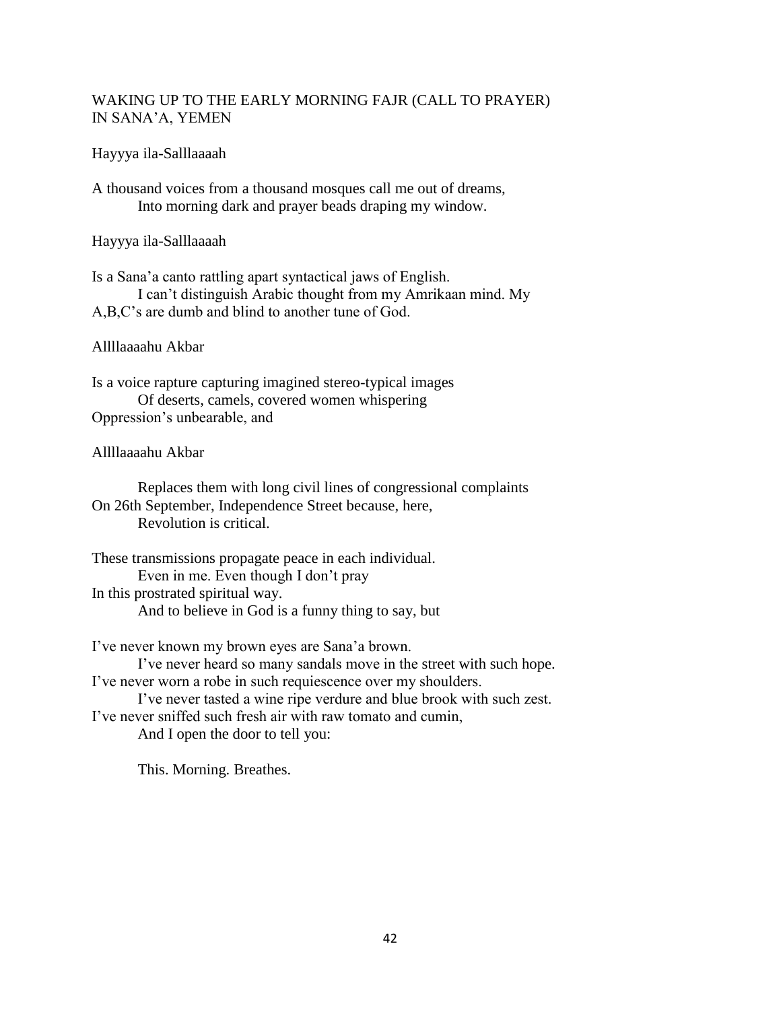# WAKING UP TO THE EARLY MORNING FAJR (CALL TO PRAYER) IN SANA'A, YEMEN

## Hayyya ila-Salllaaaah

A thousand voices from a thousand mosques call me out of dreams, Into morning dark and prayer beads draping my window.

Hayyya ila-Salllaaaah

Is a Sana'a canto rattling apart syntactical jaws of English. I can't distinguish Arabic thought from my Amrikaan mind. My A,B,C's are dumb and blind to another tune of God.

### Allllaaaahu Akbar

Is a voice rapture capturing imagined stereo-typical images Of deserts, camels, covered women whispering Oppression's unbearable, and

### Allllaaaahu Akbar

Replaces them with long civil lines of congressional complaints On 26th September, Independence Street because, here, Revolution is critical.

These transmissions propagate peace in each individual. Even in me. Even though I don't pray In this prostrated spiritual way. And to believe in God is a funny thing to say, but

I've never known my brown eyes are Sana'a brown. I've never heard so many sandals move in the street with such hope. I've never worn a robe in such requiescence over my shoulders. I've never tasted a wine ripe verdure and blue brook with such zest. I've never sniffed such fresh air with raw tomato and cumin, And I open the door to tell you:

This. Morning. Breathes.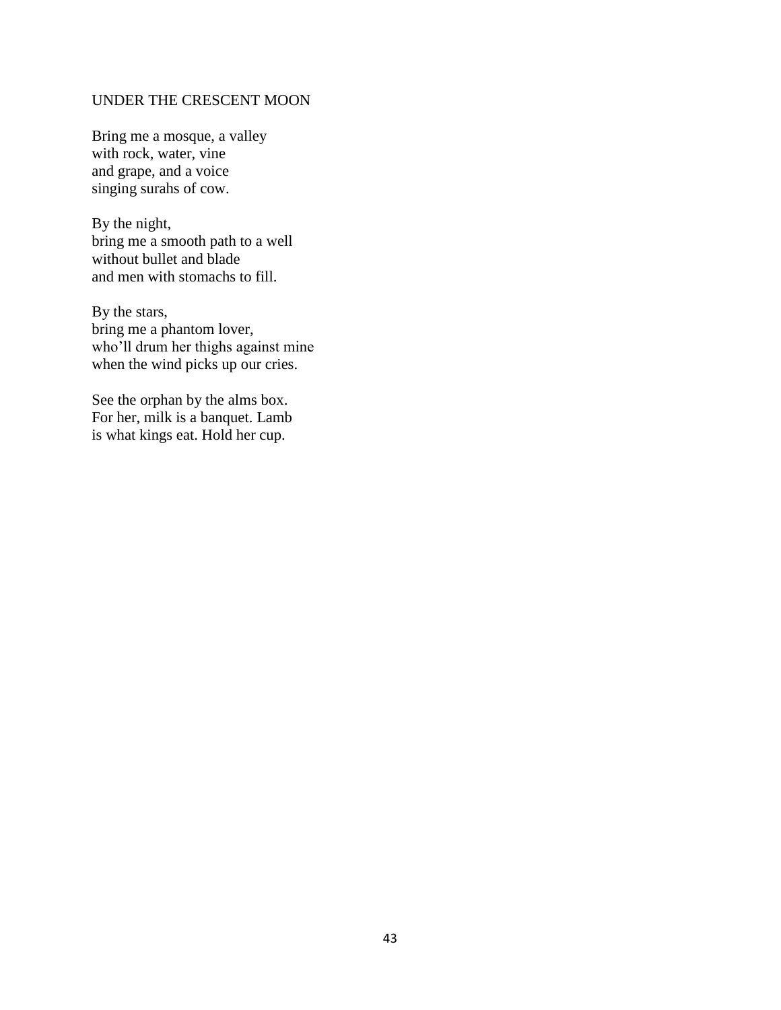## UNDER THE CRESCENT MOON

Bring me a mosque, a valley with rock, water, vine and grape, and a voice singing surahs of cow.

By the night, bring me a smooth path to a well without bullet and blade and men with stomachs to fill.

By the stars, bring me a phantom lover, who'll drum her thighs against mine when the wind picks up our cries.

See the orphan by the alms box. For her, milk is a banquet. Lamb is what kings eat. Hold her cup.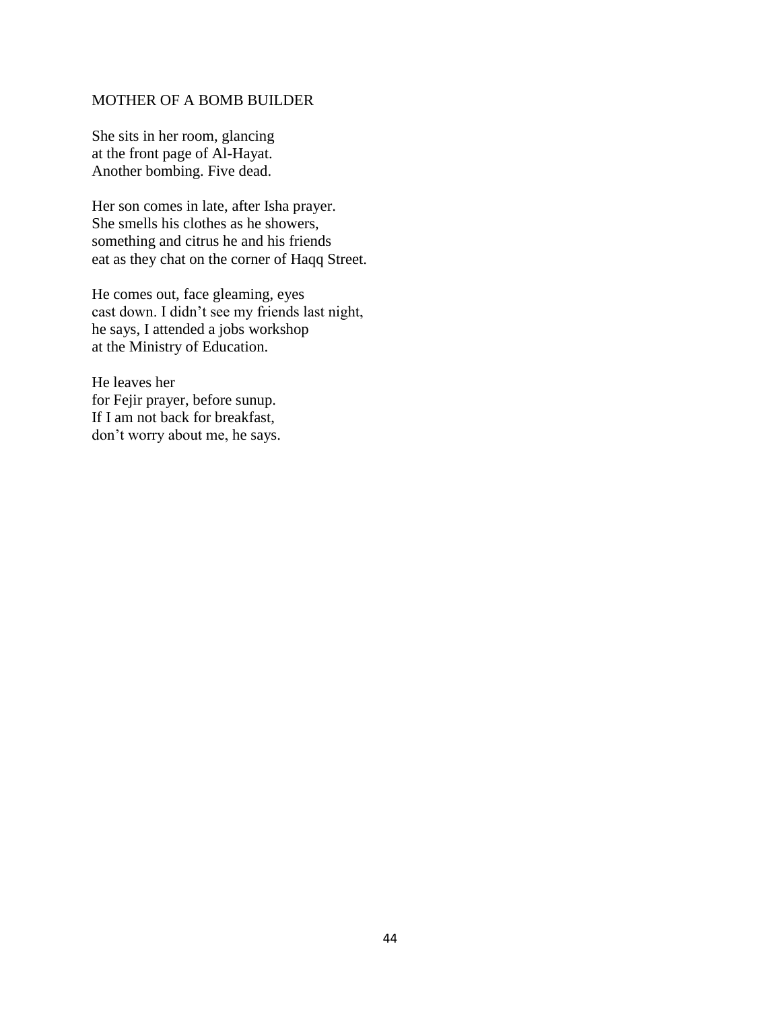## MOTHER OF A BOMB BUILDER

She sits in her room, glancing at the front page of Al-Hayat. Another bombing. Five dead.

Her son comes in late, after Isha prayer. She smells his clothes as he showers, something and citrus he and his friends eat as they chat on the corner of Haqq Street.

He comes out, face gleaming, eyes cast down. I didn't see my friends last night, he says, I attended a jobs workshop at the Ministry of Education.

He leaves her for Fejir prayer, before sunup. If I am not back for breakfast, don't worry about me, he says.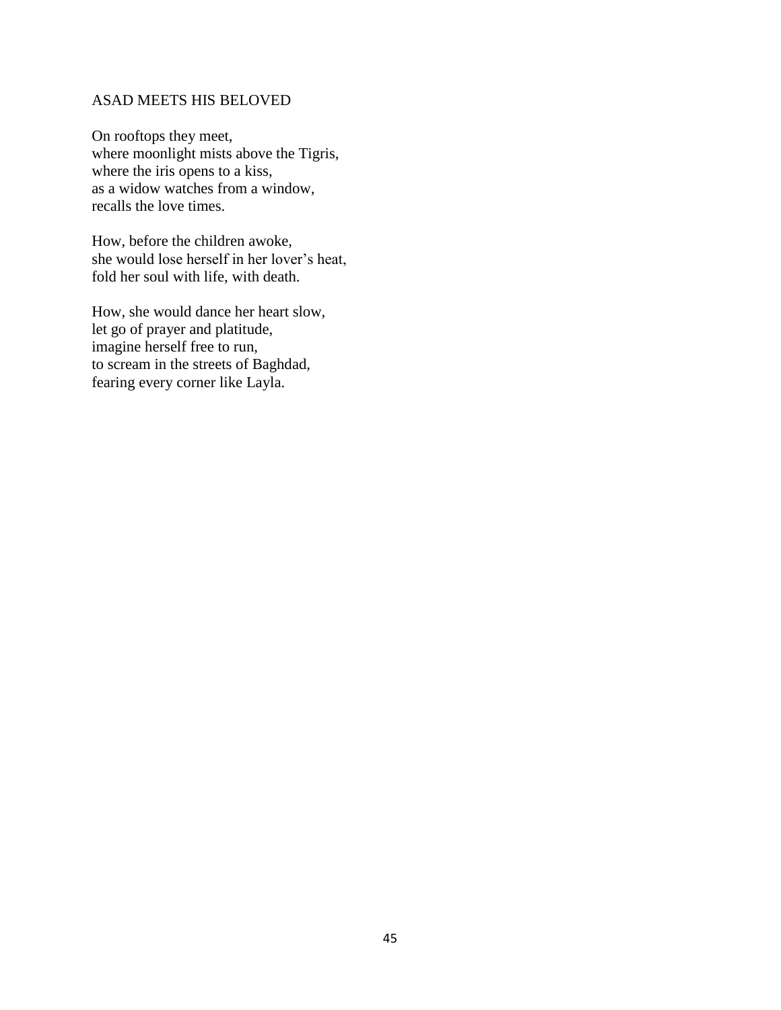## ASAD MEETS HIS BELOVED

On rooftops they meet, where moonlight mists above the Tigris, where the iris opens to a kiss, as a widow watches from a window, recalls the love times.

How, before the children awoke, she would lose herself in her lover's heat, fold her soul with life, with death.

How, she would dance her heart slow, let go of prayer and platitude, imagine herself free to run, to scream in the streets of Baghdad, fearing every corner like Layla.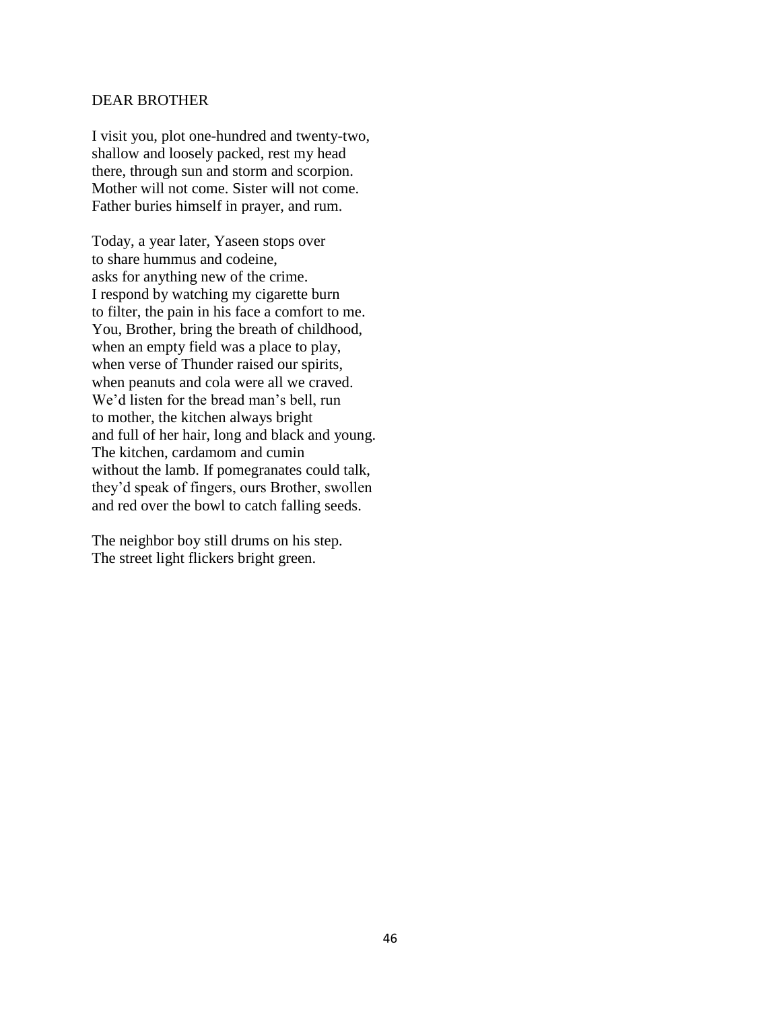### DEAR BROTHER

I visit you, plot one-hundred and twenty-two, shallow and loosely packed, rest my head there, through sun and storm and scorpion. Mother will not come. Sister will not come. Father buries himself in prayer, and rum.

Today, a year later, Yaseen stops over to share hummus and codeine, asks for anything new of the crime. I respond by watching my cigarette burn to filter, the pain in his face a comfort to me. You, Brother, bring the breath of childhood, when an empty field was a place to play, when verse of Thunder raised our spirits, when peanuts and cola were all we craved. We'd listen for the bread man's bell, run to mother, the kitchen always bright and full of her hair, long and black and young. The kitchen, cardamom and cumin without the lamb. If pomegranates could talk, they'd speak of fingers, ours Brother, swollen and red over the bowl to catch falling seeds.

The neighbor boy still drums on his step. The street light flickers bright green.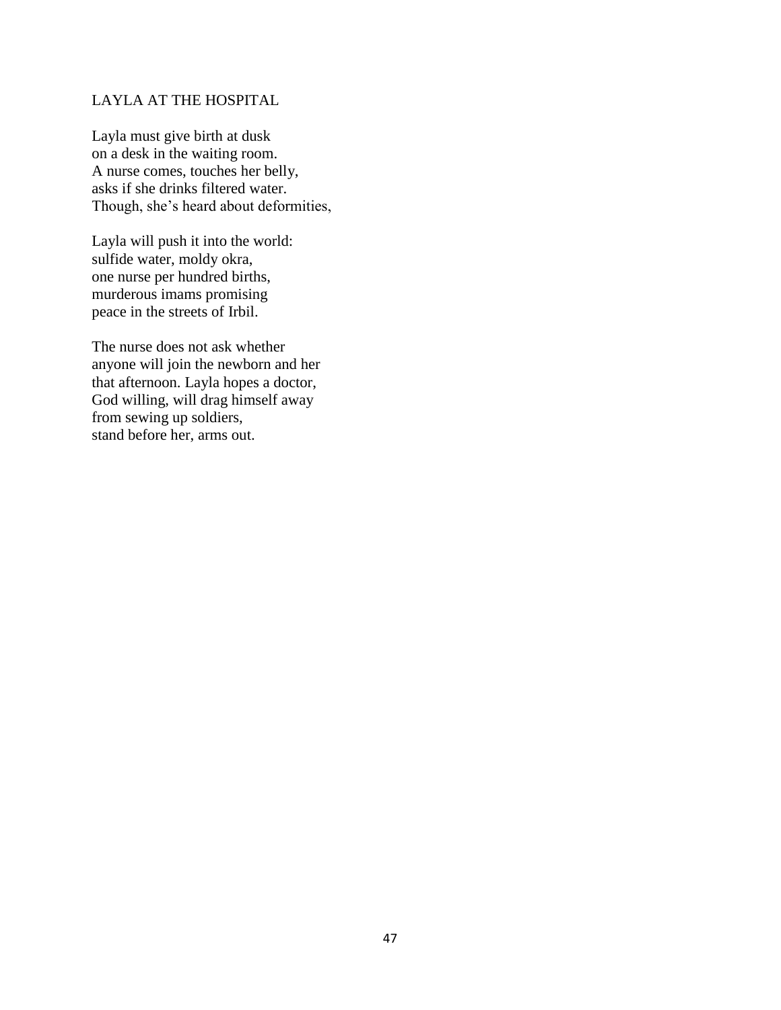# LAYLA AT THE HOSPITAL

Layla must give birth at dusk on a desk in the waiting room. A nurse comes, touches her belly, asks if she drinks filtered water. Though, she's heard about deformities,

Layla will push it into the world: sulfide water, moldy okra, one nurse per hundred births, murderous imams promising peace in the streets of Irbil.

The nurse does not ask whether anyone will join the newborn and her that afternoon. Layla hopes a doctor, God willing, will drag himself away from sewing up soldiers, stand before her, arms out.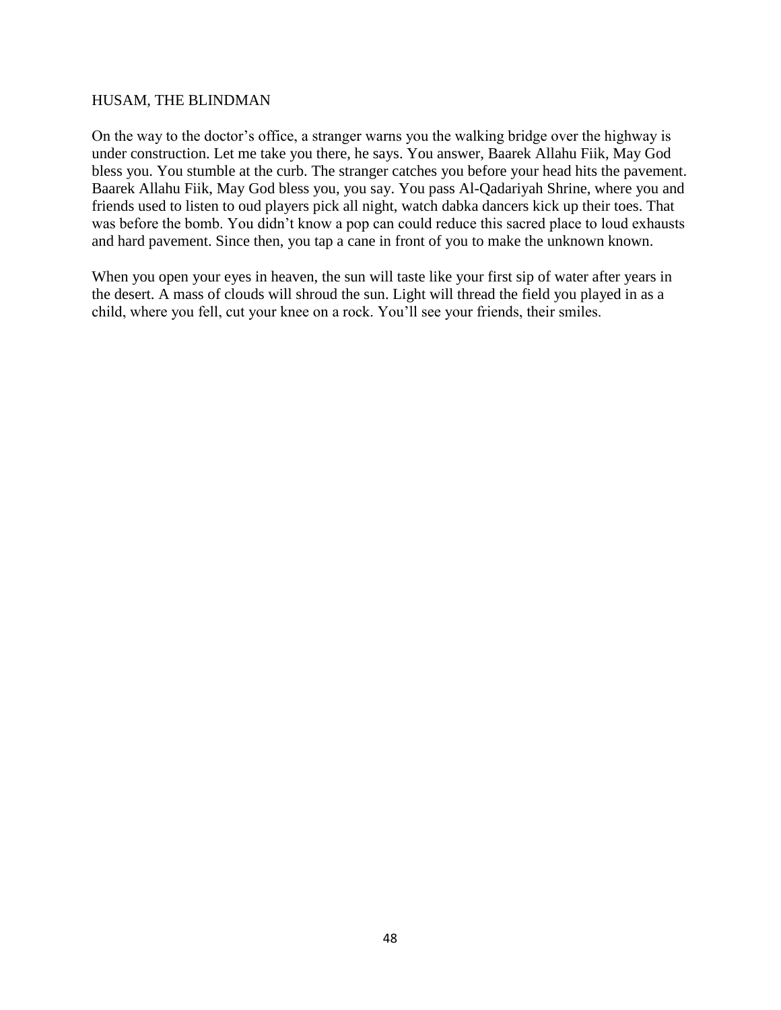### HUSAM, THE BLINDMAN

On the way to the doctor's office, a stranger warns you the walking bridge over the highway is under construction. Let me take you there, he says. You answer, Baarek Allahu Fiik, May God bless you. You stumble at the curb. The stranger catches you before your head hits the pavement. Baarek Allahu Fiik, May God bless you, you say. You pass Al-Qadariyah Shrine, where you and friends used to listen to oud players pick all night, watch dabka dancers kick up their toes. That was before the bomb. You didn't know a pop can could reduce this sacred place to loud exhausts and hard pavement. Since then, you tap a cane in front of you to make the unknown known.

When you open your eyes in heaven, the sun will taste like your first sip of water after years in the desert. A mass of clouds will shroud the sun. Light will thread the field you played in as a child, where you fell, cut your knee on a rock. You'll see your friends, their smiles.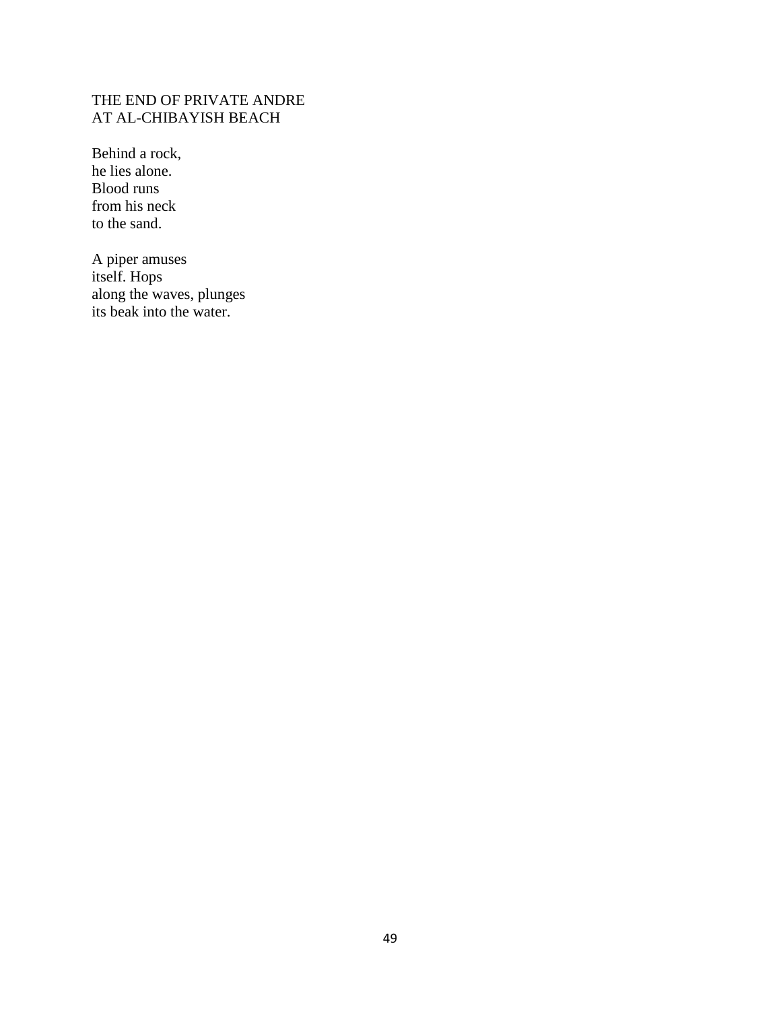# THE END OF PRIVATE ANDRE AT AL-CHIBAYISH BEACH

Behind a rock, he lies alone. Blood runs from his neck to the sand.

A piper amuses itself. Hops along the waves, plunges its beak into the water.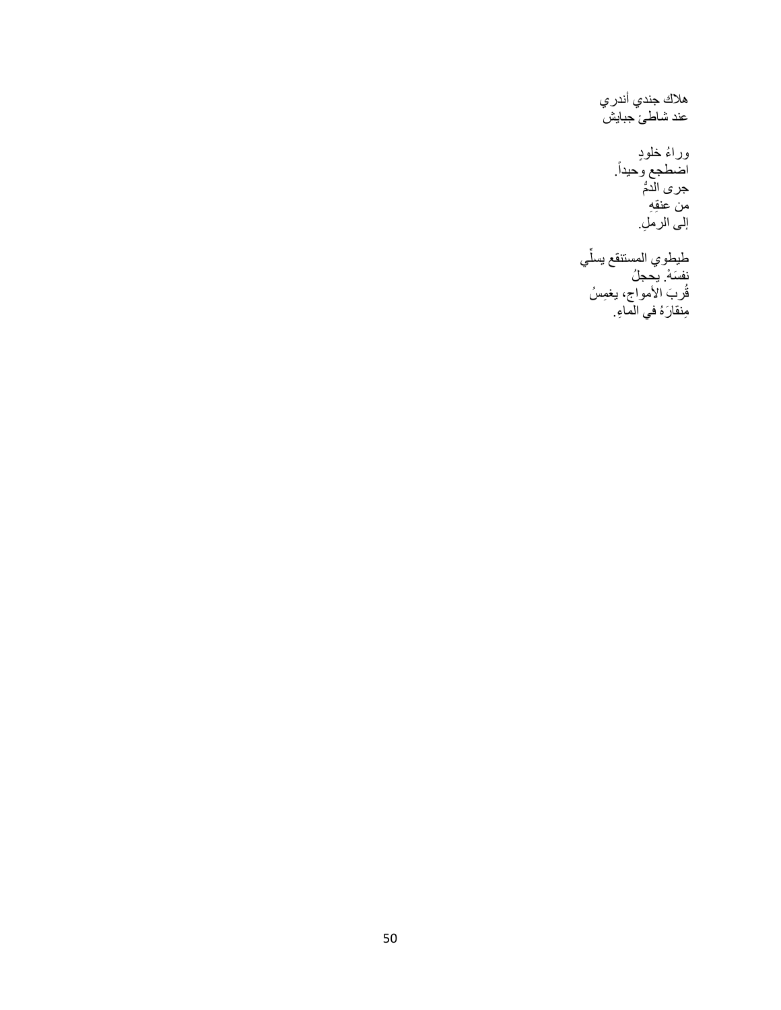هالك جندي أندري عند شاطئ جبايش ورا ء خلو د . اضطجع وحيدا ĺ جر *ى* الدمُّ من عنقِهِ إلى الرملِ. ِّي طيطوي المستنقع يسل

نفسَهْ. يحجلُ قُربَ الأمواج، يغمِسُ مِنقارَهُ في الماءِ.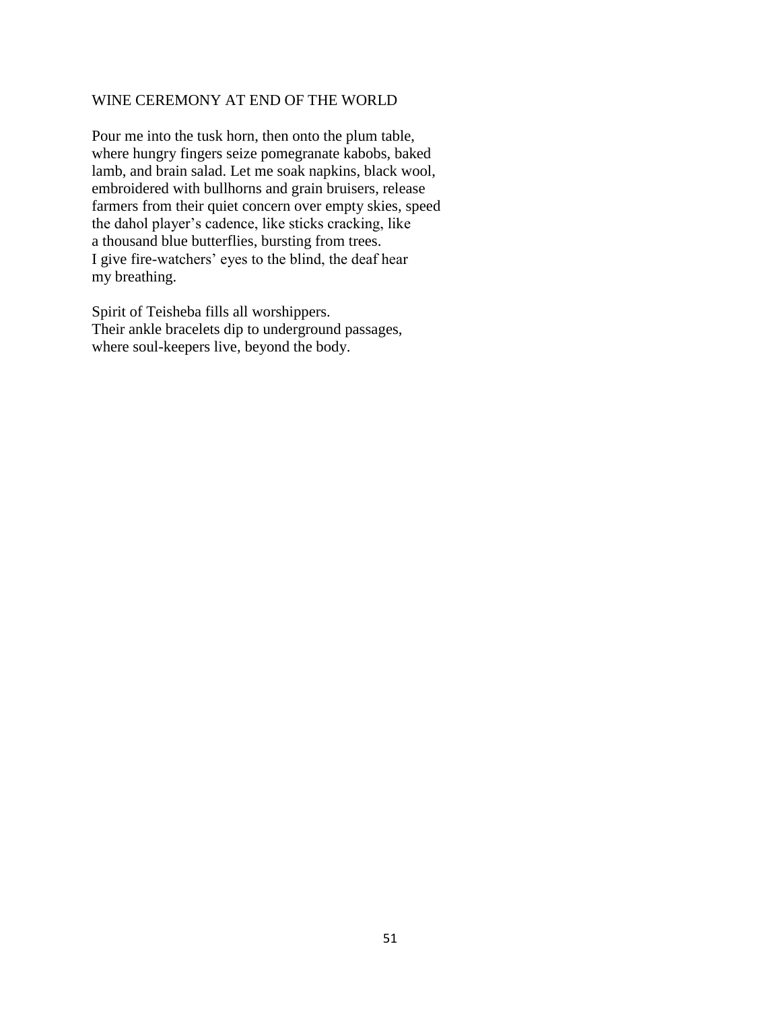## WINE CEREMONY AT END OF THE WORLD

Pour me into the tusk horn, then onto the plum table, where hungry fingers seize pomegranate kabobs, baked lamb, and brain salad. Let me soak napkins, black wool, embroidered with bullhorns and grain bruisers, release farmers from their quiet concern over empty skies, speed the dahol player's cadence, like sticks cracking, like a thousand blue butterflies, bursting from trees. I give fire-watchers' eyes to the blind, the deaf hear my breathing.

Spirit of Teisheba fills all worshippers. Their ankle bracelets dip to underground passages, where soul-keepers live, beyond the body.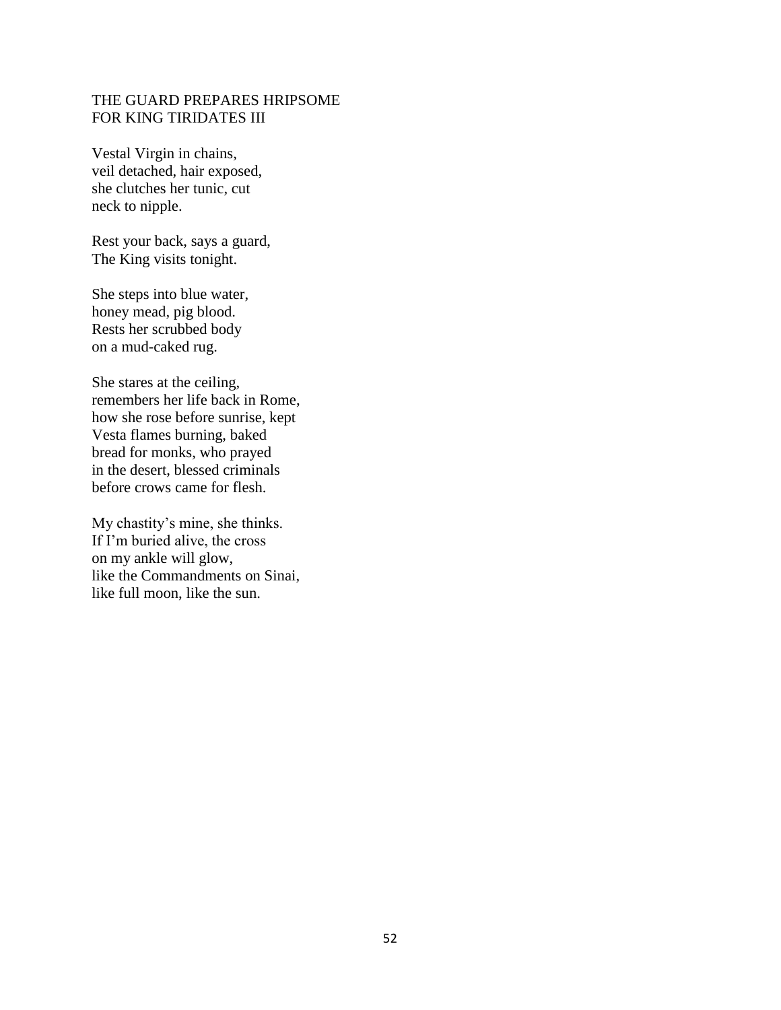# THE GUARD PREPARES HRIPSOME FOR KING TIRIDATES III

Vestal Virgin in chains, veil detached, hair exposed, she clutches her tunic, cut neck to nipple.

Rest your back, says a guard, The King visits tonight.

She steps into blue water, honey mead, pig blood. Rests her scrubbed body on a mud-caked rug.

She stares at the ceiling, remembers her life back in Rome, how she rose before sunrise, kept Vesta flames burning, baked bread for monks, who prayed in the desert, blessed criminals before crows came for flesh.

My chastity's mine, she thinks. If I'm buried alive, the cross on my ankle will glow, like the Commandments on Sinai, like full moon, like the sun.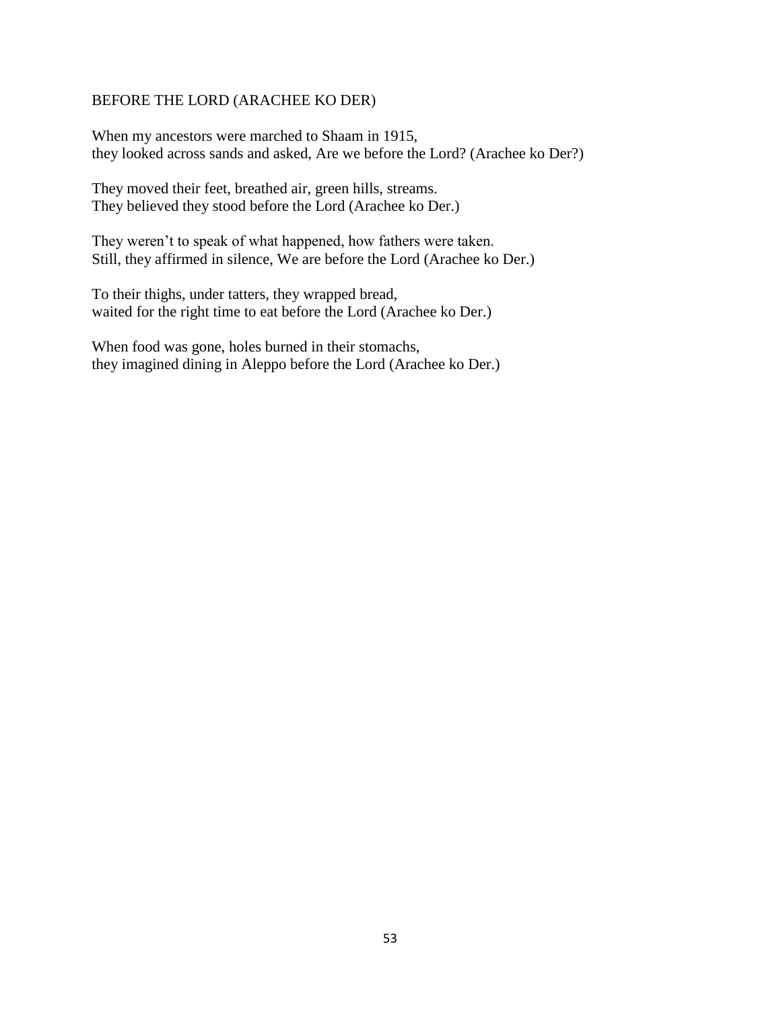### BEFORE THE LORD (ARACHEE KO DER)

When my ancestors were marched to Shaam in 1915, they looked across sands and asked, Are we before the Lord? (Arachee ko Der?)

They moved their feet, breathed air, green hills, streams. They believed they stood before the Lord (Arachee ko Der.)

They weren't to speak of what happened, how fathers were taken. Still, they affirmed in silence, We are before the Lord (Arachee ko Der.)

To their thighs, under tatters, they wrapped bread, waited for the right time to eat before the Lord (Arachee ko Der.)

When food was gone, holes burned in their stomachs, they imagined dining in Aleppo before the Lord (Arachee ko Der.)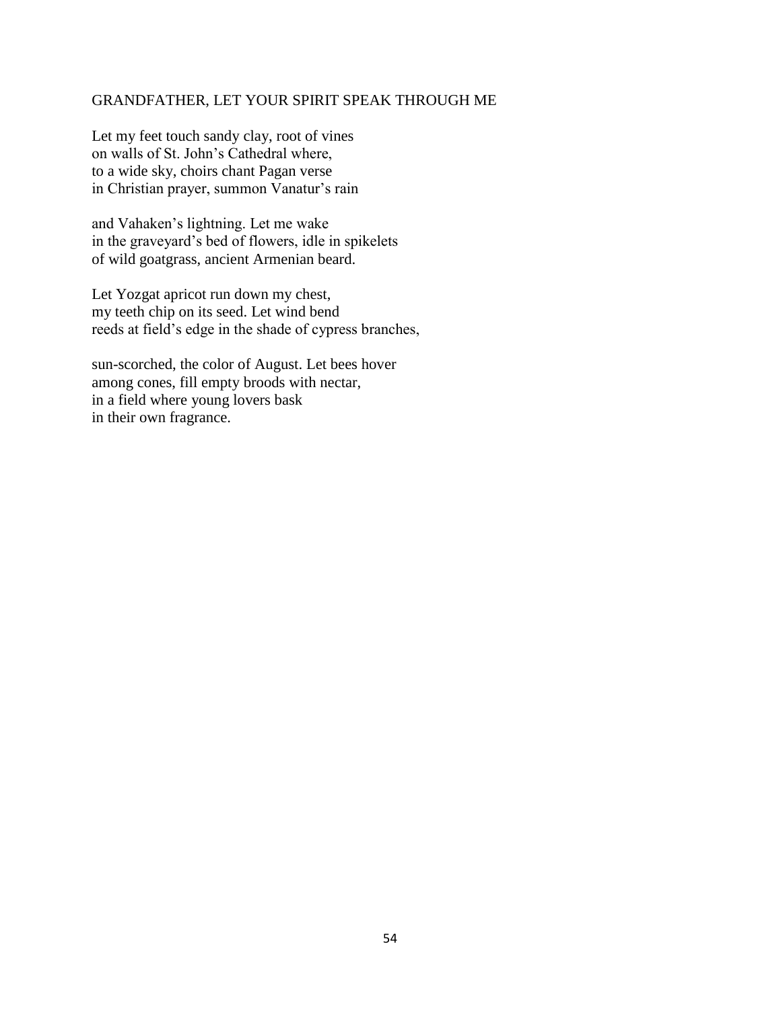### GRANDFATHER, LET YOUR SPIRIT SPEAK THROUGH ME

Let my feet touch sandy clay, root of vines on walls of St. John's Cathedral where, to a wide sky, choirs chant Pagan verse in Christian prayer, summon Vanatur's rain

and Vahaken's lightning. Let me wake in the graveyard's bed of flowers, idle in spikelets of wild goatgrass, ancient Armenian beard.

Let Yozgat apricot run down my chest, my teeth chip on its seed. Let wind bend reeds at field's edge in the shade of cypress branches,

sun-scorched, the color of August. Let bees hover among cones, fill empty broods with nectar, in a field where young lovers bask in their own fragrance.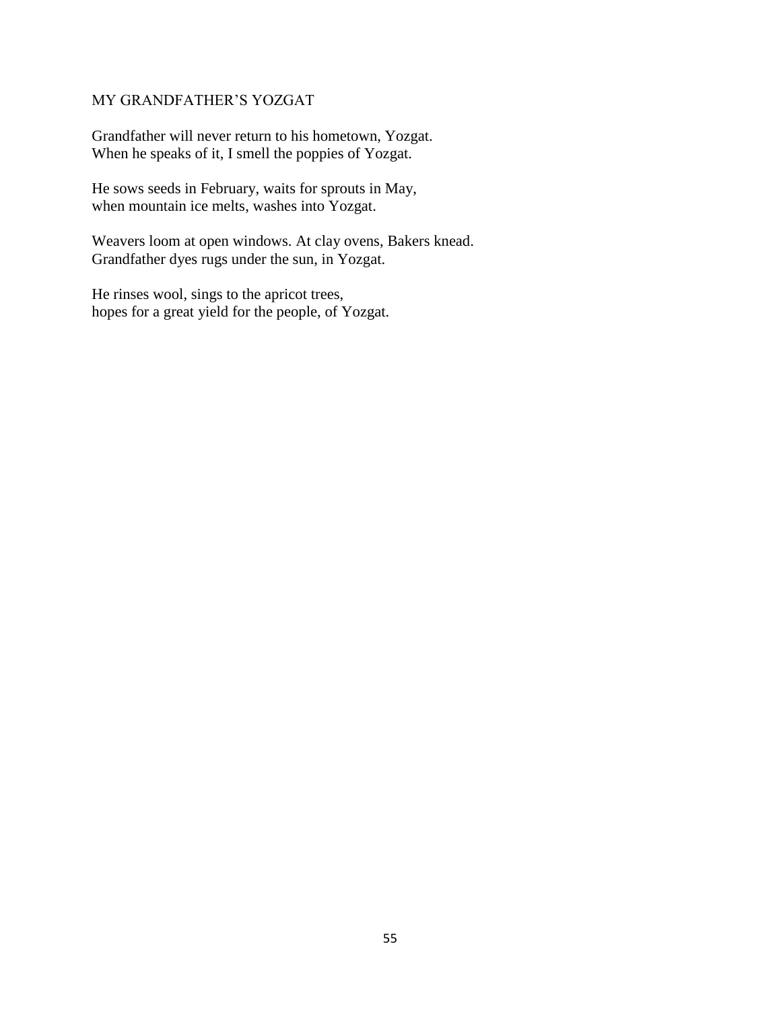# MY GRANDFATHER'S YOZGAT

Grandfather will never return to his hometown, Yozgat. When he speaks of it, I smell the poppies of Yozgat.

He sows seeds in February, waits for sprouts in May, when mountain ice melts, washes into Yozgat.

Weavers loom at open windows. At clay ovens, Bakers knead. Grandfather dyes rugs under the sun, in Yozgat.

He rinses wool, sings to the apricot trees, hopes for a great yield for the people, of Yozgat.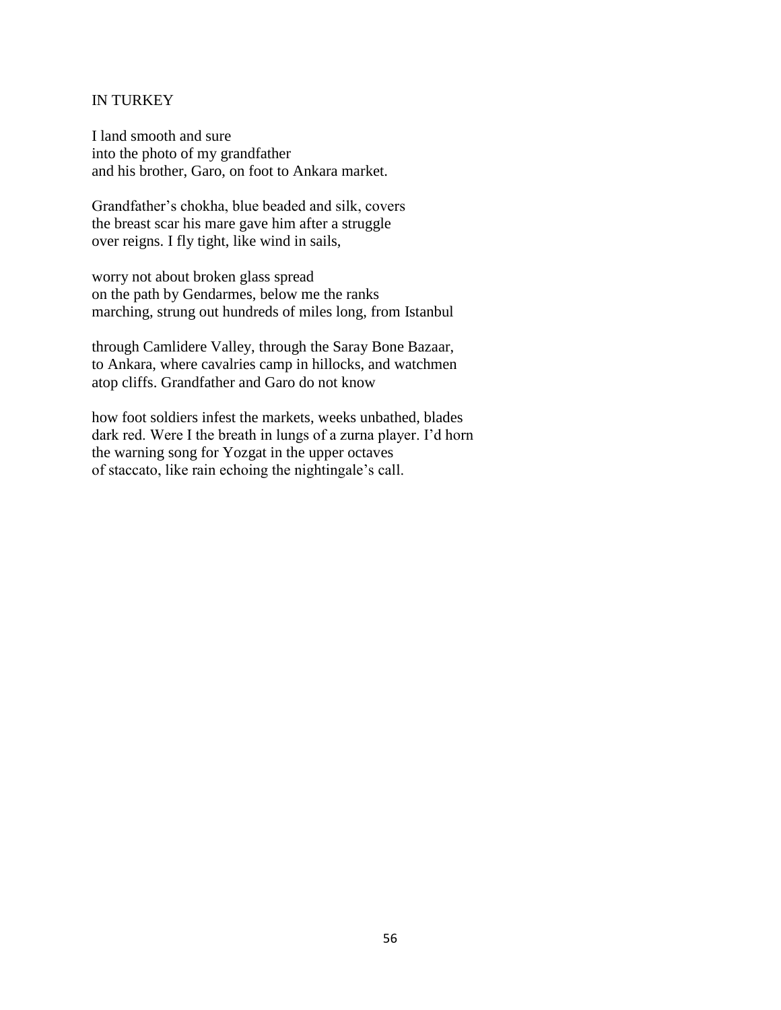## IN TURKEY

I land smooth and sure into the photo of my grandfather and his brother, Garo, on foot to Ankara market.

Grandfather's chokha, blue beaded and silk, covers the breast scar his mare gave him after a struggle over reigns. I fly tight, like wind in sails,

worry not about broken glass spread on the path by Gendarmes, below me the ranks marching, strung out hundreds of miles long, from Istanbul

through Camlidere Valley, through the Saray Bone Bazaar, to Ankara, where cavalries camp in hillocks, and watchmen atop cliffs. Grandfather and Garo do not know

how foot soldiers infest the markets, weeks unbathed, blades dark red. Were I the breath in lungs of a zurna player. I'd horn the warning song for Yozgat in the upper octaves of staccato, like rain echoing the nightingale's call.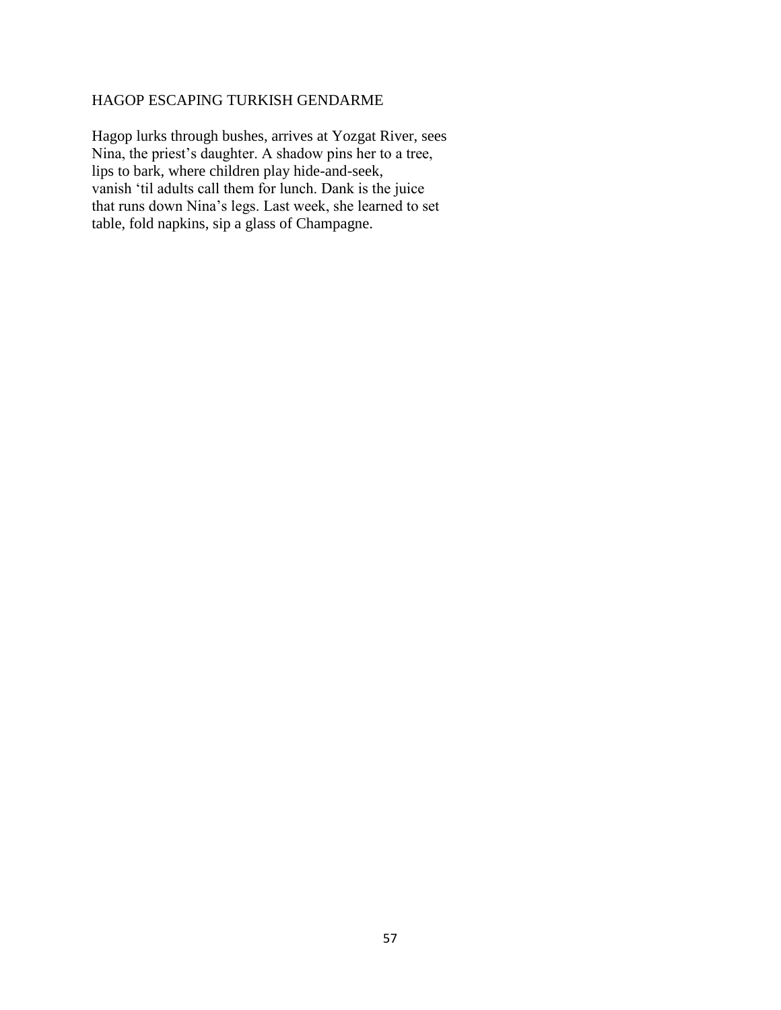# HAGOP ESCAPING TURKISH GENDARME

Hagop lurks through bushes, arrives at Yozgat River, sees Nina, the priest's daughter. A shadow pins her to a tree, lips to bark, where children play hide-and-seek, vanish 'til adults call them for lunch. Dank is the juice that runs down Nina's legs. Last week, she learned to set table, fold napkins, sip a glass of Champagne.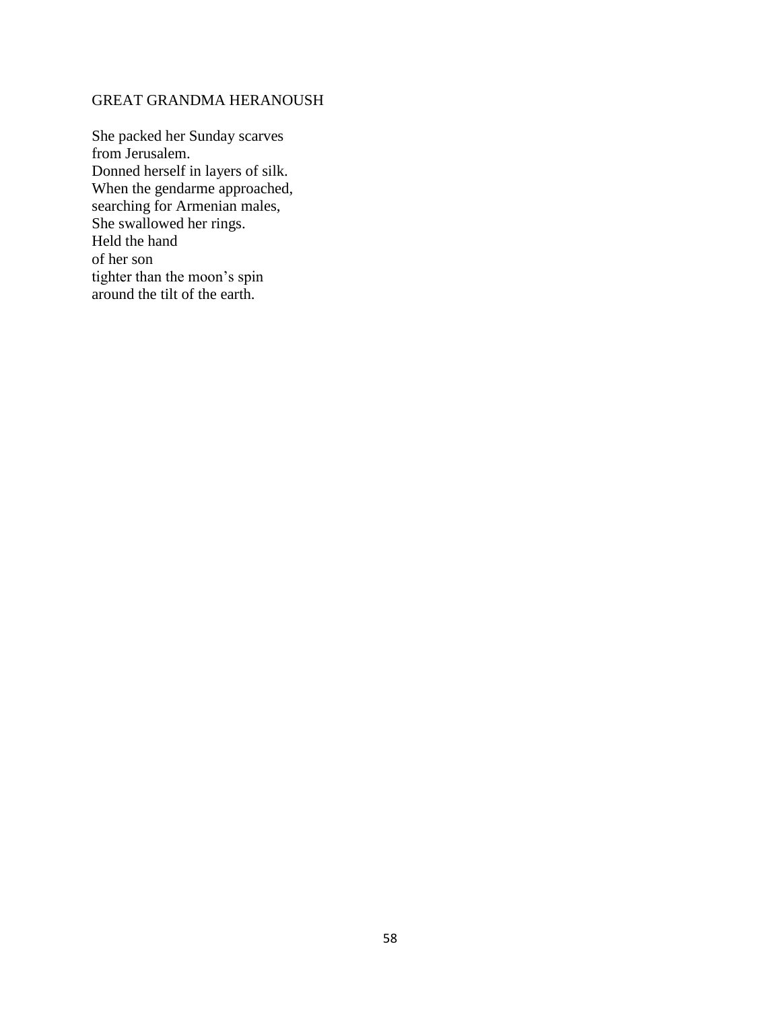## GREAT GRANDMA HERANOUSH

She packed her Sunday scarves from Jerusalem. Donned herself in layers of silk. When the gendarme approached, searching for Armenian males, She swallowed her rings. Held the hand of her son tighter than the moon's spin around the tilt of the earth.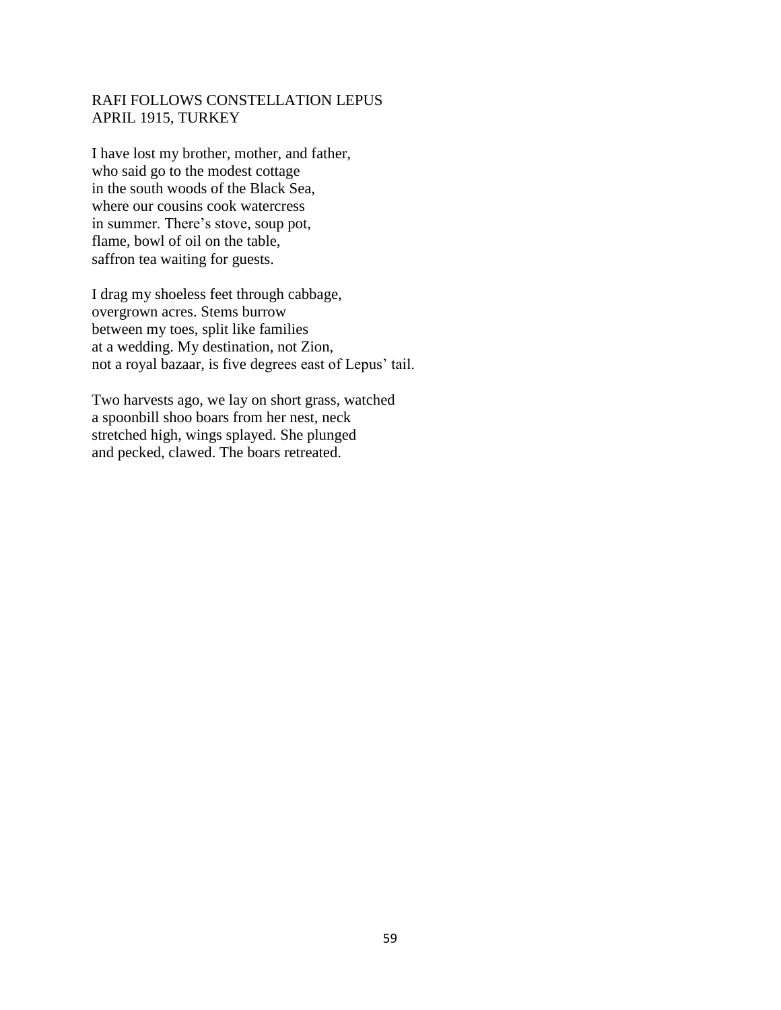# RAFI FOLLOWS CONSTELLATION LEPUS APRIL 1915, TURKEY

I have lost my brother, mother, and father, who said go to the modest cottage in the south woods of the Black Sea, where our cousins cook watercress in summer. There's stove, soup pot, flame, bowl of oil on the table, saffron tea waiting for guests.

I drag my shoeless feet through cabbage, overgrown acres. Stems burrow between my toes, split like families at a wedding. My destination, not Zion, not a royal bazaar, is five degrees east of Lepus' tail.

Two harvests ago, we lay on short grass, watched a spoonbill shoo boars from her nest, neck stretched high, wings splayed. She plunged and pecked, clawed. The boars retreated.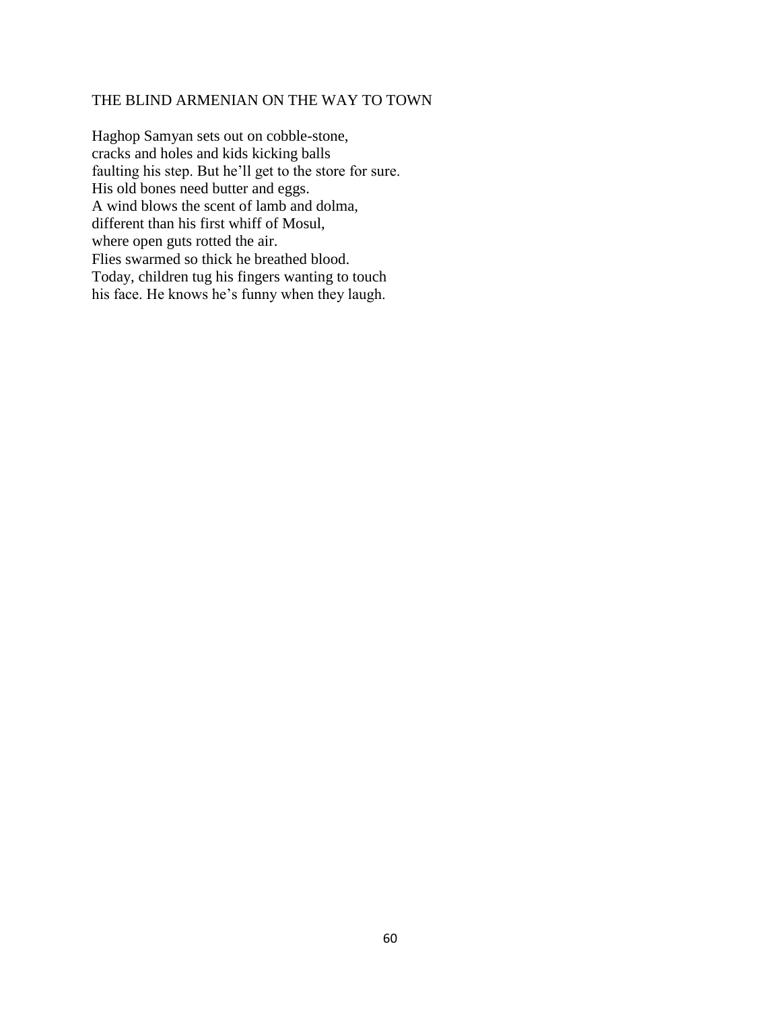## THE BLIND ARMENIAN ON THE WAY TO TOWN

Haghop Samyan sets out on cobble-stone, cracks and holes and kids kicking balls faulting his step. But he'll get to the store for sure. His old bones need butter and eggs. A wind blows the scent of lamb and dolma, different than his first whiff of Mosul, where open guts rotted the air. Flies swarmed so thick he breathed blood. Today, children tug his fingers wanting to touch his face. He knows he's funny when they laugh.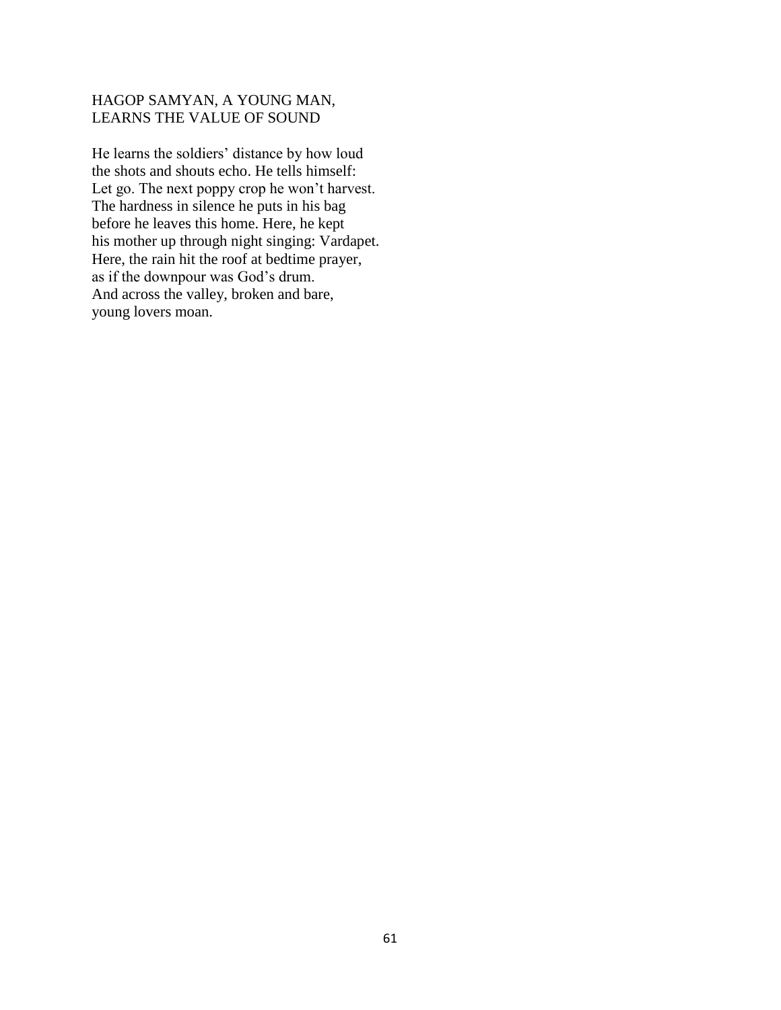# HAGOP SAMYAN, A YOUNG MAN, LEARNS THE VALUE OF SOUND

He learns the soldiers' distance by how loud the shots and shouts echo. He tells himself: Let go. The next poppy crop he won't harvest. The hardness in silence he puts in his bag before he leaves this home. Here, he kept his mother up through night singing: Vardapet. Here, the rain hit the roof at bedtime prayer, as if the downpour was God's drum. And across the valley, broken and bare, young lovers moan.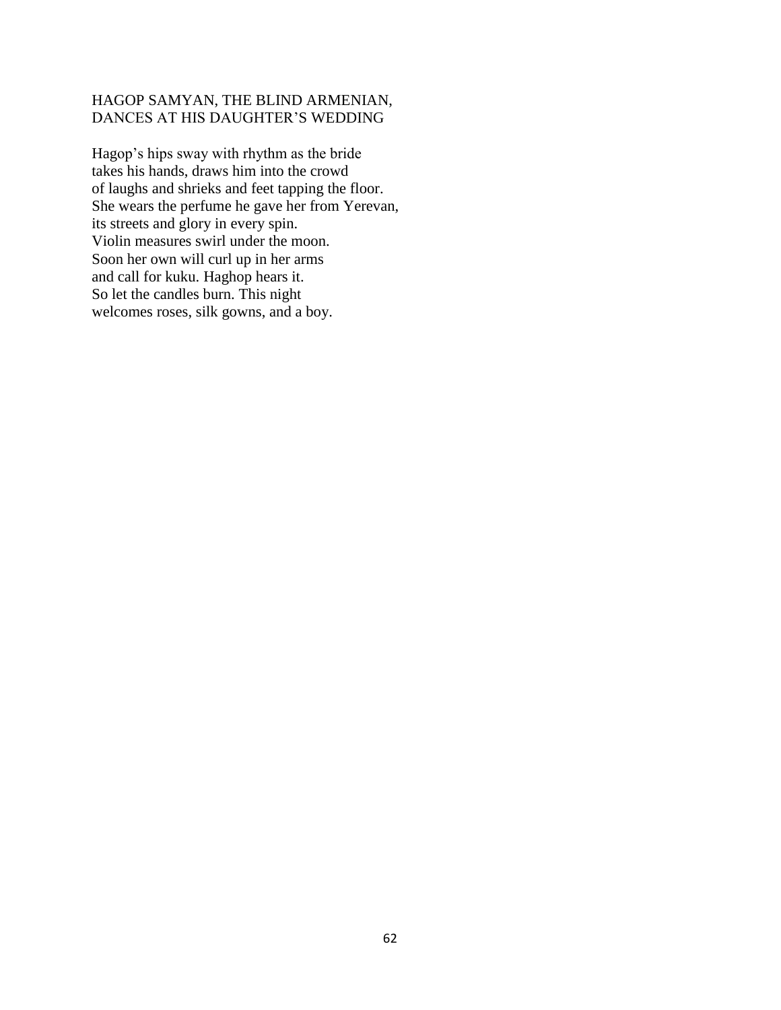# HAGOP SAMYAN, THE BLIND ARMENIAN, DANCES AT HIS DAUGHTER'S WEDDING

Hagop's hips sway with rhythm as the bride takes his hands, draws him into the crowd of laughs and shrieks and feet tapping the floor. She wears the perfume he gave her from Yerevan, its streets and glory in every spin. Violin measures swirl under the moon. Soon her own will curl up in her arms and call for kuku. Haghop hears it. So let the candles burn. This night welcomes roses, silk gowns, and a boy.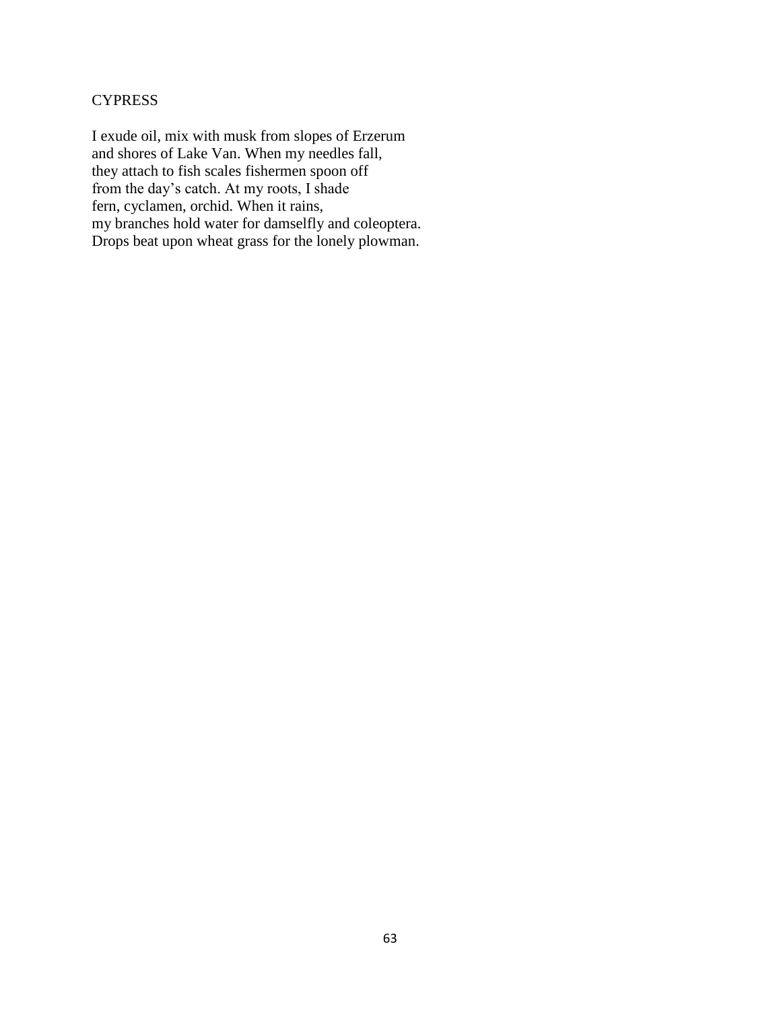# **CYPRESS**

I exude oil, mix with musk from slopes of Erzerum and shores of Lake Van. When my needles fall, they attach to fish scales fishermen spoon off from the day's catch. At my roots, I shade fern, cyclamen, orchid. When it rains, my branches hold water for damselfly and coleoptera. Drops beat upon wheat grass for the lonely plowman.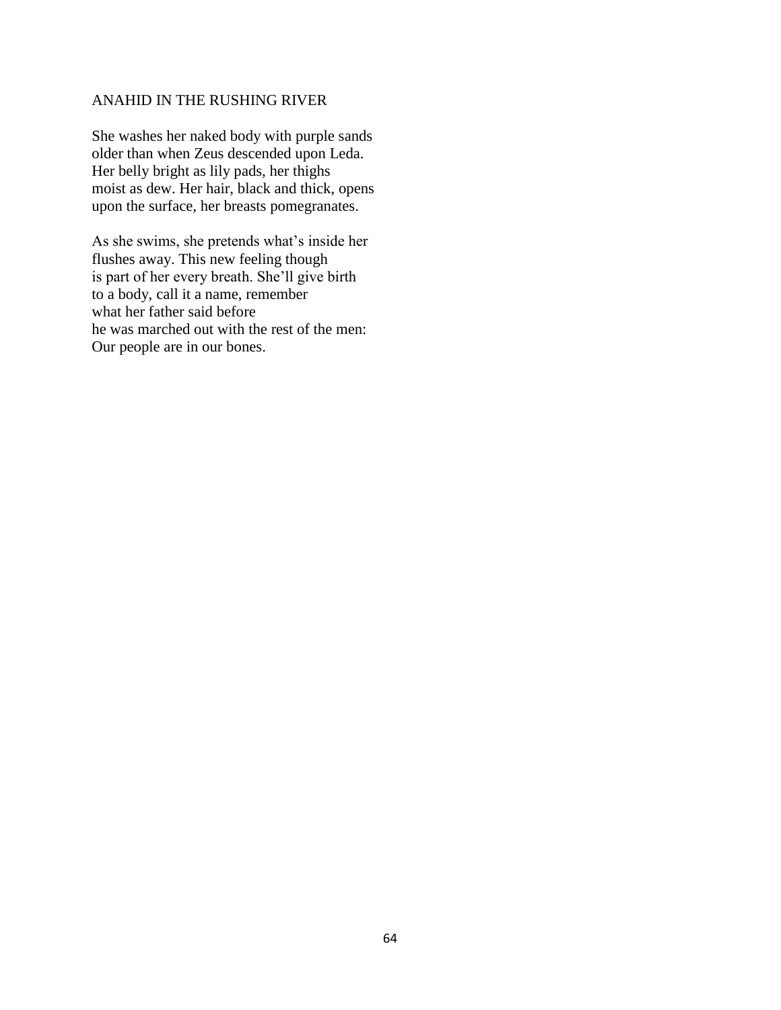# ANAHID IN THE RUSHING RIVER

She washes her naked body with purple sands older than when Zeus descended upon Leda. Her belly bright as lily pads, her thighs moist as dew. Her hair, black and thick, opens upon the surface, her breasts pomegranates.

As she swims, she pretends what's inside her flushes away. This new feeling though is part of her every breath. She'll give birth to a body, call it a name, remember what her father said before he was marched out with the rest of the men: Our people are in our bones.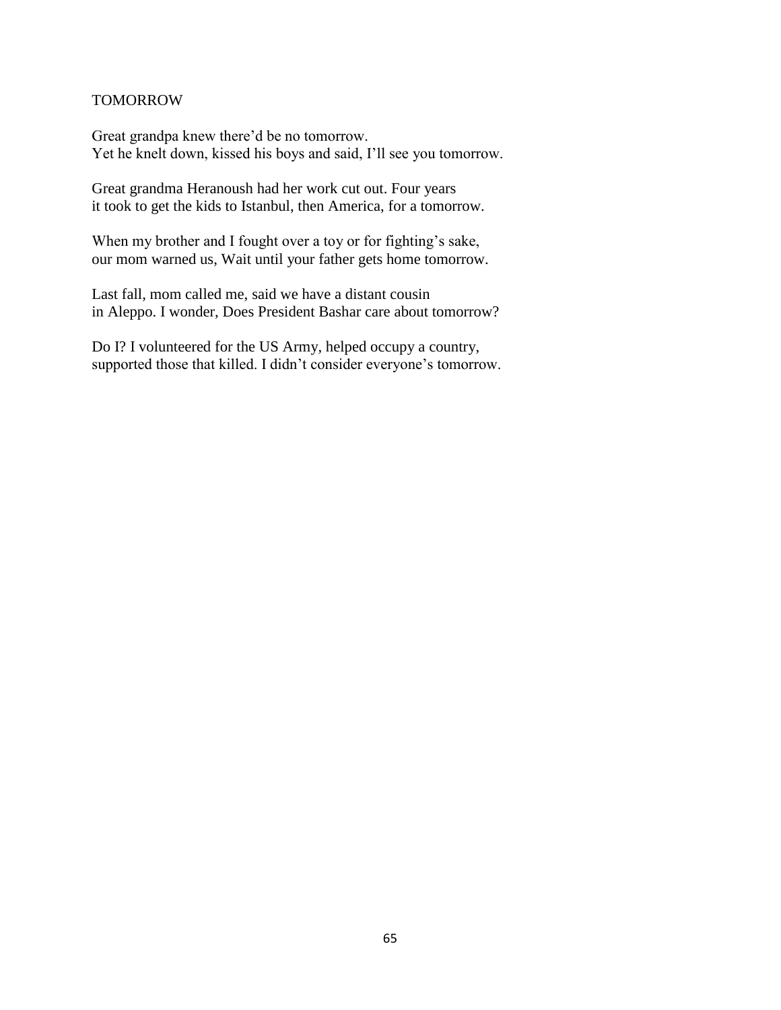#### TOMORROW

Great grandpa knew there'd be no tomorrow. Yet he knelt down, kissed his boys and said, I'll see you tomorrow.

Great grandma Heranoush had her work cut out. Four years it took to get the kids to Istanbul, then America, for a tomorrow.

When my brother and I fought over a toy or for fighting's sake, our mom warned us, Wait until your father gets home tomorrow.

Last fall, mom called me, said we have a distant cousin in Aleppo. I wonder, Does President Bashar care about tomorrow?

Do I? I volunteered for the US Army, helped occupy a country, supported those that killed. I didn't consider everyone's tomorrow.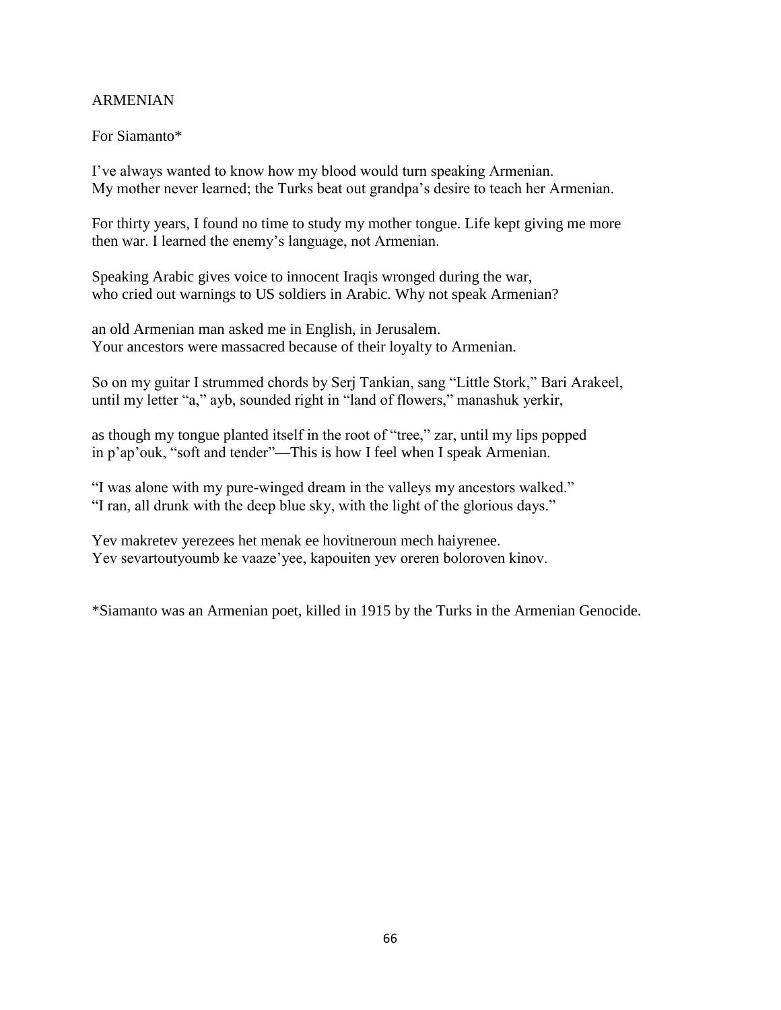## ARMENIAN

## For Siamanto\*

I've always wanted to know how my blood would turn speaking Armenian. My mother never learned; the Turks beat out grandpa's desire to teach her Armenian.

For thirty years, I found no time to study my mother tongue. Life kept giving me more then war. I learned the enemy's language, not Armenian.

Speaking Arabic gives voice to innocent Iraqis wronged during the war, who cried out warnings to US soldiers in Arabic. Why not speak Armenian?

an old Armenian man asked me in English, in Jerusalem. Your ancestors were massacred because of their loyalty to Armenian.

So on my guitar I strummed chords by Serj Tankian, sang "Little Stork," Bari Arakeel, until my letter "a," ayb, sounded right in "land of flowers," manashuk yerkir,

as though my tongue planted itself in the root of "tree," zar, until my lips popped in p'ap'ouk, "soft and tender"—This is how I feel when I speak Armenian.

"I was alone with my pure-winged dream in the valleys my ancestors walked." "I ran, all drunk with the deep blue sky, with the light of the glorious days."

Yev makretev yerezees het menak ee hovitneroun mech haiyrenee. Yev sevartoutyoumb ke vaaze'yee, kapouiten yev oreren boloroven kinov.

\*Siamanto was an Armenian poet, killed in 1915 by the Turks in the Armenian Genocide.